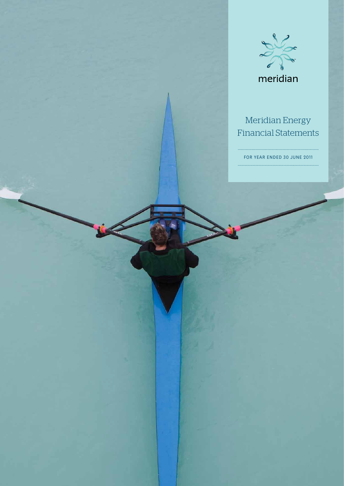

# Meridian Energy Financial Statements

FOR YEAR ENDED 30 JUNE 2011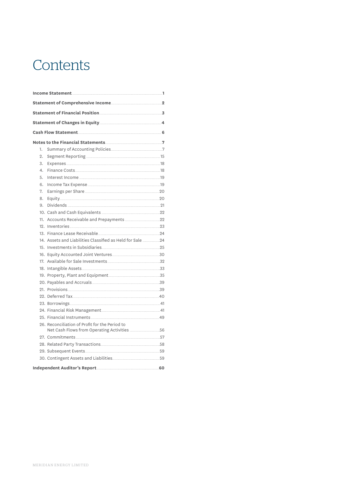# **Contents**

| 1.               |                                                                                               |  |  |  |  |  |  |
|------------------|-----------------------------------------------------------------------------------------------|--|--|--|--|--|--|
| 2.               |                                                                                               |  |  |  |  |  |  |
| 3.               |                                                                                               |  |  |  |  |  |  |
| $\overline{4}$ . |                                                                                               |  |  |  |  |  |  |
| 5.               |                                                                                               |  |  |  |  |  |  |
| 6.               |                                                                                               |  |  |  |  |  |  |
| 7.               |                                                                                               |  |  |  |  |  |  |
| 8.               |                                                                                               |  |  |  |  |  |  |
| 9.               |                                                                                               |  |  |  |  |  |  |
|                  |                                                                                               |  |  |  |  |  |  |
|                  |                                                                                               |  |  |  |  |  |  |
|                  |                                                                                               |  |  |  |  |  |  |
|                  |                                                                                               |  |  |  |  |  |  |
|                  | 14. Assets and Liabilities Classified as Held for Sale 24                                     |  |  |  |  |  |  |
|                  |                                                                                               |  |  |  |  |  |  |
|                  |                                                                                               |  |  |  |  |  |  |
|                  |                                                                                               |  |  |  |  |  |  |
|                  |                                                                                               |  |  |  |  |  |  |
|                  |                                                                                               |  |  |  |  |  |  |
|                  |                                                                                               |  |  |  |  |  |  |
|                  |                                                                                               |  |  |  |  |  |  |
|                  |                                                                                               |  |  |  |  |  |  |
|                  |                                                                                               |  |  |  |  |  |  |
|                  |                                                                                               |  |  |  |  |  |  |
|                  |                                                                                               |  |  |  |  |  |  |
|                  | 26. Reconciliation of Profit for the Period to<br>Net Cash Flows from Operating Activities 56 |  |  |  |  |  |  |
|                  |                                                                                               |  |  |  |  |  |  |
|                  |                                                                                               |  |  |  |  |  |  |
|                  |                                                                                               |  |  |  |  |  |  |
|                  |                                                                                               |  |  |  |  |  |  |
|                  |                                                                                               |  |  |  |  |  |  |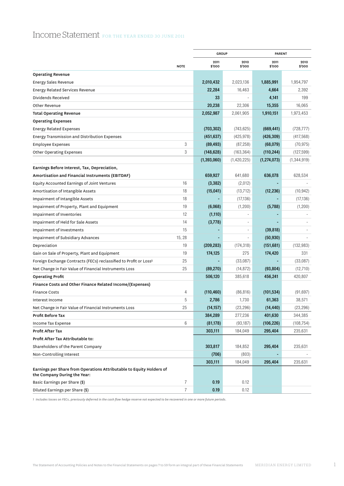# Income Statement FOR THE YEAR ENDED 30 JUNE 2011

|                                                                                                      |             | <b>GROUP</b>   |                | <b>PARENT</b>  |                |
|------------------------------------------------------------------------------------------------------|-------------|----------------|----------------|----------------|----------------|
|                                                                                                      | <b>NOTE</b> | 2011<br>\$'000 | 2010<br>\$'000 | 2011<br>\$'000 | 2010<br>\$'000 |
| <b>Operating Revenue</b>                                                                             |             |                |                |                |                |
| <b>Energy Sales Revenue</b>                                                                          |             | 2,010,432      | 2,023,136      | 1,885,991      | 1,954,797      |
| <b>Energy Related Services Revenue</b>                                                               |             | 22,284         | 16,463         | 4,664          | 2,392          |
| Dividends Received                                                                                   |             | 33             |                | 4,141          | 199            |
| Other Revenue                                                                                        |             | 20,238         | 22,306         | 15,355         | 16,065         |
| Total Operating Revenue                                                                              |             | 2,052,987      | 2,061,905      | 1,910,151      | 1,973,453      |
| <b>Operating Expenses</b>                                                                            |             |                |                |                |                |
| <b>Energy Related Expenses</b>                                                                       |             | (703, 302)     | (743, 625)     | (669, 441)     | (728, 777)     |
| Energy Transmission and Distribution Expenses                                                        |             | (451, 637)     | (425, 978)     | (426, 309)     | (417, 568)     |
| <b>Employee Expenses</b>                                                                             | 3           | (89, 493)      | (87, 258)      | (68,079)       | (70, 975)      |
| <b>Other Operating Expenses</b>                                                                      | 3           | (148, 628)     | (163, 364)     | (110, 244)     | (127, 599)     |
|                                                                                                      |             | (1, 393, 060)  | (1,420,225)    | (1, 274, 073)  | (1, 344, 919)  |
| Earnings Before Interest, Tax, Depreciation,                                                         |             |                |                |                |                |
| Amortisation and Financial Instruments (EBITDAF)                                                     |             | 659,927        | 641,680        | 636,078        | 628,534        |
| Equity Accounted Earnings of Joint Ventures                                                          | 16          | (3, 382)       | (2,012)        |                |                |
| Amortisation of Intangible Assets                                                                    | 18          | (15, 041)      | (13, 712)      | (12, 236)      | (10, 942)      |
| Impairment of Intangible Assets                                                                      | 18          |                | (17, 136)      |                | (17, 136)      |
| Impairment of Property, Plant and Equipment                                                          | 19          | (6,068)        | (1,200)        | (5,788)        | (1,200)        |
| Impairment of Inventories                                                                            | 12          | (1, 110)       |                |                |                |
| Impairment of Held for Sale Assets                                                                   | 14          | (3,778)        |                |                |                |
| Impairment of Investments                                                                            | 15          |                |                | (39, 818)      |                |
| <b>Impairment of Subsidiary Advances</b>                                                             | 15, 28      |                |                | (50, 930)      |                |
| Depreciation                                                                                         | 19          | (209, 283)     | (174, 318)     | (151, 681)     | (132, 983)     |
| Gain on Sale of Property, Plant and Equipment                                                        | 19          | 174,125        | 275            | 174,420        | 331            |
| Foreign Exchange Contracts (FECs) reclassified to Profit or Loss <sup>1</sup>                        | 25          |                | (33,087)       |                | (33,087)       |
| Net Change in Fair Value of Financial Instruments Loss                                               | 25          | (89, 270)      | (14, 872)      | (93, 804)      | (12,710)       |
| <b>Operating Profit</b>                                                                              |             | 506,120        | 385,618        | 456,241        | 420,807        |
| Finance Costs and Other Finance Related Income/(Expenses)                                            |             |                |                |                |                |
| <b>Finance Costs</b>                                                                                 | 4           | (110, 460)     | (86, 816)      | (101, 534)     | (91, 697)      |
| Interest Income                                                                                      | 5           | 2,786          | 1,730          | 61,363         | 38,571         |
| Net Change in Fair Value of Financial Instruments Loss                                               | 25          | (14, 157)      | (23, 296)      | (14, 440)      | (23, 296)      |
| Profit Before Tax                                                                                    |             | 384,289        | 277,236        | 401,630        | 344,385        |
| Income Tax Expense                                                                                   | 6           | (81, 178)      | (93, 187)      | (106, 226)     | (108, 754)     |
| Profit After Tax                                                                                     |             | 303,111        | 184,049        | 295,404        | 235,631        |
| Profit After Tax Attributable to:                                                                    |             |                |                |                |                |
| Shareholders of the Parent Company                                                                   |             | 303,817        | 184,852        | 295,404        | 235,631        |
| Non-Controlling Interest                                                                             |             | (706)          | (803)          |                |                |
|                                                                                                      |             | 303,111        | 184,049        | 295,404        | 235,631        |
| Earnings per Share from Operations Attributable to Equity Holders of<br>the Company During the Year: |             |                |                |                |                |
| Basic Earnings per Share (\$)                                                                        | 7           | 0.19           | 0.12           |                |                |
| Diluted Earnings per Share (\$)                                                                      | 7           | 0.19           | 0.12           |                |                |

*1 Includes losses on FECs, previously deferred in the cash flow hedge reserve not expected to be recovered in one or more future periods.*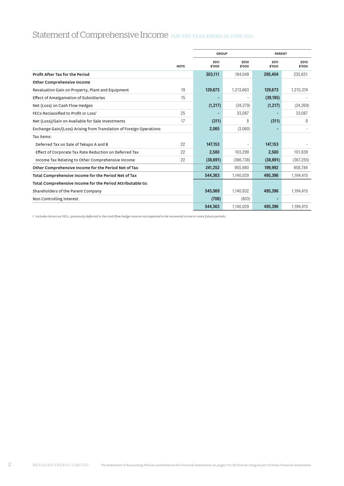# Statement of Comprehensive Income FOR THE YEAR ENDED 30 JUNE 2011

|                                                                     |             | <b>GROUP</b>   |                | <b>PARENT</b>  |                |  |
|---------------------------------------------------------------------|-------------|----------------|----------------|----------------|----------------|--|
|                                                                     | <b>NOTE</b> | 2011<br>\$'000 | 2010<br>\$'000 | 2011<br>\$'000 | 2010<br>\$'000 |  |
| Profit After Tax for the Period                                     |             | 303,111        | 184.049        | 295,404        | 235,631        |  |
| <b>Other Comprehensive Income</b>                                   |             |                |                |                |                |  |
| Revaluation Gain on Property, Plant and Equipment                   | 19          | 129,673        | 1,213,663      | 129,673        | 1,215,374      |  |
| Effect of Amalgamation of Subsidiaries                              | 15          |                |                | (39, 195)      |                |  |
| Net (Loss) on Cash Flow Hedges                                      |             | (1, 217)       | (24, 279)      | (1, 217)       | (24, 269)      |  |
| FECs Reclassified to Profit or Loss <sup>1</sup>                    | 25          |                | 33,087         |                | 33,087         |  |
| Net (Loss)/Gain on Available for Sale Investments                   | 17          | (311)          | 8              | (311)          | 8              |  |
| Exchange Gain/(Loss) Arising from Translation of Foreign Operations |             | 2,065          | (3,060)        |                |                |  |
| Tax items:                                                          |             |                |                |                |                |  |
| Deferred Tax on Sale of Tekapo A and B                              | 22          | 147,153        |                | 147,153        |                |  |
| Effect of Corporate Tax Rate Reduction on Deferred Tax              | 22          | 2,580          | 103,299        | 2,580          | 101,839        |  |
| Income Tax Relating to Other Comprehensive Income                   | 22          | (38, 691)      | (366, 738)     | (38,691)       | (367, 255)     |  |
| Other Comprehensive Income for the Period Net of Tax                |             | 241,252        | 955,980        | 199,992        | 958,784        |  |
| Total Comprehensive Income for the Period Net of Tax                |             | 544,363        | 1,140,029      | 495,396        | 1,194,415      |  |
| Total Comprehensive Income for the Period Attributable to:          |             |                |                |                |                |  |
| Shareholders of the Parent Company                                  |             | 545,069        | 1,140,832      | 495,396        | 1,194,415      |  |
| Non Controlling Interest                                            |             | (706)          | (803)          |                |                |  |
|                                                                     |             | 544,363        | 1,140,029      | 495,396        | 1,194,415      |  |

*1 Includes losses on FECs, previously deferred in the cash flow hedge reserve not expected to be recovered in one or more future periods.*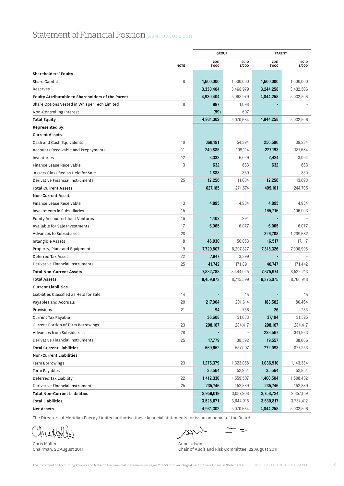|                                                   |             | <b>GROUP</b>   |                | <b>PARENT</b>  |                |  |
|---------------------------------------------------|-------------|----------------|----------------|----------------|----------------|--|
|                                                   | <b>NOTE</b> | 2011<br>\$'000 | 2010<br>\$'000 | 2011<br>\$'000 | 2010<br>\$'000 |  |
| Shareholders' Equity                              |             |                |                |                |                |  |
| Share Capital                                     | 8           | 1,600,000      | 1,600,000      | 1,600,000      | 1,600,000      |  |
| Reserves                                          |             | 3,330,404      | 3,468,979      | 3,244,258      | 3,432,506      |  |
| Equity Attributable to Shareholders of the Parent |             | 4,930,404      | 5,068,979      | 4,844,258      | 5,032,506      |  |
| Share Options Vested in Whisper Tech Limited      | 8           | 997            | 1,098          |                |                |  |
| Non-Controlling Interest                          |             | (99)           | 607            |                |                |  |
| <b>Total Equity</b>                               |             | 4,931,302      | 5,070,684      | 4,844,258      | 5,032,506      |  |
| <b>Represented by:</b>                            |             |                |                |                |                |  |
| <b>Current Assets</b>                             |             |                |                |                |                |  |
| Cash and Cash Equivalents                         | 10          | 368,191        | 54,394         | 256,596        | 39,234         |  |
| Accounts Receivable and Prepayments               | 11          | 240,885        | 199,114        | 227,193        | 187,684        |  |
| Inventories                                       | 12          | 3,333          | 6,029          | 2,424          | 3,064          |  |
| Finance Lease Receivable                          | 13          | 632            | 683            | 632            | 683            |  |
| Assets Classified as Held for Sale                |             | 1,888          | 350            |                | 350            |  |
| Derivative Financial Instruments                  | 25          | 12,256         | 11,004         | 12,256         | 13,690         |  |
| <b>Total Current Assets</b>                       |             | 627,185        | 271,574        | 499,101        | 244,705        |  |
| <b>Non-Current Assets</b>                         |             |                |                |                |                |  |
| Finance Lease Receivable                          | 13          | 4,895          | 4,984          | 4,895          | 4,984          |  |
| Investments in Subsidiaries                       | 15          |                |                | 165,716        | 106,003        |  |
| <b>Equity Accounted Joint Ventures</b>            | 16          | 4,402          | 294            |                |                |  |
| Available for Sale Investments                    | 17          | 6,065          | 6,077          | 6,065          | 6,077          |  |
| Advances to Subsidiaries                          | 28          |                |                | 326,708        | 1,209,682      |  |
| Intangible Assets                                 | 18          | 46,930         | 50,053         | 16,517         | 17,117         |  |
| Property, Plant and Equipment                     | 19          | 7,720,807      | 8,207,327      | 7,315,326      | 7,006,908      |  |
| Deferred Tax Asset                                | 22          | 7,947          | 3,399          |                |                |  |
| Derivative Financial Instruments                  | 25          | 41,742         | 171,891        | 40,747         | 171,442        |  |
| <b>Total Non-Current Assets</b>                   |             | 7,832,788      | 8,444,025      | 7,875,974      | 8,522,213      |  |
| <b>Total Assets</b>                               |             | 8,459,973      | 8,715,599      | 8,375,075      | 8,766,918      |  |
| <b>Current Liabilities</b>                        |             |                |                |                |                |  |
| Liabilities Classified as Held for Sale           | 14          |                | 15             |                | 15             |  |
| Payables and Accruals                             | 20          | 217,004        | 201,614        | 188,582        | 180,464        |  |
| Provisions                                        | 21          | 94             | 736            | 26             | 233            |  |
| Current Tax Payable                               |             | 36,608         | 31,633         | 37,194         | 31,525         |  |
| <b>Current Portion of Term Borrowings</b>         | 23          | 298,167        | 284,417        | 298,167        | 284,417        |  |
| Advances from Subsidiaries                        | 28          |                |                | 228,567        | 341,933        |  |
| Derivative Financial Instruments                  | 25          | 17,779         | 38,592         | 19,557         | 38,666         |  |
| <b>Total Current Liabilities</b>                  |             | 569,652        | 557,007        | 772,093        | 877,253        |  |
| Non-Current Liabilities                           |             |                |                |                |                |  |
| <b>Term Borrowings</b>                            | 23          | 1,275,379      | 1,323,058      | 1,086,910      | 1,143,384      |  |
| Term Payables                                     |             | 35,564         | 52,954         | 35,564         | 52,954         |  |
| Deferred Tax Liability                            | 22          | 1,412,330      | 1,559,507      | 1,400,504      | 1,508,432      |  |
| Derivative Financial Instruments                  | 25          | 235,746        | 152,389        | 235,746        | 152,389        |  |
| <b>Total Non-Current Liabilities</b>              |             | 2,959,019      | 3,087,908      | 2,758,724      | 2,857,159      |  |
| Total Liabilities                                 |             | 3,528,671      | 3,644,915      | 3,530,817      | 3,734,412      |  |
| <b>Net Assets</b>                                 |             | 4,931,302      | 5,070,684      | 4,844,258      | 5,032,506      |  |

The Directors of Meridian Energy Limited authorise these financial statements for issue on behalf of the Board.

ChrisWalle

Chris Moller Anne Urlwin (1999)<br>Chairman, 22 August 2011 (1999) 1999 (1999) (1999) 1999 (1999) (1999) 1999 (1999) 1999 (1999) 1999 (1999) 199

wpt  $\Rightarrow$ 

Chair of Audit and Risk Committee, 22 August 2011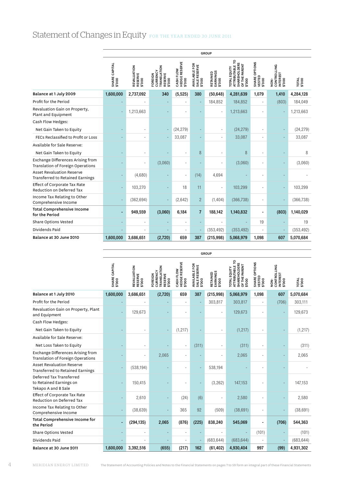# Statement of Changes in Equity FOR THE YEAR ENDED 30 JUNE 2011

|                                                                             | <b>GROUP</b>            |                                          |                                                                              |                                             |                                                |                                |                                                                                   |                                   |                                                         |                        |
|-----------------------------------------------------------------------------|-------------------------|------------------------------------------|------------------------------------------------------------------------------|---------------------------------------------|------------------------------------------------|--------------------------------|-----------------------------------------------------------------------------------|-----------------------------------|---------------------------------------------------------|------------------------|
|                                                                             | SHARE CAPITAL<br>\$'000 | <b>REVALUATION<br/>RESERVE</b><br>\$'000 | <b><i>FRANSLATION</i></b><br><b>CURRENCY</b><br>RESERVE<br>FOREIGN<br>\$'000 | <b>HEDGE RESERVE</b><br>CASH FLOW<br>\$'000 | <b>AVAILABLE FOR</b><br>SALE RESERVE<br>\$'000 | EARNINGS<br>\$'000<br>RETAINED | ATTRIBUTABLE TO<br><b>SHAREHOLDERS</b><br>OF THE PARENT<br>TOTAL EQUITY<br>\$'000 | SHARE OPTIONS<br>VESTED<br>\$'000 | CONTROLLING<br><b>INTEREST</b><br>\$'000<br>$rac{1}{2}$ | <b>TOTAL</b><br>\$'000 |
| Balance at 1 July 2009                                                      | 1,600,000               | 2,737,092                                | 340                                                                          | (5, 525)                                    | 380                                            | (50, 648)                      | 4,281,639                                                                         | 1,079                             | 1,410                                                   | 4,284,128              |
| Profit for the Period                                                       |                         | ٠                                        |                                                                              |                                             |                                                | 184,852                        | 184,852                                                                           | ÷                                 | (803)                                                   | 184,049                |
| Revaluation Gain on Property,<br>Plant and Equipment                        |                         | 1,213,663                                |                                                                              |                                             |                                                | ٠                              | 1,213,663                                                                         |                                   | ÷,                                                      | 1,213,663              |
| Cash Flow Hedges:                                                           |                         |                                          |                                                                              |                                             |                                                |                                |                                                                                   |                                   |                                                         |                        |
| Net Gain Taken to Equity                                                    |                         | $\overline{\phantom{a}}$                 |                                                                              | (24, 279)                                   |                                                | ٠                              | (24, 279)                                                                         | ٠                                 |                                                         | (24, 279)              |
| FECs Reclassified to Profit or Loss                                         |                         | ÷,                                       |                                                                              | 33,087                                      |                                                | ä,                             | 33,087                                                                            | ä,                                |                                                         | 33,087                 |
| Available for Sale Reserve:                                                 |                         |                                          |                                                                              |                                             |                                                |                                |                                                                                   |                                   |                                                         |                        |
| Net Gain Taken to Equity                                                    |                         | ٠                                        |                                                                              | ٠                                           | 8                                              | ä,                             | 8                                                                                 | ÷                                 |                                                         | 8                      |
| Exchange Differences Arising from<br>Translation of Foreign Operations      |                         | $\overline{\phantom{a}}$                 | (3,060)                                                                      | ٠                                           |                                                | ä,                             | (3,060)                                                                           | ÷                                 |                                                         | (3,060)                |
| <b>Asset Revaluation Reserve</b><br><b>Transferred to Retained Earnings</b> |                         | (4,680)                                  | ٠                                                                            |                                             | (14)                                           | 4,694                          |                                                                                   |                                   |                                                         |                        |
| <b>Effect of Corporate Tax Rate</b><br>Reduction on Deferred Tax            |                         | 103,270                                  | $\overline{\phantom{a}}$                                                     | 18                                          | 11                                             | ÷,                             | 103,299                                                                           | ÷                                 |                                                         | 103,299                |
| Income Tax Relating to Other<br>Comprehensive Income                        |                         | (362, 694)                               | ÷,                                                                           | (2,642)                                     | $\overline{c}$                                 | (1, 404)                       | (366, 738)                                                                        | ٠                                 |                                                         | (366, 738)             |
| <b>Total Comprehensive Income</b><br>for the Period                         | $\blacksquare$          | 949,559                                  | (3,060)                                                                      | 6,184                                       | $\overline{7}$                                 | 188,142                        | 1,140,832                                                                         | $\blacksquare$                    | (803)                                                   | 1,140,029              |
| <b>Share Options Vested</b>                                                 |                         | ۰                                        | $\overline{\phantom{a}}$                                                     | ٠                                           |                                                |                                |                                                                                   | 19                                |                                                         | 19                     |
| Dividends Paid                                                              |                         |                                          | ÷,                                                                           |                                             |                                                | (353, 492)                     | (353, 492)                                                                        |                                   |                                                         | (353, 492)             |
| Balance at 30 June 2010                                                     | 1,600,000               | 3,686,651                                | (2,720)                                                                      | 659                                         | 387                                            | (215,998)                      | 5,068,979                                                                         | 1,098                             | 607                                                     | 5,070,684              |

|                                                                            |                         |                                           |                                                                |                                                 |                                                        | <b>GROUP</b>                            |                                                                                   |                                   |                                                  |                 |
|----------------------------------------------------------------------------|-------------------------|-------------------------------------------|----------------------------------------------------------------|-------------------------------------------------|--------------------------------------------------------|-----------------------------------------|-----------------------------------------------------------------------------------|-----------------------------------|--------------------------------------------------|-----------------|
|                                                                            | SHARE CAPITAL<br>\$'000 | <b>REVALUATION<br/>RESERVE<br/>\$'000</b> | <b>TRANSLATION</b><br>CURRENCY<br>RESERVE<br>FOREIGN<br>\$'000 | <b>HEDGE RESERVE</b><br>FLOW<br>CASHI<br>\$'000 | <b>AVAILABLE FOR</b><br><b>SALE RESERVE<br/>\$'000</b> | <b>RETAINED<br/>EARNINGS<br/>\$'000</b> | ATTRIBUTABLE TO<br><b>SHAREHOLDERS</b><br>OF THE PARENT<br>TOTAL EQUITY<br>\$'000 | SHARE OPTIONS<br>VESTED<br>\$'000 | <b>CONTROLLING</b><br>INTEREST<br>\$'000<br>NON- | TOTAL<br>\$'000 |
| Balance at 1 July 2010                                                     | 1,600,000               | 3,686,651                                 | (2,720)                                                        | 659                                             | 387                                                    | (215, 998)                              | 5,068,979                                                                         | 1,098                             | 607                                              | 5,070,684       |
| Profit for the Period                                                      |                         |                                           |                                                                | ٠                                               |                                                        | 303,817                                 | 303,817                                                                           | $\overline{a}$                    | (706)                                            | 303,111         |
| Revaluation Gain on Property, Plant<br>and Equipment                       |                         | 129,673                                   |                                                                | i.                                              |                                                        | ٠                                       | 129,673                                                                           |                                   | ÷,                                               | 129,673         |
| Cash Flow Hedges:                                                          |                         |                                           |                                                                |                                                 |                                                        |                                         |                                                                                   |                                   |                                                  |                 |
| Net Gain Taken to Equity                                                   |                         | ٠                                         |                                                                | (1, 217)                                        |                                                        |                                         | (1, 217)                                                                          |                                   |                                                  | (1, 217)        |
| Available for Sale Reserve:                                                |                         |                                           |                                                                |                                                 |                                                        |                                         |                                                                                   |                                   |                                                  |                 |
| Net Loss Taken to Equity                                                   |                         | ٠                                         |                                                                | ä,                                              | (311)                                                  |                                         | (311)                                                                             |                                   | ÷                                                | (311)           |
| Exchange Differences Arising from<br>Translation of Foreign Operations     |                         | ÷                                         | 2,065                                                          | ä,                                              |                                                        |                                         | 2,065                                                                             |                                   | ÷,                                               | 2,065           |
| <b>Asset Revaluation Reserve</b><br>Transferred to Retained Earnings       |                         | (538, 194)                                | ÷,                                                             | ٠                                               |                                                        | 538,194                                 |                                                                                   |                                   |                                                  |                 |
| Deferred Tax Transferred<br>to Retained Earnings on<br>Tekapo A and B Sale |                         | 150,415                                   |                                                                |                                                 |                                                        | (3, 262)                                | 147,153                                                                           |                                   |                                                  | 147,153         |
| Effect of Corporate Tax Rate<br><b>Reduction on Deferred Tax</b>           |                         | 2,610                                     | $\overline{\phantom{a}}$                                       | (24)                                            | (6)                                                    |                                         | 2,580                                                                             |                                   | ÷                                                | 2,580           |
| Income Tax Relating to Other<br>Comprehensive Income                       |                         | (38, 639)                                 | $\overline{\phantom{a}}$                                       | 365                                             | 92                                                     | (509)                                   | (38, 691)                                                                         |                                   |                                                  | (38, 691)       |
| <b>Total Comprehensive Income for</b><br>the Period                        | $\overline{a}$          | (294, 135)                                | 2,065                                                          | (876)                                           | (225)                                                  | 838,240                                 | 545,069                                                                           | -                                 | (706)                                            | 544,363         |
| Share Options Vested                                                       |                         | ٠                                         | ٠                                                              | i.                                              |                                                        |                                         |                                                                                   | (101)                             |                                                  | (101)           |
| Dividends Paid                                                             |                         |                                           |                                                                | ÷                                               |                                                        | (683, 644)                              | (683, 644)                                                                        |                                   |                                                  | (683, 644)      |
| Balance at 30 June 2011                                                    | 1,600,000               | 3,392,516                                 | (655)                                                          | (217)                                           | 162                                                    | (61, 402)                               | 4,930,404                                                                         | 997                               | (99)                                             | 4,931,302       |

4 MERIDIAN ENERGY LIMITED The Statement of Accounting Policies and Notes to the Financial Statements on pages 7 to 59 form an integral part of these Financial Statements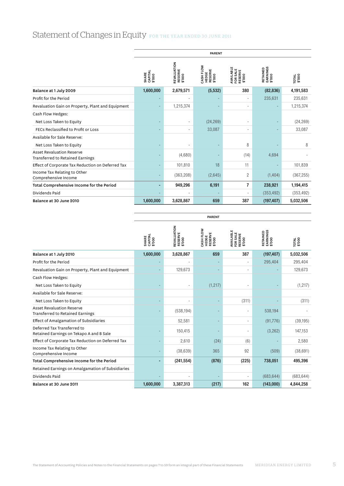# Statement of Changes in Equity FOR THE YEAR ENDED 30 JUNE 2011

|                                                                             | <b>PARENT</b>              |                                         |                                         |                                                      |                                         |                        |  |
|-----------------------------------------------------------------------------|----------------------------|-----------------------------------------|-----------------------------------------|------------------------------------------------------|-----------------------------------------|------------------------|--|
|                                                                             | SHARE<br>CAPITAL<br>\$'000 | REVALUATION<br><b>RESERVE</b><br>\$'000 | CASH FLOW<br>HEDGE<br>RESERVE<br>\$'000 | <b>AVAILABLE<br/>FOR SALE<br/>RESERVE<br/>\$'000</b> | <b>RETAINED<br/>EARNINGS<br/>\$'000</b> | <b>TOTAL</b><br>\$'000 |  |
| Balance at 1 July 2009                                                      | 1,600,000                  | 2,679,571                               | (5, 532)                                | 380                                                  | (82, 836)                               | 4,191,583              |  |
| Profit for the Period                                                       |                            |                                         |                                         |                                                      | 235,631                                 | 235,631                |  |
| Revaluation Gain on Property, Plant and Equipment                           |                            | 1,215,374                               |                                         | ٠                                                    |                                         | 1,215,374              |  |
| Cash Flow Hedges:                                                           |                            |                                         |                                         |                                                      |                                         |                        |  |
| Net Loss Taken to Equity                                                    |                            |                                         | (24, 269)                               |                                                      |                                         | (24, 269)              |  |
| FECs Reclassified to Profit or Loss                                         |                            | ٠                                       | 33,087                                  | $\overline{\phantom{a}}$                             |                                         | 33,087                 |  |
| Available for Sale Reserve:                                                 |                            |                                         |                                         |                                                      |                                         |                        |  |
| Net Loss Taken to Equity                                                    |                            |                                         |                                         | 8                                                    |                                         | 8                      |  |
| <b>Asset Revaluation Reserve</b><br><b>Transferred to Retained Earnings</b> |                            | (4,680)                                 |                                         | (14)                                                 | 4,694                                   |                        |  |
| Effect of Corporate Tax Reduction on Deferred Tax                           |                            | 101,810                                 | 18                                      | 11                                                   |                                         | 101,839                |  |
| Income Tax Relating to Other<br>Comprehensive Income                        |                            | (363, 208)                              | (2,645)                                 | $\overline{2}$                                       | (1, 404)                                | (367, 255)             |  |
| Total Comprehensive Income for the Period                                   | ۰                          | 949,296                                 | 6,191                                   | 7                                                    | 238,921                                 | 1,194,415              |  |
| Dividends Paid                                                              |                            |                                         |                                         |                                                      | (353, 492)                              | (353, 492)             |  |
| Balance at 30 June 2010                                                     | 1,600,000                  | 3,628,867                               | 659                                     | 387                                                  | (197, 407)                              | 5,032,506              |  |

PARENT

|                                                                             | SHARE<br>CAPITAL<br>\$'000 | REVALUATION<br><b>RESERVE<br/>\$'000</b> | CASH FLOW<br>HEDGE<br>RESERVE<br>\$'000 | AVAILABLE<br>FOR SALE<br>RESERVE<br>\$'000 | <b>EARNINGS</b><br>\$'000<br>RETAINED | TOTAL<br>\$'000 |
|-----------------------------------------------------------------------------|----------------------------|------------------------------------------|-----------------------------------------|--------------------------------------------|---------------------------------------|-----------------|
| Balance at 1 July 2010                                                      | 1,600,000                  | 3,628,867                                | 659                                     | 387                                        | (197, 407)                            | 5,032,506       |
| Profit for the Period                                                       |                            |                                          |                                         | ٠                                          | 295,404                               | 295,404         |
| Revaluation Gain on Property, Plant and Equipment                           |                            | 129,673                                  |                                         | ٠                                          |                                       | 129,673         |
| Cash Flow Hedges:                                                           |                            |                                          |                                         |                                            |                                       |                 |
| Net Loss Taken to Equity                                                    |                            |                                          | (1, 217)                                |                                            |                                       | (1, 217)        |
| Available for Sale Reserve:                                                 |                            |                                          |                                         |                                            |                                       |                 |
| Net Loss Taken to Equity                                                    |                            |                                          |                                         | (311)                                      |                                       | (311)           |
| <b>Asset Revaluation Reserve</b><br><b>Transferred to Retained Earnings</b> |                            | (538, 194)                               |                                         | $\overline{\phantom{a}}$                   | 538,194                               |                 |
| Effect of Amalgamation of Subsidiaries                                      |                            | 52,581                                   |                                         | $\overline{\phantom{a}}$                   | (91,776)                              | (39, 195)       |
| Deferred Tax Transferred to<br>Retained Earnings on Tekapo A and B Sale     |                            | 150,415                                  |                                         | ٠                                          | (3, 262)                              | 147,153         |
| Effect of Corporate Tax Reduction on Deferred Tax                           |                            | 2,610                                    | (24)                                    | (6)                                        |                                       | 2,580           |
| Income Tax Relating to Other<br>Comprehensive Income                        |                            | (38, 639)                                | 365                                     | 92                                         | (509)                                 | (38, 691)       |
| Total Comprehensive Income for the Period                                   |                            | (241, 554)                               | (876)                                   | (225)                                      | 738,051                               | 495,396         |
| Retained Earnings on Amalgamation of Subsidiaries                           |                            |                                          |                                         |                                            |                                       |                 |
| Dividends Paid                                                              |                            |                                          |                                         |                                            | (683, 644)                            | (683, 644)      |
| Balance at 30 June 2011                                                     | 1,600,000                  | 3,387,313                                | (217)                                   | 162                                        | (143,000)                             | 4.844.258       |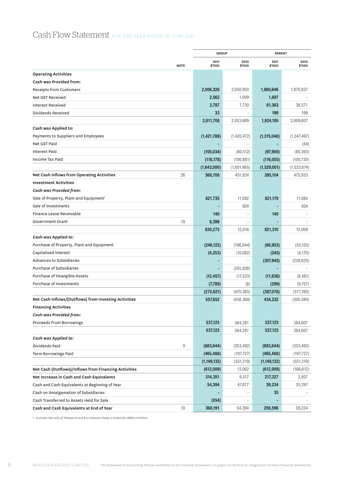# Cash Flow Statement FOR THE YEAR ENDED 30 JUNE 2011

|                                                       | <b>GROUP</b>   |                | <b>PARENT</b>  |                |
|-------------------------------------------------------|----------------|----------------|----------------|----------------|
| <b>NOTE</b>                                           | 2011<br>\$'000 | 2010<br>\$'000 | 2011<br>\$'000 | 2010<br>\$'000 |
| <b>Operating Activities</b>                           |                |                |                |                |
| Cash was Provided from:                               |                |                |                |                |
| <b>Receipts from Customers</b>                        | 2,006,326      | 2,050,950      | 1,860,646      | 1,970,837      |
| Net GST Received                                      | 2,562          | 1,009          | 1,897          |                |
| <b>Interest Received</b>                              | 2,787          | 1,730          | 61,363         | 38,571         |
| Dividends Received                                    | 33             |                | 199            | 199            |
|                                                       | 2,011,708      | 2,053,689      | 1,924,105      | 2,009,607      |
| Cash was Applied to:                                  |                |                |                |                |
| Payments to Suppliers and Employees                   | (1,421,788)    | (1,420,472)    | (1,315,046)    | (1, 347, 497)  |
| Net GST Paid                                          |                |                |                | (54)           |
| <b>Interest Paid</b>                                  | (105, 034)     | (80, 512)      | (97,900)       | (85, 393)      |
| Income Tax Paid                                       | (116, 178)     | (100, 881)     | (116, 055)     | (100, 730)     |
|                                                       | (1,643,000)    | (1,601,865)    | (1,529,001)    | (1,533,674)    |
| 26<br>Net Cash Inflows from Operating Activities      | 368,708        | 451,824        | 395,104        | 475,933        |
| <b>Investment Activities</b>                          |                |                |                |                |
| Cash was Provided from:                               |                |                |                |                |
| Sale of Property, Plant and Equipment <sup>1</sup>    | 821,735        | 11,092         | 821,170        | 11,084         |
| Sale of Investments                                   |                | 924            |                | 924            |
| Finance Lease Receivable                              | 140            |                | 140            |                |
| 19<br>Government Grant                                | 8,398          |                |                |                |
|                                                       | 830,273        | 12,016         | 821,310        | 12,008         |
| Cash was Applied to:                                  |                |                |                |                |
| Purchase of Property, Plant and Equipment             | (248, 122)     | (196, 944)     | (66, 953)      | (55, 155)      |
| Capitalised Interest                                  | (4,253)        | (10,082)       | (245)          | (4,170)        |
| Advances to Subsidiaries                              |                |                | (307, 945)     | (239, 829)     |
| Purchase of Subsidiaries                              |                | (245, 828)     |                |                |
| Purchase of Intangible Assets                         | (12, 457)      | (17, 523)      | (11, 636)      | (8,481)        |
| Purchase of Investments                               | (7,789)        | (8)            | (299)          | (9,757)        |
|                                                       | (272, 621)     | (470, 385)     | (387,078)      | (317, 392)     |
| Net Cash Inflows/(Outflows) from Investing Activities | 557,652        | (458, 369)     | 434,232        | (305, 384)     |
| <b>Financing Activities</b>                           |                |                |                |                |
| Cash was Provided from:                               |                |                |                |                |
| Proceeds From Borrowings                              | 537,123        | 564,281        | 537,123        | 384,607        |
|                                                       | 537,123        | 564,281        | 537,123        | 384,607        |
| Cash was Applied to:                                  |                |                |                |                |
| Dividends Paid<br>9                                   | (683, 644)     | (353, 492)     | (683, 644)     | (353, 492)     |
| Term Borrowings Paid                                  | (465, 488)     | (197, 727)     | (465, 488)     | (197, 727)     |
|                                                       | (1,149,132)    | (551, 219)     | (1, 149, 132)  | (551, 219)     |
| Net Cash (Outflows)/Inflows from Financing Activities | (612,009)      | 13,062         | (612,009)      | (166, 612)     |
| Net Increase in Cash and Cash Equivalents             | 314,351        | 6,517          | 217,327        | 3,937          |
| Cash and Cash Equivalents at Beginning of Year        | 54,394         | 47,877         | 39,234         | 35,297         |
| Cash on Amalgamation of Subsidiaries                  |                |                | 35             |                |
| Cash Transferred to Assets Held for Sale              | (554)          |                |                |                |
| 10<br>Cash and Cash Equivalents at End of Year        | 368,191        | 54,394         | 256,596        | 39,234         |

*1 Includes the sale of Tekapo A and B to Genesis Power Limited for \$820.2 million.*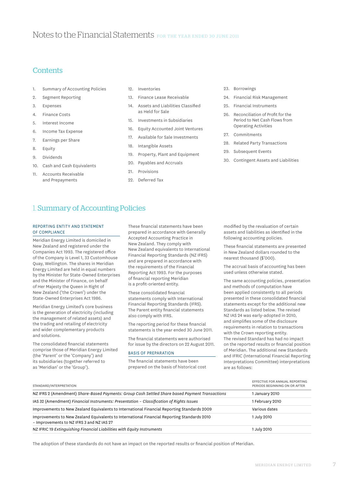# **Contents**

- 1. Summary of Accounting Policies
- 2. Segment Reporting
- 3. Expenses
- 4. Finance Costs
- 5. Interest Income
- 6. Income Tax Expense
- 7. Earnings per Share
- 8. Equity
- 9. Dividends
- 10. Cash and Cash Equivalents
- 11. Accounts Receivable and Prepayments
- 12. Inventories
- 13. Finance Lease Receivable
- 14. Assets and Liabilities Classified as Held for Sale
- 15. Investments in Subsidiaries
- 16. Equity Accounted Joint Ventures
- 17. Available for Sale Investments
- 18. Intangible Assets
- 19. Property, Plant and Equipment
- 20. Payables and Accruals
- 21. Provisions
- 22. Deferred Tax
- 23. Borrowings
- 24. Financial Risk Management
- 25. Financial Instruments
- 26. Reconciliation of Profit for the Period to Net Cash Flows from Operating Activities
- 27. Commitments
- 28. Related Party Transactions
- 29. Subsequent Events
- 30. Contingent Assets and Liabilities

# 1. Summary of Accounting Policies

### Reporting Entity and Statement of Compliance

Meridian Energy Limited is domiciled in New Zealand and registered under the Companies Act 1993. The registered office of the Company is Level 1, 33 Customhouse Quay, Wellington. The shares in Meridian Energy Limited are held in equal numbers by the Minister for State-Owned Enterprises and the Minister of Finance, on behalf of Her Majesty the Queen in Right of New Zealand ('the Crown') under the State-Owned Enterprises Act 1986.

Meridian Energy Limited's core business is the generation of electricity (including the management of related assets) and the trading and retailing of electricity and wider complementary products and solutions.

The consolidated financial statements comprise those of Meridian Energy Limited (the 'Parent' or the 'Company') and its subsidiaries (together referred to as 'Meridian' or the 'Group').

These financial statements have been prepared in accordance with Generally Accepted Accounting Practice in New Zealand. They comply with New Zealand equivalents to International Financial Reporting Standards (NZ IFRS) and are prepared in accordance with the requirements of the Financial Reporting Act 1993. For the purposes of financial reporting Meridian is a profit-oriented entity.

These consolidated financial statements comply with International Financial Reporting Standards (IFRS). The Parent entity financial statements also comply with IFRS.

The reporting period for these financial statements is the year ended 30 June 2011.

The financial statements were authorised for issue by the directors on 22 August 2011.

#### Basis of Preparation

The financial statements have been prepared on the basis of historical cost

modified by the revaluation of certain assets and liabilities as identified in the following accounting policies.

These financial statements are presented in New Zealand dollars rounded to the nearest thousand (\$'000).

The accrual basis of accounting has been used unless otherwise stated.

The same accounting policies, presentation and methods of computation have been applied consistently to all periods presented in these consolidated financial statements except for the additional new Standards as listed below. The revised NZ IAS 24 was early-adopted in 2010, and simplifies some of the disclosure requirements in relation to transactions with the Crown reporting entity. The revised Standard has had no impact on the reported results or financial position of Meridian. The additional new Standards and IFRIC (International Financial Reporting Interpretations Committee) interpretations are as follows:

| STANDARD/INTERPRETATION                                                                                                                  | EFFECTIVE FOR ANNUAL REPORTING<br>PERIODS BEGINNING ON OR AFTER |
|------------------------------------------------------------------------------------------------------------------------------------------|-----------------------------------------------------------------|
| NZ IFRS 2 (Amendment) Share-Based Payments: Group Cash Settled Share based Payment Transactions                                          | 1 January 2010                                                  |
| IAS 32 (Amendment) Financial Instruments: Presentation - Classification of Rights Issues                                                 | 1 February 2010                                                 |
| Improvements to New Zealand Equivalents to International Financial Reporting Standards 2009                                              | Various dates                                                   |
| Improvements to New Zealand Equivalents to International Financial Reporting Standards 2010<br>- Improvements to NZ IFRS 3 and NZ IAS 27 | 1 July 2010                                                     |
| NZ IFRIC 19 Extinguishing Financial Liabilities with Equity Instruments                                                                  | 1 July 2010                                                     |

The adoption of these standards do not have an impact on the reported results or financial position of Meridian.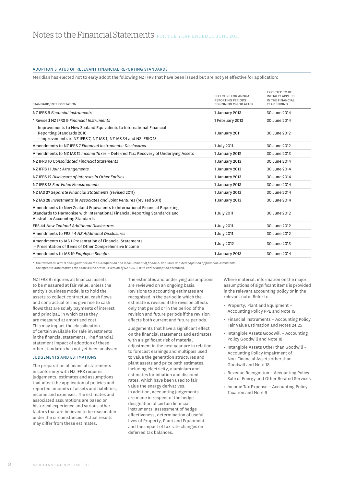### Adoption Status of Relevant Financial Reporting Standards

Meridian has elected not to early adopt the following NZ IFRS that have been issued but are not yet effective for application:

| STANDARD/INTERPRETATION                                                                                                                                                                      | <b>EFFECTIVE FOR ANNUAL</b><br><b>REPORTING PERIODS</b><br><b>BEGINNING ON OR AFTER</b> | <b>EXPECTED TO BE</b><br>INITIALLY APPLIED<br>IN THE FINANCIAL<br>YEAR ENDING |
|----------------------------------------------------------------------------------------------------------------------------------------------------------------------------------------------|-----------------------------------------------------------------------------------------|-------------------------------------------------------------------------------|
| NZ IFRS 9 Financial Instruments                                                                                                                                                              | 1 January 2013                                                                          | 30 June 2014                                                                  |
| * Revised NZ IFRS 9 Financial Instruments                                                                                                                                                    | 1 February 2013                                                                         | 30 June 2014                                                                  |
| Improvements to New Zealand Equivalents to International Financial<br>Reporting Standards 2010<br>· Improvements to NZ IFRS 7, NZ IAS 1, NZ IAS 34 and NZ IFRIC 13                           | 1 January 2011                                                                          | 30 June 2012                                                                  |
| Amendments to NZ IFRS 7 Financial Instruments: Disclosures                                                                                                                                   | 1 July 2011                                                                             | 30 June 2012                                                                  |
| Amendments to NZ IAS 12 Income Taxes - Deferred Tax: Recovery of Underlying Assets                                                                                                           | 1 January 2012                                                                          | 30 June 2013                                                                  |
| NZ IFRS 10 Consolidated Financial Statements                                                                                                                                                 | 1 January 2013                                                                          | 30 June 2014                                                                  |
| NZ IFRS 11 Joint Arrangements                                                                                                                                                                | 1 January 2013                                                                          | 30 June 2014                                                                  |
| NZ IFRS 12 Disclosure of Interests in Other Entities                                                                                                                                         | 1 January 2013                                                                          | 30 June 2014                                                                  |
| NZ IFRS 13 Fair Value Measurements                                                                                                                                                           | 1 January 2013                                                                          | 30 June 2014                                                                  |
| NZ IAS 27 Separate Financial Statements (revised 2011)                                                                                                                                       | 1 January 2013                                                                          | 30 June 2014                                                                  |
| NZ IAS 28 Investments in Associates and Joint Ventures (revised 2011)                                                                                                                        | 1 January 2013                                                                          | 30 June 2014                                                                  |
| Amendments to New Zealand Equivalents to International Financial Reporting<br>Standards to Harmonise with International Financial Reporting Standards and<br>Australian Accounting Standards | 1 July 2011                                                                             | 30 June 2012                                                                  |
| <b>FRS 44 New Zealand Additional Disclosures</b>                                                                                                                                             | 1 July 2011                                                                             | 30 June 2012                                                                  |
| Amendments to FRS 44 NZ Additional Disclosures                                                                                                                                               | 1 July 2011                                                                             | 30 June 2012                                                                  |
| Amendments to IAS 1 Presentation of Financial Statements<br>- Presentation of Items of Other Comprehensive Income                                                                            | 1 July 2012                                                                             | 30 June 2013                                                                  |
| Amendments to IAS 19 Employee Benefits                                                                                                                                                       | 1 January 2013                                                                          | 30 June 2014                                                                  |

*\* The revised NZ IFRS 9 adds guidance on the classification and measurement of financial liabilities and derecognition of financial instruments.*

*The effective date remains the same as the previous version of NZ IFRS 9, with earlier adoption permitted.*

NZ IFRS 9 requires all financial assets to be measured at fair value, unless the entity's business model is to hold the assets to collect contractual cash flows and contractual terms give rise to cash flows that are solely payments of interest and principal, in which case they are measured at amortised cost. This may impact the classification of certain available for sale investments in the financial statements. The financial statement impact of adoption of these other standards has not yet been analysed.

# Judgements and Estimations

The preparation of financial statements in conformity with NZ IFRS requires judgements, estimates and assumptions that affect the application of policies and reported amounts of assets and liabilities, income and expenses. The estimates and associated assumptions are based on historical experience and various other factors that are believed to be reasonable under the circumstances. Actual results may differ from these estimates.

The estimates and underlying assumptions are reviewed on an ongoing basis. Revisions to accounting estimates are recognised in the period in which the estimate is revised if the revision affects only that period or in the period of the revision and future periods if the revision affects both current and future periods.

Judgements that have a significant effect on the financial statements and estimates with a significant risk of material adjustment in the next year are in relation to forecast earnings and multiples used to value the generation structures and plant assets and price path estimates, including electricity, aluminium and estimates for inflation and discount rates, which have been used to fair value the energy derivatives. In addition, accounting judgements are made in respect of the hedge designation of certain financial instruments, assessment of hedge effectiveness, determination of useful lives of Property, Plant and Equipment and the impact of tax rate changes on deferred tax balances.

Where material, information on the major assumptions of significant items is provided in the relevant accounting policy or in the relevant note. Refer to:

- • Property, Plant and Equipment Accounting Policy PPE and Note 19
- • Financial Instruments Accounting Policy Fair Value Estimation and Notes 24,25
- • Intangible Assets Goodwill Accounting Policy Goodwill and Note 18
- • Intangible Assets Other than Goodwill Accounting Policy Impairment of Non-Financial Assets other than Goodwill and Note 18
- Revenue Recognition Accounting Policy Sale of Energy and Other Related Services
- Income Tax Expense Accounting Policy Taxation and Note 6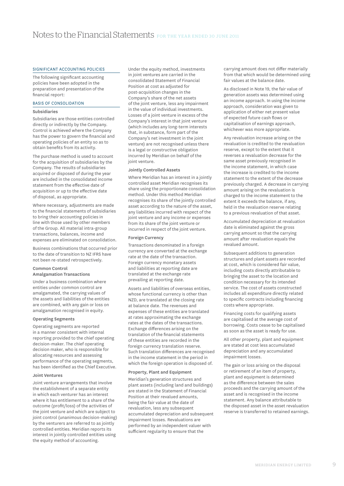### Significant Accounting Policies

The following significant accounting policies have been adopted in the preparation and presentation of the financial report:

### Basis of Consolidation

### Subsidiaries

Subsidiaries are those entities controlled directly or indirectly by the Company. Control is achieved where the Company has the power to govern the financial and operating policies of an entity so as to obtain benefits from its activity.

The purchase method is used to account for the acquisition of subsidiaries by the Company. The results of subsidiaries acquired or disposed of during the year are included in the consolidated income statement from the effective date of acquisition or up to the effective date of disposal, as appropriate.

Where necessary, adjustments are made to the financial statements of subsidiaries to bring their accounting policies in line with those used by other members of the Group. All material intra-group transactions, balances, income and expenses are eliminated on consolidation.

Business combinations that occurred prior to the date of transition to NZ IFRS have not been re-stated retrospectively.

#### Common Control Amalgamation Transactions

Under a business combination where entities under common control are amalgamated, the carrying values of the assets and liabilities of the entities are combined, with any gain or loss on amalgamation recognised in equity.

#### Operating Segments

Operating segments are reported in a manner consistent with internal reporting provided to the chief operating decision-maker. The chief operating decision maker, who is responsible for allocating resources and assessing performance of the operating segments, has been identified as the Chief Executive.

#### Joint Ventures

Joint venture arrangements that involve the establishment of a separate entity in which each venturer has an interest where it has entitlement to a share of the outcome (profit/loss) of the activities of the joint venture and which are subject to joint control (unanimous decision-making) by the venturers are referred to as jointly controlled entities. Meridian reports its interest in jointly controlled entities using the equity method of accounting.

Under the equity method, investments in joint ventures are carried in the consolidated Statement of Financial Position at cost as adjusted for post-acquisition changes in the Company's share of the net assets of the joint venture, less any impairment in the value of individual investments. Losses of a joint venture in excess of the Company's interest in that joint venture (which includes any long-term interests that, in substance, form part of the Company's net investment in the joint venture) are not recognised unless there is a legal or constructive obligation incurred by Meridian on behalf of the ioint venture.

### Jointly Controlled Assets

Where Meridian has an interest in a jointly controlled asset Meridian recognises its share using the proportionate consolidation method. Under this method Meridian recognises its share of the jointly controlled asset according to the nature of the asset, any liabilities incurred with respect of the joint venture and any income or expenses from its share of the joint venture or incurred in respect of the joint venture.

### Foreign Currency

Transactions denominated in a foreign currency are converted at the exchange rate at the date of the transaction. Foreign currency monetary assets and liabilities at reporting date are translated at the exchange rate prevailing at reporting date.

Assets and liabilities of overseas entities, whose functional currency is other than NZD, are translated at the closing rate at balance date. The revenues and expenses of these entities are translated at rates approximating the exchange rates at the dates of the transactions. Exchange differences arising on the translation of the financial statements of these entities are recorded in the foreign currency translation reserve. Such translation differences are recognised in the income statement in the period in which the foreign operation is disposed of.

#### Property, Plant and Equipment

Meridian's generation structures and plant assets (including land and buildings) are stated in the Statement of Financial Position at their revalued amounts, being the fair value at the date of revaluation, less any subsequent accumulated depreciation and subsequent impairment losses. Revaluations are performed by an independent valuer with sufficient regularity to ensure that the

carrying amount does not differ materially from that which would be determined using fair values at the balance date.

As disclosed in Note 19, the fair value of generation assets was determined using an income approach. In using the income approach, consideration was given to application of either net present value of expected future cash flows or capitalisation of earnings approach, whichever was more appropriate.

Any revaluation increase arising on the revaluation is credited to the revaluation reserve, except to the extent that it reverses a revaluation decrease for the same asset previously recognised in the income statement, in which case the increase is credited to the income statement to the extent of the decrease previously charged. A decrease in carrying amount arising on the revaluation is charged to the income statement to the extent it exceeds the balance, if any, held in the revaluation reserve relating to a previous revaluation of that asset.

Accumulated depreciation at revaluation date is eliminated against the gross carrying amount so that the carrying amount after revaluation equals the revalued amount.

Subsequent additions to generation structures and plant assets are recorded at cost, which is considered fair value, including costs directly attributable to bringing the asset to the location and condition necessary for its intended service. The cost of assets constructed includes all expenditure directly related to specific contracts including financing costs where appropriate.

Financing costs for qualifying assets are capitalised at the average cost of borrowing. Costs cease to be capitalised as soon as the asset is ready for use.

All other property, plant and equipment are stated at cost less accumulated depreciation and any accumulated impairment losses.

The gain or loss arising on the disposal or retirement of an item of property, plant and equipment is determined as the difference between the sales proceeds and the carrying amount of the asset and is recognised in the income statement. Any balance attributable to the disposed asset in the asset revaluation reserve is transferred to retained earnings.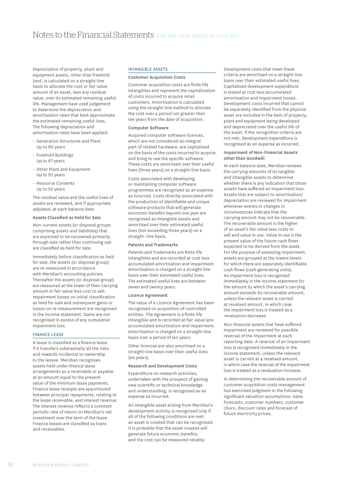Depreciation of property, plant and equipment assets, other than freehold land, is calculated on a straight-line basis to allocate the cost or fair value amount of an asset, less any residual value, over its estimated remaining useful life. Management have used judgement to determine the depreciation and amortisation rates that best approximate the estimated remaining useful lives. The following depreciation and amortisation rates have been applied:

- • Generation Structures and Plant Up to 80 years
- • Freehold Buildings Up to 67 years
- • Other Plant and Equipment Up to 20 years
- • Resource Consents Up to 50 years

The residual value and the useful lives of assets are reviewed, and if appropriate adjusted, at each balance date.

### Assets Classified as Held for Sale

Non-current assets (or disposal groups comprising assets and liabilities) that are expected to be recovered primarily through sale rather than continuing use are classified as held for sale.

Immediately before classification as held for sale, the assets (or disposal group) are re-measured in accordance with Meridian's accounting policies. Thereafter the assets (or disposal group) are measured at the lower of their carrying amount or fair value less cost to sell. Impairment losses on initial classification as held for sale and subsequent gains or losses on re-measurement are recognised in the income statement. Gains are not recognised in excess of any cumulative impairment loss.

### Finance Lease

A lease is classified as a finance lease if it transfers substantially all the risks and rewards incidental to ownership to the lessee. Meridian recognises assets held under finance lease arrangements as a receivable or payable at an amount equal to the present value of the minimum lease payments. Finance lease receipts are apportioned between principal repayments, relating to the lease receivable, and interest revenue. The interest revenue reflects a constant periodic rate of return on Meridian's net investment over the term of the lease. Finance leases are classified as loans and receivables.

#### Intangible Assets

# Customer Acquisition Costs

Customer acquisition costs are finite life intangibles and represent the capitalisation of costs incurred to acquire retail customers. Amortisation is calculated using the straight-line method to allocate the cost over a period not greater than ten years from the date of acquisition.

### Computer Software

Acquired computer software licences, which are not considered an integral part of related hardware, are capitalised on the basis of the costs incurred to acquire and bring to use the specific software. These costs are amortised over their useful lives (three years) on a straight-line basis.

Costs associated with developing or maintaining computer software programmes are recognised as an expense as incurred. Costs directly associated with the production of identifiable and unique software products that will generate economic benefits beyond one year are recognised as intangible assets and amortised over their estimated useful lives (not exceeding three years) on a straight- line basis.

### Patents and Trademarks

Patents and Trademarks are finite life intangibles and are recorded at cost less accumulated amortisation and impairment. Amortisation is charged on a straight line basis over their estimated useful lives. The estimated useful lives are between seven and twenty years.

#### Licence Agreement

The value of a Licence Agreement has been recognised on acquisition of controlled entities. The Agreement is a finite life intangible and is recorded at fair value less accumulated amortisation and impairment. Amortisation is charged on a straight-line basis over a period of ten years.

Other licences are also amortised on a straight-line basis over their useful lives (six years).

#### Research and Development Costs

Expenditure on research activities, undertaken with the prospect of gaining new scientific or technical knowledge and understanding, is recognised as an expense as incurred.

An intangible asset arising from Meridian's development activity is recognised only if all of the following conditions are met: an asset is created that can be recognised; it is probable that the asset created will generate future economic benefits; and the cost can be measured reliably.

Development costs that meet these criteria are amortised on a straight-line basis over their estimated useful lives. Capitalised development expenditure is stated at cost less accumulated amortisation and impairment losses. Development costs incurred that cannot be separately identified from the physical asset are included in the item of property, plant and equipment being developed and depreciated over the useful life of the asset. If the recognition criteria are not met, development expenditure is recognised as an expense as incurred.

## Impairment of Non-Financial Assets other than Goodwill

At each balance date, Meridian reviews the carrying amounts of its tangible and intangible assets to determine whether there is any indication that those assets have suffered an impairment loss. Assets that are subject to amortisation/ depreciation are reviewed for impairment whenever events or changes in circumstances indicate that the carrying amount may not be recoverable. The recoverable amount is the higher of an asset's fair value less costs to sell and value in use. Value in use is the present value of the future cash flows expected to be derived from the asset. For the purpose of assessing impairment, assets are grouped at the lowest levels for which there are separately identifiable cash flows (cash generating units). An impairment loss is recognised immediately in the income statement for the amount by which the asset's carrying amount exceeds its recoverable amount, unless the relevant asset is carried at revalued amount, in which case the impairment loss is treated as a revaluation decrease.

Non-financial assets that have suffered impairment are reviewed for possible reversal of the impairment at each reporting date. A reversal of an impairment loss is recognised immediately in the income statement, unless the relevant asset is carried at a revalued amount, in which case the reversal of the impairment loss is treated as a revaluation increase.

In determining the recoverable amount of customer acquisition costs management has exercised judgment in the following significant valuation assumptions: sales forecasts, customer numbers, customer churn, discount rates and forecast of future electricity prices.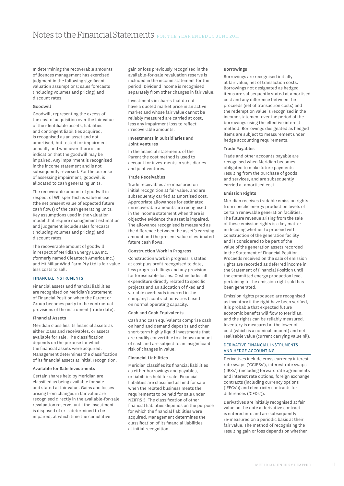In determining the recoverable amounts of licences management has exercised judgment in the following significant valuation assumptions; sales forecasts (including volumes and pricing) and discount rates.

### Goodwill

Goodwill, representing the excess of the cost of acquisition over the fair value of the identifiable assets, liabilities and contingent liabilities acquired, is recognised as an asset and not amortised, but tested for impairment annually and whenever there is an indication that the goodwill may be impaired. Any impairment is recognised in the income statement and is not subsequently reversed. For the purpose of assessing impairment, goodwill is allocated to cash generating units.

The recoverable amount of goodwill in respect of Whisper Tech is value in use (the net present value of expected future cash flows) of the cash generating units. Key assumptions used in the valuation model that require management estimation and judgement include sales forecasts (including volumes and pricing) and discount rates.

The recoverable amount of goodwill in respect of Meridian Energy USA Inc. (formerly named Cleantech America Inc.) and Mt Millar Wind Farm Pty Ltd is fair value less costs to sell.

### Financial Instruments

Financial assets and financial liabilities are recognised on Meridian's Statement of Financial Position when the Parent or Group becomes party to the contractual provisions of the instrument (trade date).

#### Financial Assets

Meridian classifies its financial assets as either loans and receivables, or assets available for sale. The classification depends on the purpose for which the financial assets were acquired. Management determines the classification of its financial assets at initial recognition.

#### Available for Sale Investments

Certain shares held by Meridian are classified as being available for sale and stated at fair value. Gains and losses arising from changes in fair value are recognised directly in the available-for-sale revaluation reserve, until the investment is disposed of or is determined to be impaired, at which time the cumulative

gain or loss previously recognised in the available-for-sale revaluation reserve is included in the income statement for the period. Dividend income is recognised separately from other changes in fair value.

Investments in shares that do not have a quoted market price in an active market and whose fair value cannot be reliably measured are carried at cost, less any impairment loss to reflect irrecoverable amounts.

### Investments in Subsidiaries and Joint Ventures

In the financial statements of the Parent the cost method is used to account for investments in subsidiaries and joint ventures.

### Trade Receivables

Trade receivables are measured on initial recognition at fair value, and are subsequently carried at amortised cost. Appropriate allowances for estimated unrecoverable amounts are recognised in the income statement when there is objective evidence the asset is impaired. The allowance recognised is measured as the difference between the asset's carrying amount and the present value of estimated future cash flows.

### Construction Work in Progress

Construction work in progress is stated at cost plus profit recognised to date, less progress billings and any provision for foreseeable losses. Cost includes all expenditure directly related to specific projects and an allocation of fixed and variable overheads incurred in the company's contract activities based on normal operating capacity.

## Cash and Cash Equivalents

Cash and cash equivalents comprise cash on hand and demand deposits and other short-term highly liquid investments that are readily convertible to a known amount of cash and are subject to an insignificant risk of changes in value.

#### Financial Liabilities

Meridian classifies its financial liabilities as either borrowings and payables, or liabilities held for sale. Financial liabilities are classified as held for sale when the related business meets the requirements to be held for sale under NZIFRS 5. The classification of other financial liabilities depends on the purpose for which the financial liabilities were acquired. Management determines the classification of its financial liabilities at initial recognition.

#### Borrowings

Borrowings are recognised initially at fair value, net of transaction costs. Borrowings not designated as hedged items are subsequently stated at amortised cost and any difference between the proceeds (net of transaction costs) and the redemption value is recognised in the income statement over the period of the borrowings using the effective interest method. Borrowings designated as hedged items are subject to measurement under hedge accounting requirements.

#### Trade Payables

Trade and other accounts payable are recognised when Meridian becomes obligated to make future payments resulting from the purchase of goods and services, and are subsequently carried at amortised cost.

### Emission Rights

Meridian receives tradable emission rights from specific energy production levels of certain renewable generation facilities. The future revenue arising from the sale of these emission rights is a key matter in deciding whether to proceed with construction of the generation facility and is considered to be part of the value of the generation assets recorded in the Statement of Financial Position. Proceeds received on the sale of emission rights are recorded as deferred income in the Statement of Financial Position until the committed energy production level pertaining to the emission right sold has been generated.

Emission rights produced are recognised as inventory if the right have been verified, it is probable that expected future economic benefits will flow to Meridian, and the rights can be reliably measured. Inventory is measured at the lower of cost (which is a nominal amount) and net realisable value (current carrying value nil).

### Derivative Financial Instruments and Hedge Accounting

Derivatives include cross currency interest rate swaps ('CCIRSs'), interest rate swaps ('IRSs') (including forward rate agreements and interest rate options, foreign exchange contracts (including currency options ('FECs')) and electricity contracts for differences ('CFDs')).

Derivatives are initially recognised at fair value on the date a derivative contract is entered into and are subsequently re-measured on a periodic basis at their fair value. The method of recognising the resulting gain or loss depends on whether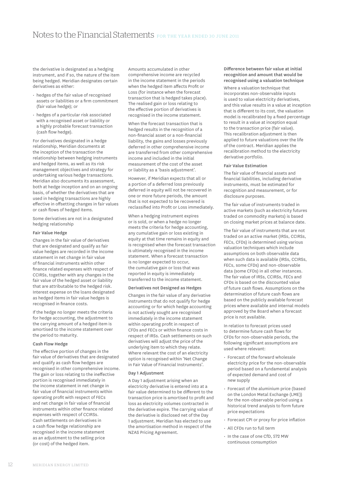the derivative is designated as a hedging instrument, and if so, the nature of the item being hedged. Meridian designates certain derivatives as either:

- $\cdot$  hedges of the fair value of recognised assets or liabilities or a firm commitment (fair value hedge); or
- • hedges of a particular risk associated with a recognised asset or liability or a highly probable forecast transaction (cash flow hedge).

For derivatives designated in a hedge relationship, Meridian documents at the inception of the transaction the relationship between hedging instruments and hedged items, as well as its risk management objectives and strategy for undertaking various hedge transactions. Meridian also documents its assessment, both at hedge inception and on an ongoing basis, of whether the derivatives that are used in hedging transactions are highly effective in offsetting changes in fair values or cash flows of hedged items.

Some derivatives are not in a designated hedging relationship

### Fair Value Hedge

Changes in the fair value of derivatives that are designated and qualify as fair value hedges are recorded in the income statement in net change in fair value of financial instruments within other finance related expenses with respect of CCIRSs, together with any changes in the fair value of the hedged asset or liability that are attributable to the hedged risk. Interest expense on the loans designated as hedged items in fair value hedges is recognised in finance costs.

If the hedge no longer meets the criteria for hedge accounting, the adjustment to the carrying amount of a hedged item is amortised to the income statement over the period to maturity.

### Cash Flow Hedge

The effective portion of changes in the fair value of derivatives that are designated and qualify as cash flow hedges are recognised in other comprehensive income. The gain or loss relating to the ineffective portion is recognised immediately in the income statement in net change in fair value of financial instruments within operating profit with respect of FECs and net change in fair value of financial instruments within other finance related expenses with respect of CCIRSs. Cash settlements on derivatives in a cash flow hedge relationship are recognised in the income statement as an adjustment to the selling price (or cost) of the hedged item.

Amounts accumulated in other comprehensive income are recycled in the income statement in the periods when the hedged item affects Profit or Loss (for instance when the forecast transaction that is hedged takes place). The realised gain or loss relating to the effective portion of derivatives is recognised in the income statement.

When the forecast transaction that is hedged results in the recognition of a non-financial asset or a non-financial liability, the gains and losses previously deferred in other comprehensive income are transferred from other comprehensive income and included in the initial measurement of the cost of the asset or liability as a 'basis adjustment'.

However, if Meridian expects that all or a portion of a deferred loss previously deferred in equity will not be recovered in one or more future periods, the amount that is not expected to be recovered is reclassified into Profit or Loss immediately.

When a hedging instrument expires or is sold, or when a hedge no longer meets the criteria for hedge accounting, any cumulative gain or loss existing in equity at that time remains in equity and is recognised when the forecast transaction is ultimately recognised in the income statement. When a forecast transaction is no longer expected to occur, the cumulative gain or loss that was reported in equity is immediately transferred to the income statement.

#### Derivatives not Designed as Hedges

Changes in the fair value of any derivative instruments that do not qualify for hedge accounting or for which hedge accounting is not actively sought are recognised immediately in the income statement within operating profit in respect of CFDs and FECs or within finance costs in respect of IRSs. Cash settlements on such derivatives will adjust the price of the underlying item to which they relate. Where relevant the cost of an electricity option is recognised within 'Net Change in Fair Value of Financial Instruments'.

#### Day 1 Adjustment

A Day 1 adjustment arising when an electricity derivative is entered into at a fair value determined to be different to the transaction price is amortised to profit and loss as electricity volumes contracted in the derivative expire. The carrying value of the derivative is disclosed net of the Day 1 adjustment. Meridian has elected to use the amortisation method in respect of the NZAS Pricing Agreement.

### Difference between fair value at initial recognition and amount that would be recognised using a valuation technique

Where a valuation technique that incorporates non-observable inputs is used to value electricity derivatives, and this value results in a value at inception that is different to its cost, the valuation model is recalibrated by a fixed percentage to result in a value at inception equal to the transaction price (fair value). This recalibration adjustment is then applied to future valuations over the life of the contract. Meridian applies the recalibration method to the electricity derivative portfolio.

### Fair Value Estimation

The fair value of financial assets and financial liabilities, including derivative instruments, must be estimated for recognition and measurement, or for disclosure purposes.

The fair value of instruments traded in active markets (such as electricity futures traded on commodity markets) is based on closing market prices at balance date.

The fair value of instruments that are not traded on an active market (IRSs, CCIRSs, FECs, CFDs) is determined using various valuation techniques which include assumptions on both observable data when such data is available (IRSs, CCIRSs, FECs, some CFDs) and non-observable data (some CFDs) in all other instances. The fair value of IRSs, CCIRSs, FECs and CFDs is based on the discounted value of future cash flows. Assumptions on the determination of future cash flows are based on the publicly available forecast prices where available and internal models approved by the Board when a forecast price is not available.

In relation to forecast prices used to determine future cash flows for CFDs for non-observable periods, the following significant assumptions are used where relevant:

- • Forecast of the forward wholesale electricity price for the non-observable period based on a fundamental analysis of expected demand and cost of new supply
- • Forecast of the aluminium price (based on the London Metal Exchange (LME)) for the non-observable period using a historical trend analysis to form future price expectations
- • Forecast CPI or proxy for price inflation
- • All CFDs run to full term
- • In the case of one CfD, 572 MW continuous consumption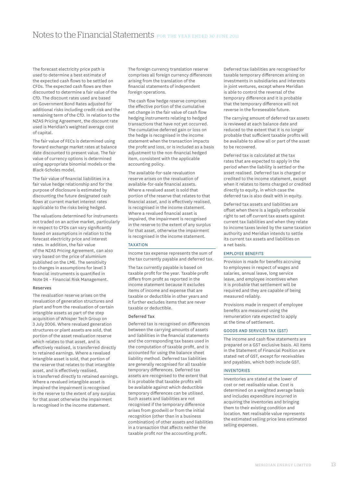The forecast electricity price path is used to determine a best estimate of the expected cash flows to be settled on CFDs. The expected cash flows are then discounted to determine a fair value of the CfD. The discount rates used are based on Government Bond Rates adjusted for additional risks including credit risk and the remaining term of the CfD. In relation to the NZAS Pricing Agreement, the discount rate used is Meridian's weighted average cost of capital.

The fair value of FECs is determined using forward exchange market rates at balance date discounted to present value. The fair value of currency options is determined using appropriate binomial models or the Black-Scholes model.

The fair value of financial liabilities in a fair value hedge relationship and for the purpose of disclosure is estimated by discounting the future designated cash flows at current market interest rates applicable to the risks being hedged.

The valuations determined for instruments not traded on an active market, particularly in respect to CFDs can vary significantly based on assumptions in relation to the forecast electricity price and interest rates. In addition, the fair value of the NZAS Pricing Agreement, can also vary based on the price of aluminium published on the LME. The sensitivity to changes in assumptions for level 3 financial instruments is quantified in Note 24 – Financial Risk Management.

### Reserves

The revaluation reserve arises on the revaluation of generation structures and plant and from the revaluation of certain intangible assets as part of the step acquisition of Whisper Tech Group on 3 July 2006. Where revalued generation structures or plant assets are sold, that portion of the asset revaluation reserve which relates to that asset, and is effectively realised, is transferred directly to retained earnings. Where a revalued intangible asset is sold, that portion of the reserve that relates to that intangible asset, and is effectively realised, is transferred directly to retained earnings. Where a revalued intangible asset is impaired the impairment is recognised in the reserve to the extent of any surplus for that asset otherwise the impairment is recognised in the income statement.

The foreign currency translation reserve comprises all foreign currency differences arising from the translation of the financial statements of independent foreign operations.

The cash flow hedge reserve comprises the effective portion of the cumulative net change in the fair value of cash flow hedging instruments relating to hedged transactions that have not yet occurred. The cumulative deferred gain or loss on the hedge is recognised in the income statement when the transaction impacts the profit and loss, or is included as a basis adjustment to the non-financial hedged item, consistent with the applicable accounting policy.

The available-for-sale revaluation reserve arises on the revaluation of available-for-sale financial assets. Where a revalued asset is sold that portion of the reserve that relates to that financial asset, and is effectively realised, is recognised in the income statement. Where a revalued financial asset is impaired, the impairment is recognised in the reserve to the extent of any surplus for that asset, otherwise the impairment is recognised in the income statement.

# **TAXATION**

Income tax expense represents the sum of the tax currently payable and deferred tax.

The tax currently payable is based on taxable profit for the year. Taxable profit differs from profit as reported in the income statement because it excludes items of income and expense that are taxable or deductible in other years and it further excludes items that are never taxable or deductible.

#### Deferred Tax

Deferred tax is recognised on differences between the carrying amounts of assets and liabilities in the financial statements and the corresponding tax bases used in the computation of taxable profit, and is accounted for using the balance sheet liability method. Deferred tax liabilities are generally recognised for all taxable temporary differences. Deferred tax assets are recognised to the extent that it is probable that taxable profits will be available against which deductible temporary differences can be utilised. Such assets and liabilities are not recognised if the temporary difference arises from goodwill or from the initial recognition (other than in a business combination) of other assets and liabilities in a transaction that affects neither the taxable profit nor the accounting profit.

Deferred tax liabilities are recognised for taxable temporary differences arising on investments in subsidiaries and interests in joint ventures, except where Meridian is able to control the reversal of the temporary difference and it is probable that the temporary difference will not reverse in the foreseeable future.

The carrying amount of deferred tax assets is reviewed at each balance date and reduced to the extent that it is no longer probable that sufficient taxable profits will be available to allow all or part of the asset to be recovered.

Deferred tax is calculated at the tax rates that are expected to apply in the period when the liability is settled or the asset realised. Deferred tax is charged or credited to the income statement, except when it relates to items charged or credited directly to equity, in which case the deferred tax is also dealt with in equity.

Deferred tax assets and liabilities are offset when there is a legally enforceable right to set off current tax assets against current tax liabilities and when they relate to income taxes levied by the same taxation authority and Meridian intends to settle its current tax assets and liabilities on a net basis.

# Employee Benefits

Provision is made for benefits accruing to employees in respect of wages and salaries, annual leave, long service leave, and employee incentives when it is probable that settlement will be required and they are capable of being measured reliably.

Provisions made in respect of employee benefits are measured using the remuneration rate expected to apply at the time of settlement.

# Goods and Services Tax (GST)

The income and cash flow statements are prepared on a GST exclusive basis. All items in the Statement of Financial Position are stated net of GST, except for receivables and payables, which both include GST.

### Inventories

Inventories are stated at the lower of cost or net realisable value. Cost is determined on a weighted average basis and includes expenditure incurred in acquiring the inventories and bringing them to their existing condition and location. Net realisable value represents the estimated selling price less estimated selling expenses.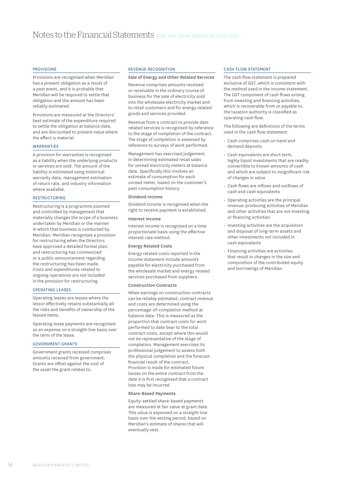### Provisions

Provisions are recognised when Meridian has a present obligation as a result of a past event, and it is probable that Meridian will be required to settle that obligation and the amount has been reliably estimated.

Provisions are measured at the Directors' best estimate of the expenditure required to settle the obligation at balance date, and are discounted to present value where the effect is material.

### **WARRANTIES**

A provision for warranties is recognised as a liability when the underlying products or services are sold. The amount of the liability is estimated using historical warranty data, management estimation of return rate, and industry information where available.

### **RESTRUCTURING**

Restructuring is a programme planned and controlled by management that materially changes the scope of a business undertaken by Meridian or the manner in which that business is conducted by Meridian. Meridian recognises a provision for restructuring when the Directors have approved a detailed formal plan, and restructuring has commenced or a public announcement regarding the restructuring has been made. Costs and expenditures related to ongoing operations are not included in the provision for restructuring.

#### Operating Leases

Operating leases are leases where the lessor effectively retains substantially all the risks and benefits of ownership of the leased items.

Operating lease payments are recognised as an expense on a straight-line basis over the term of the lease.

# Government Grants

Government grants received comprises amounts received from government. Grants are offset against the cost of the asset the grant relates to.

#### Revenue Recognition

### Sale of Energy and Other Related Services

Revenue comprises amounts received or receivable in the ordinary course of business for the sale of electricity sold into the wholesale electricity market and to retail customers and for energy related goods and services provided.

Revenue from a contract to provide dam related services is recognised by reference to the stage of completion of the contract. The stage of completion is assessed by reference to surveys of work performed.

Management has exercised judgement in determining estimated retail sales for unread electricity meters at balance date. Specifically this involves an estimate of consumption for each unread meter, based on the customer's past consumption history.

#### Dividend Income

Dividend income is recognised when the right to receive payment is established.

### Interest Income

Interest income is recognised on a time proportionate basis using the effective interest rate method.

### Energy Related Costs

Energy related costs reported in the income statement include amounts payable for electricity purchased from the wholesale market and energy related services purchased from suppliers.

### Construction Contracts

When earnings on construction contracts can be reliably estimated, contract revenue and costs are determined using the percentage-of-completion method at balance date. This is measured as the proportion that contract costs for work performed to date bear to the total contract costs, except where this would not be representative of the stage of completion. Management exercises its professional judgement to assess both the physical completion and the forecast financial result of the contract. Provision is made for estimated future losses on the entire contract from the date it is first recognised that a contract loss may be incurred.

### Share-Based Payments

Equity-settled share-based payments are measured at fair value at grant date. This value is expensed on a straight-line basis over the vesting period, based on Meridian's estimate of shares that will eventually vest.

#### Cash Flow Statement

The cash flow statement is prepared exclusive of GST, which is consistent with the method used in the income statement. The GST component of cash flows arising from investing and financing activities, which is recoverable from or payable to, the taxation authority is classified as operating cash flow.

The following are definitions of the terms used in the cash flow statement:

- • Cash comprises cash on hand and demand deposits
- • Cash equivalents are short term, highly liquid investments that are readily convertible to known amounts of cash and which are subject to insignificant risk of changes in value
- • Cash flows are inflows and outflows of cash and cash equivalents
- • Operating activities are the principal revenue-producing activities of Meridian and other activities that are not investing or financing activities
- Investing activities are the acquisition and disposal of long-term assets and other investments not included in cash equivalents
- • Financing activities are activities that result in changes in the size and composition of the contributed equity and borrowings of Meridian.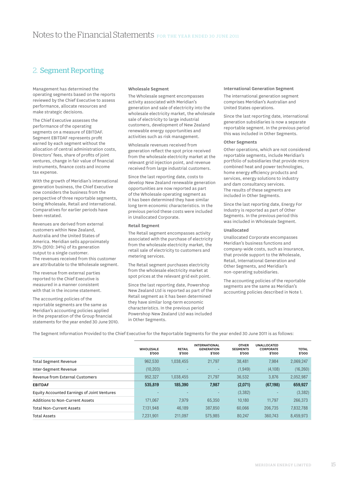# 2. Segment Reporting

Management has determined the operating segments based on the reports reviewed by the Chief Executive to assess performance, allocate resources and make strategic decisions.

The Chief Executive assesses the performance of the operating segments on a measure of EBITDAF. Segment EBITDAF represents profit earned by each segment without the allocation of central administration costs, Directors' fees, share of profits of joint ventures, change in fair value of financial instruments, finance costs and income tax expense

With the growth of Meridian's international generation business, the Chief Executive now considers the business from the perspective of three reportable segments, being Wholesale, Retail and International. Comparatives for earlier periods have been restated.

Revenues are derived from external customers within New Zealand, Australia and the United States of America. Meridian sells approximately 35% (2010: 34%) of its generation output to a single customer. The revenues received from this customer are attributable to the Wholesale segment.

The revenue from external parties reported to the Chief Executive is measured in a manner consistent with that in the income statement.

The accounting policies of the reportable segments are the same as Meridian's accounting policies applied in the preparation of the Group financial statements for the year ended 30 June 2010.

## Wholesale Segment

The Wholesale segment encompasses activity associated with Meridian's generation and sale of electricity into the wholesale electricity market, the wholesale sale of electricity to large industrial customers, development of New Zealand renewable energy opportunities and activities such as risk management.

Wholesale revenues received from generation reflect the spot price received from the wholesale electricity market at the relevant grid injection point, and revenue received from large industrial customers.

Since the last reporting date, costs to develop New Zealand renewable generation opportunities are now reported as part of the Wholesale operating segment as it has been determined they have similar long term economic characteristics. In the previous period these costs were included in Unallocated Corporate.

## Retail Segment

The Retail segment encompasses activity associated with the purchase of electricity from the wholesale electricity market, the retail sale of electricity to customers and metering services.

The Retail segment purchases electricity from the wholesale electricity market at spot prices at the relevant grid exit point.

Since the last reporting date, Powershop New Zealand Ltd is reported as part of the Retail segment as it has been determined they have similar long-term economic characteristics. In the previous period Powershop New Zealand Ltd was included in Other Segments.

#### International Generation Segment

The international generation segment comprises Meridian's Australian and United States operations.

Since the last reporting date, international generation subsidiaries is now a separate reportable segment. In the previous period this was included in Other Segments.

### Other Segments

Other operations, which are not considered reportable segments, include Meridian's portfolio of subsidiaries that provide micro combined heat and power technologies, home energy efficiency products and services, energy solutions to industry and dam consultancy services. The results of these segments are included in Other Segments.

Since the last reporting date, Energy For Industry is reported as part of Other Segments. In the previous period this was included in Wholesale Segment.

### Unallocated

Unallocated Corporate encompasses Meridian's business functions and company-wide costs, such as insurance, that provide support to the Wholesale, Retail, International Generation and Other Segments, and Meridian's non-operating subsidiaries.

The accounting policies of the reportable segments are the same as Meridian's accounting policies described in Note 1.

The Segment Information Provided to the Chief Executive for the Reportable Segments for the year ended 30 June 2011 is as follows:

| <b>WHOLESALE</b><br>\$'000 | <b>RETAIL</b><br>\$'000 | <b>INTERNATIONAL</b><br><b>GENERATION</b><br>\$'000 | <b>OTHER</b><br><b>SEGMENTS</b><br>\$'000 | <b>UNALLOCATED</b><br><b>CORPORATE</b><br>\$'000 | <b>TOTAL</b><br>\$'000 |
|----------------------------|-------------------------|-----------------------------------------------------|-------------------------------------------|--------------------------------------------------|------------------------|
| 962.530                    | 1.038.455               | 21.797                                              | 38.481                                    | 7.984                                            | 2,069,247              |
| (10, 203)                  |                         |                                                     | (1,949)                                   | (4,108)                                          | (16, 260)              |
| 952.327                    | 1.038.455               | 21.797                                              | 36.532                                    | 3.876                                            | 2,052,987              |
| 535,819                    | 185.390                 | 7.987                                               | (2,071)                                   | (67, 198)                                        | 659,927                |
|                            |                         |                                                     | (3,382)                                   |                                                  | (3,382)                |
| 171.067                    | 7.979                   | 65.350                                              | 10.180                                    | 11.797                                           | 266,373                |
| 7.131.948                  | 46.189                  | 387.850                                             | 60.066                                    | 206.735                                          | 7.832.788              |
| 7.231.901                  | 211.097                 | 575.985                                             | 80.247                                    | 360.743                                          | 8,459,973              |
|                            |                         |                                                     |                                           |                                                  |                        |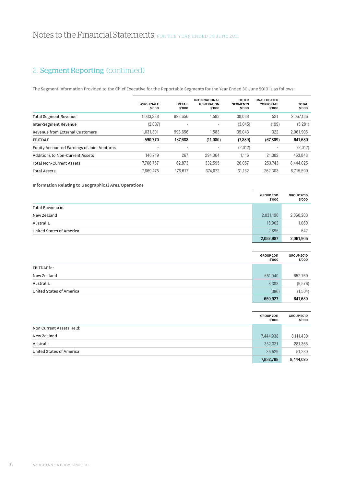# 2. Segment Reporting (continued)

The Segment Information Provided to the Chief Executive for the Reportable Segments for the Year Ended 30 June 2010 is as follows:

|                                             | <b>WHOLESALE</b><br>\$'000 | <b>RETAIL</b><br>\$'000  | <b>INTERNATIONAL</b><br><b>GENERATION</b><br>\$'000 | <b>OTHER</b><br><b>SEGMENTS</b><br>\$'000 | <b>UNALLOCATED</b><br><b>CORPORATE</b><br>\$'000 | <b>TOTAL</b><br>\$'000 |
|---------------------------------------------|----------------------------|--------------------------|-----------------------------------------------------|-------------------------------------------|--------------------------------------------------|------------------------|
| <b>Total Segment Revenue</b>                | 1,033,338                  | 993,656                  | 1,583                                               | 38,088                                    | 521                                              | 2,067,186              |
| Inter-Segment Revenue                       | (2,037)                    |                          |                                                     | (3,045)                                   | (199)                                            | (5,281)                |
| Revenue from External Customers             | 1,031,301                  | 993.656                  | 1,583                                               | 35.043                                    | 322                                              | 2,061,905              |
| <b>EBITDAF</b>                              | 590.770                    | 137,688                  | (11,080)                                            | (7,889)                                   | (67, 809)                                        | 641,680                |
| Equity Accounted Earnings of Joint Ventures |                            | $\overline{\phantom{a}}$ |                                                     | (2,012)                                   |                                                  | (2,012)                |
| Additions to Non-Current Assets             | 146.719                    | 267                      | 294.364                                             | 1.116                                     | 21.382                                           | 463,848                |
| <b>Total Non-Current Assets</b>             | 7.768.757                  | 62.873                   | 332.595                                             | 26.057                                    | 253.743                                          | 8,444,025              |
| <b>Total Assets</b>                         | 7.869.475                  | 178.617                  | 374.072                                             | 31.132                                    | 262.303                                          | 8.715.599              |

Information Relating to Geographical Area Operations

|                          | <b>GROUP 2011</b><br>\$'000 | <b>GROUP 2010</b><br>\$'000 |
|--------------------------|-----------------------------|-----------------------------|
| Total Revenue in:        |                             |                             |
| New Zealand              | 2,031,190                   | 2,060,203                   |
| Australia                | 18,902                      | 1,060                       |
| United States of America | 2,895                       | 642                         |
|                          | 2,052,987                   | 2,061,905                   |

|                          | <b>GROUP 2011</b><br>\$'000 | <b>GROUP 2010</b><br>\$'000 |
|--------------------------|-----------------------------|-----------------------------|
| <b>EBITDAF</b> in:       |                             |                             |
| New Zealand              | 651,940                     | 652,760                     |
| Australia                | 8,383                       | (9, 576)                    |
| United States of America | (396)                       | (1, 504)                    |
|                          | 659,927                     | 641,680                     |

|                          | <b>GROUP 2011</b><br>\$'000 | <b>GROUP 2010</b><br>\$'000 |
|--------------------------|-----------------------------|-----------------------------|
| Non Current Assets Held: |                             |                             |
| New Zealand              | 7,444,938                   | 8,111,430                   |
| Australia                | 352,321                     | 281,365                     |
| United States of America | 35,529                      | 51,230                      |
|                          | 7,832,788                   | 8,444,025                   |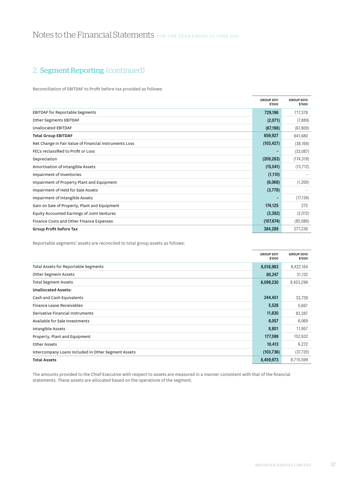# 2. Segment Reporting (continued)

Reconciliation of EBITDAF to Profit before tax provided as follows:

|                                                        | <b>GROUP 2011</b><br>\$'000 | <b>GROUP 2010</b><br>\$'000 |
|--------------------------------------------------------|-----------------------------|-----------------------------|
| <b>EBITDAF</b> for Reportable Segments                 | 729,196                     | 717,378                     |
| Other Segments EBITDAF                                 | (2,071)                     | (7,889)                     |
| Unallocated EBITDAF                                    | (67, 198)                   | (67, 809)                   |
| <b>Total Group EBITDAF</b>                             | 659,927                     | 641,680                     |
| Net Change in Fair Value of Financial Instruments Loss | (103, 427)                  | (38, 168)                   |
| FECs reclassified to Profit or Loss                    |                             | (33,087)                    |
| Depreciation                                           | (209, 283)                  | (174, 318)                  |
| Amortisation of Intangible Assets                      | (15,041)                    | (13, 712)                   |
| Impairment of Inventories                              | (1, 110)                    |                             |
| Impairment of Property Plant and Equipment             | (6,068)                     | (1,200)                     |
| Impairment of Held for Sale Assets                     | (3,778)                     |                             |
| Impairment of Intangible Assets                        |                             | (17, 136)                   |
| Gain on Sale of Property, Plant and Equipment          | 174,125                     | 275                         |
| Equity Accounted Earnings of Joint Ventures            | (3, 382)                    | (2,012)                     |
| Finance Costs and Other Finance Expenses               | (107, 674)                  | (85,086)                    |
| Group Profit before Tax                                | 384,289                     | 277,236                     |

Reportable segments' assets are reconciled to total group assets as follows:

|                                                     | <b>GROUP 2011</b><br>\$'000 | <b>GROUP 2010</b><br>\$'000 |
|-----------------------------------------------------|-----------------------------|-----------------------------|
| Total Assets for Reportable Segments                | 8,018,983                   | 8,422,164                   |
| Other Segment Assets                                | 80,247                      | 31,132                      |
| <b>Total Segment Assets</b>                         | 8,099,230                   | 8,453,296                   |
| <b>Unallocated Assets:</b>                          |                             |                             |
| Cash and Cash Equivalents                           | 244,451                     | 33,739                      |
| Finance Lease Receivables                           | 5,528                       | 5,667                       |
| Derivative Financial Instruments                    | 11,630                      | 83,387                      |
| Available for Sale Investments                      | 6,057                       | 6,069                       |
| Intangible Assets                                   | 8,801                       | 11,957                      |
| Property, Plant and Equipment                       | 177,599                     | 152,932                     |
| Other Assets                                        | 10,413                      | 6,272                       |
| Intercompany Loans Included in Other Segment Assets | (103, 736)                  | (37, 720)                   |
| <b>Total Assets</b>                                 | 8,459,973                   | 8,715,599                   |

The amounts provided to the Chief Executive with respect to assets are measured in a manner consistent with that of the financial statements. These assets are allocated based on the operations of the segment.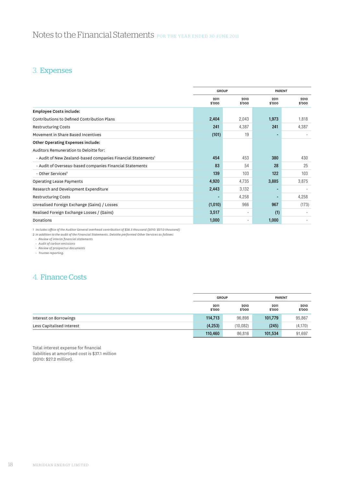# Notes to the Financial Statements FOR THE YEAR ENDED 30 JUNE 2011

# 3. Expenses

|                                                                          | <b>GROUP</b>   |                |                | <b>PARENT</b>            |  |
|--------------------------------------------------------------------------|----------------|----------------|----------------|--------------------------|--|
|                                                                          | 2011<br>\$'000 | 2010<br>\$'000 | 2011<br>\$'000 | 2010<br>\$'000           |  |
| <b>Employee Costs include:</b>                                           |                |                |                |                          |  |
| Contributions to Defined Contribution Plans                              | 2,404          | 2,043          | 1,973          | 1,818                    |  |
| <b>Restructuring Costs</b>                                               | 241            | 4,387          | 241            | 4,387                    |  |
| Movement in Share Based Incentives                                       | (101)          | 19             |                | $\overline{\phantom{a}}$ |  |
| Other Operating Expenses include:                                        |                |                |                |                          |  |
| Auditors Remuneration to Deloitte for:                                   |                |                |                |                          |  |
| - Audit of New Zealand-based companies Financial Statements <sup>1</sup> | 454            | 453            | 380            | 430                      |  |
| - Audit of Overseas-based companies Financial Statements                 | 83             | 54             | 28             | 25                       |  |
| - Other Services <sup>2</sup>                                            | 139            | 103            | 122            | 103                      |  |
| <b>Operating Lease Payments</b>                                          | 4,920          | 4,735          | 3,885          | 3,875                    |  |
| Research and Development Expenditure                                     | 2,443          | 3,132          |                |                          |  |
| <b>Restructuring Costs</b>                                               |                | 4,258          |                | 4,258                    |  |
| Unrealised Foreign Exchange (Gains) / Losses                             | (1,010)        | 966            | 967            | (173)                    |  |
| Realised Foreign Exchange Losses / (Gains)                               | 3,517          | $\sim$         | (1)            |                          |  |
| Donations                                                                | 1,000          | ٠              | 1,000          |                          |  |

1 Includes office of the Auditor General overhead contribution of \$28.5 thousand (2010: \$27.0 thousand)<br>2 In addition to the audit of the Financial Statements, Deloitte performed Other Services as follows:

 *• Review of interim financial statements • Audit of carbon emissions • Review of prospectus documents*

 *• Trustee reporting.*

# 4. Finance Costs

|                           | <b>GROUP</b>   |                | <b>PARENT</b>  |                |
|---------------------------|----------------|----------------|----------------|----------------|
|                           | 2011<br>\$'000 | 2010<br>\$'000 | 2011<br>\$'000 | 2010<br>\$'000 |
| Interest on Borrowings    | 114,713        | 96,898         | 101,779        | 95,867         |
| Less Capitalised Interest | (4,253)        | (10, 082)      | (245)          | (4, 170)       |
|                           | 110,460        | 86,816         | 101,534        | 91.697         |

Total interest expense for financial liabilities at amortised cost is \$37.1 million (2010: \$27.2 million).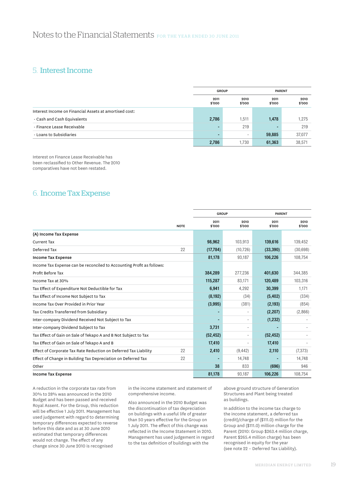# 5. Interest Income

|                                                        |                | <b>GROUP</b>   |                | <b>PARENT</b>  |  |
|--------------------------------------------------------|----------------|----------------|----------------|----------------|--|
|                                                        | 2011<br>\$'000 | 2010<br>\$'000 | 2011<br>\$'000 | 2010<br>\$'000 |  |
| Interest Income on Financial Assets at amortised cost: |                |                |                |                |  |
| - Cash and Cash Equivalents                            | 2,786          | 1,511          | 1,478          | 1.275          |  |
| - Finance Lease Receivable                             |                | 219            |                | 219            |  |
| - Loans to Subsidiaries                                |                |                | 59,885         | 37,077         |  |
|                                                        | 2,786          | 1,730          | 61,363         | 38,571         |  |

Interest on Finance Lease Receivable has been reclassified to Other Revenue. The 2010 comparatives have not been restated.

# 6. Income Tax Expense

|                                                                       |             | <b>GROUP</b>   |                |                | <b>PARENT</b>  |  |
|-----------------------------------------------------------------------|-------------|----------------|----------------|----------------|----------------|--|
|                                                                       |             |                |                |                |                |  |
|                                                                       | <b>NOTE</b> | 2011<br>\$'000 | 2010<br>\$'000 | 2011<br>\$'000 | 2010<br>\$'000 |  |
| (A) Income Tax Expense                                                |             |                |                |                |                |  |
| <b>Current Tax</b>                                                    |             | 98,962         | 103,913        | 139,616        | 139,452        |  |
| Deferred Tax                                                          | 22          | (17, 784)      | (10, 726)      | (33, 390)      | (30,698)       |  |
| <b>Income Tax Expense</b>                                             |             | 81,178         | 93,187         | 106,226        | 108,754        |  |
| Income Tax Expense can be reconciled to Accounting Profit as follows: |             |                |                |                |                |  |
| Profit Before Tax                                                     |             | 384,289        | 277,236        | 401,630        | 344,385        |  |
| Income Tax at 30%                                                     |             | 115,287        | 83.171         | 120,489        | 103,316        |  |
| Tax Effect of Expenditure Not Deductible for Tax                      |             | 6,941          | 4,292          | 30,399         | 1,171          |  |
| Tax Effect of Income Not Subject to Tax                               |             | (8, 192)       | (34)           | (5, 402)       | (334)          |  |
| Income Tax Over Provided in Prior Year                                |             | (3,995)        | (381)          | (2, 193)       | (854)          |  |
| Tax Credits Transferred from Subsidiary                               |             |                |                | (2, 207)       | (2,866)        |  |
| Inter-company Dividend Received Not Subject to Tax                    |             |                |                | (1, 232)       |                |  |
| Inter-company Dividend Subject to Tax                                 |             | 3,731          | ٠              |                |                |  |
| Tax Effect of Gain on Sale of Tekapo A and B Not Subject to Tax       |             | (52, 452)      |                | (52, 452)      |                |  |
| Tax Effect of Gain on Sale of Tekapo A and B                          |             | 17,410         |                | 17,410         |                |  |
| Effect of Corporate Tax Rate Reduction on Deferred Tax Liability      | 22          | 2,410          | (9, 442)       | 2,110          | (7, 373)       |  |
| Effect of Change in Building Tax Depreciation on Deferred Tax         | 22          |                | 14,748         |                | 14,748         |  |
| Other                                                                 |             | 38             | 833            | (696)          | 946            |  |
| <b>Income Tax Expense</b>                                             |             | 81,178         | 93,187         | 106,226        | 108,754        |  |

A reduction in the corporate tax rate from 30% to 28% was announced in the 2010 Budget and has been passed and received Royal Assent. For the Group, this reduction will be effective 1 July 2011. Management has used judgement with regard to determining temporary differences expected to reverse before this date and as at 30 June 2010 estimated that temporary differences would not change. The effect of any change since 30 June 2010 is recognised

in the income statement and statement of comprehensive income.

Also announced in the 2010 Budget was the discontinuation of tax depreciation on buildings with a useful life of greater than 50 years effective for the Group on 1 July 2011. The effect of this change was reflected in the Income Statement in 2010. Management has used judgement in regard to the tax definition of buildings with the

above ground structure of Generation Structures and Plant being treated as buildings.

In addition to the income tax charge to the income statement, a deferred tax (credit)/charge of (\$111.0) million for the Group and (\$111.0) million charge for the Parent (2010: Group \$263.4 million charge, Parent \$265.4 million charge) has been recognised in equity for the year (see note 22 – Deferred Tax Liability).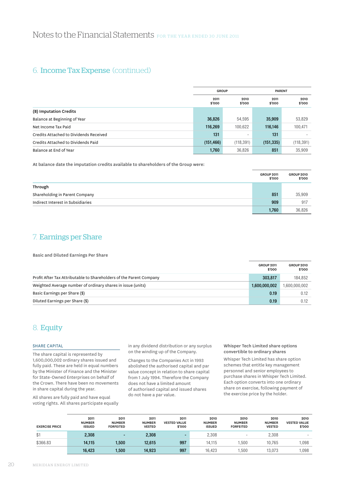# 6. Income Tax Expense (continued)

|                                        | <b>GROUP</b>   |                |                | <b>PARENT</b>  |  |
|----------------------------------------|----------------|----------------|----------------|----------------|--|
|                                        | 2011<br>\$'000 | 2010<br>\$'000 | 2011<br>\$'000 | 2010<br>\$'000 |  |
| (B) Imputation Credits                 |                |                |                |                |  |
| Balance at Beginning of Year           | 36,826         | 54,595         | 35,909         | 53,829         |  |
| Net Income Tax Paid                    | 116,269        | 100,622        | 116,146        | 100,471        |  |
| Credits Attached to Dividends Received | 131            |                | 131            |                |  |
| Credits Attached to Dividends Paid     | (151, 466)     | (118, 391)     | (151, 335)     | (118, 391)     |  |
| Balance at End of Year                 | 1,760          | 36,826         | 851            | 35.909         |  |

At balance date the imputation credits available to shareholders of the Group were:

|                                   | <b>GROUP 2011</b><br>\$'000 | <b>GROUP 2010</b><br>\$'000 |
|-----------------------------------|-----------------------------|-----------------------------|
| Through                           |                             |                             |
| Shareholding in Parent Company    | 851                         | 35,909                      |
| Indirect Interest in Subsidiaries | 909                         | 917                         |
|                                   | 1,760                       | 36.826                      |

# 7. Earnings per Share

Basic and Diluted Earnings Per Share

|                                                                     | <b>GROUP 2011</b><br>\$'000 | <b>GROUP 2010</b><br>\$'000 |
|---------------------------------------------------------------------|-----------------------------|-----------------------------|
| Profit After Tax Attributable to Shareholders of the Parent Company | 303.817                     | 184.852                     |
| Weighted Average number of ordinary shares in issue (units)         | 1,600,000,002               | 1,600,000,002               |
| Basic Earnings per Share (\$)                                       | 0.19                        | 0.12                        |
| Diluted Earnings per Share (\$)                                     | 0.19                        | 0.12                        |

# 8. Equity

## SHARE CAPITAL

The share capital is represented by 1,600,000,002 ordinary shares issued and fully paid. These are held in equal numbers by the Minister of Finance and the Minister for State-Owned Enterprises on behalf of the Crown. There have been no movements in share capital during the year.

All shares are fully paid and have equal voting rights. All shares participate equally in any dividend distribution or any surplus on the winding up of the Company.

Changes to the Companies Act in 1993 abolished the authorised capital and par value concept in relation to share capital from 1 July 1994. Therefore the Company does not have a limited amount of authorised capital and issued shares do not have a par value.

### Whisper Tech Limited share options convertible to ordinary shares

Whisper Tech Limited has share option schemes that entitle key management personnel and senior employees to purchase shares in Whisper Tech Limited. Each option converts into one ordinary share on exercise, following payment of the exercise price by the holder.

| <b>EXERCISE PRICE</b> | 2011<br><b>NUMBER</b><br><b>ISSUED</b> | 2011<br><b>NUMBER</b><br><b>FORFEITED</b> | 2011<br><b>NUMBER</b><br><b>VESTED</b> | 2011<br><b>VESTED VALUE</b><br>\$'000 | 2010<br><b>NUMBER</b><br><b>ISSUED</b> | 2010<br><b>NUMBER</b><br><b>FORFEITED</b> | 2010<br><b>NUMBER</b><br><b>VESTED</b> | 2010<br><b>VESTED VALUE</b><br>\$'000 |
|-----------------------|----------------------------------------|-------------------------------------------|----------------------------------------|---------------------------------------|----------------------------------------|-------------------------------------------|----------------------------------------|---------------------------------------|
| \$1                   | 2,308                                  | -                                         | 2,308                                  |                                       | 2,308                                  | ۰                                         | 2.308                                  | $\overline{\phantom{a}}$              |
| \$366.83              | 14.115                                 | .500                                      | 12.615                                 | 997                                   | 14.115                                 | .500                                      | 10.765                                 | .098                                  |
|                       | 16,423                                 | 1,500                                     | 14,923                                 | 997                                   | 16.423                                 | .500                                      | 13.073                                 | ,098                                  |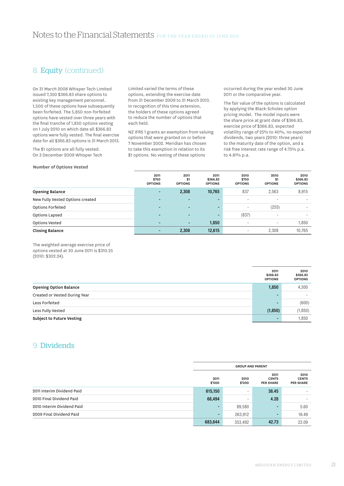# 8. Equity (continued)

On 31 March 2008 Whisper Tech Limited issued 7,350 \$366.83 share options to existing key management personnel. 1,500 of these options have subsequently been forfeited. The 5,850 non-forfeited options have vested over three years with the final tranche of 1,850 options vesting on 1 July 2010 on which date all \$366.83 options were fully vested. The final exercise date for all \$366.83 options is 31 March 2013.

The \$1 options are all fully vested. On 3 December 2009 Whisper Tech

Limited varied the terms of these options, extending the exercise date from 31 December 2009 to 31 March 2013. In recognition of this time extension, the holders of these options agreed to reduce the number of options that each held.

NZ IFRS 1 grants an exemption from valuing options that were granted on or before 7 November 2002. Meridian has chosen to take this exemption in relation to its \$1 options. No vesting of these options

occurred during the year ended 30 June 2011 or the comparative year.

The fair value of the options is calculated by applying the Black-Scholes option pricing model. The model inputs were the share price at grant date of \$366.83, exercise price of \$366.83, expected volatility range of 25% to 40%, no expected dividends, two years (2010: three years) to the maturity date of the option, and a risk free interest rate range of 4.75% p.a. to 4.81% p.a.

### **Number of Options Vested**

|                                  | 2011<br>\$750<br><b>OPTIONS</b> | 2011<br>\$1<br><b>OPTIONS</b> | 2011<br>\$366.83<br><b>OPTIONS</b> | 2010<br>\$750<br><b>OPTIONS</b> | 2010<br>\$1<br><b>OPTIONS</b> | 2010<br>\$366.83<br><b>OPTIONS</b> |
|----------------------------------|---------------------------------|-------------------------------|------------------------------------|---------------------------------|-------------------------------|------------------------------------|
| <b>Opening Balance</b>           | $\sim$                          | 2,308                         | 10,765                             | 837                             | 2,563                         | 8,915                              |
| New Fully Vested Options created | $\sim$                          | $\overline{\phantom{0}}$      | $\overline{\phantom{0}}$           | ۰                               | $\overline{\phantom{a}}$      |                                    |
| Options Forfeited                | $\blacksquare$                  |                               | $\overline{\phantom{0}}$           | ۰                               | (255)                         |                                    |
| Options Lapsed                   | <b>Section</b>                  |                               | $\overline{\phantom{0}}$           | (837)                           | $\overline{\phantom{a}}$      |                                    |
| <b>Options Vested</b>            | $\sim$                          | $\blacksquare$                | 1,850                              | ۰                               | ۰                             | 1,850                              |
| <b>Closing Balance</b>           |                                 | 2,308                         | 12,615                             |                                 | 2,308                         | 10,765                             |

The weighted average exercise price of options vested at 30 June 2011 is \$310.25 (2010: \$302.24).

|                                  | 2011<br>\$366.83<br><b>OPTIONS</b> | 2010<br>\$366.83<br><b>OPTIONS</b> |
|----------------------------------|------------------------------------|------------------------------------|
| <b>Opening Option Balance</b>    | 1,850                              | 4,300                              |
| Created or Vested During Year    | -                                  | $\sim$                             |
| Less Forfeited                   |                                    | (600)                              |
| Less Fully Vested                | (1, 850)                           | (1, 850)                           |
| <b>Subject to Future Vesting</b> |                                    | 1,850                              |

# 9. Dividends

|                            | <b>GROUP AND PARENT</b> |                |                                          |                                          |
|----------------------------|-------------------------|----------------|------------------------------------------|------------------------------------------|
|                            | 2011<br>\$'000          | 2010<br>\$'000 | 2011<br><b>CENTS</b><br><b>PER SHARE</b> | 2010<br><b>CENTS</b><br><b>PER SHARE</b> |
| 2011 Interim Dividend Paid | 615,150                 | ۰              | 38.45                                    |                                          |
| 2010 Final Dividend Paid   | 68,494                  | -              | 4.28                                     |                                          |
| 2010 Interim Dividend Paid | $\blacksquare$          | 89,580         | $\blacksquare$                           | 5.60                                     |
| 2009 Final Dividend Paid   | $\blacksquare$          | 263,912        | $\blacksquare$                           | 16.49                                    |
|                            | 683,644                 | 353,492        | 42.73                                    | 22.09                                    |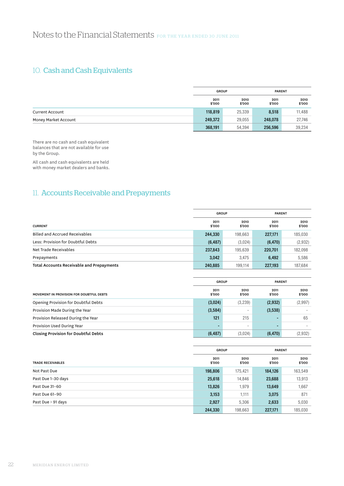# 10. Cash and Cash Equivalents

|                        | <b>GROUP</b>   |                | <b>PARENT</b>  |                |
|------------------------|----------------|----------------|----------------|----------------|
|                        | 2011<br>\$'000 | 2010<br>\$'000 | 2011<br>\$'000 | 2010<br>\$'000 |
| <b>Current Account</b> | 118,819        | 25,339         | 8,518          | 11,488         |
| Money Market Account   | 249,372        | 29,055         | 248,078        | 27,746         |
|                        | 368,191        | 54,394         | 256,596        | 39,234         |

There are no cash and cash equivalent balances that are not available for use by the Group.

All cash and cash equivalents are held with money market dealers and banks.

# 11. Accounts Receivable and Prepayments

|                                           | <b>GROUP</b>   |                | <b>PARENT</b>  |                |
|-------------------------------------------|----------------|----------------|----------------|----------------|
| <b>CURRENT</b>                            | 2011<br>\$'000 | 2010<br>\$'000 | 2011<br>\$'000 | 2010<br>\$'000 |
| <b>Billed and Accrued Receivables</b>     | 244,330        | 198.663        | 227,171        | 185,030        |
| Less: Provision for Doubtful Debts        | (6, 487)       | (3,024)        | (6, 470)       | (2,932)        |
| Net Trade Receivables                     | 237,843        | 195.639        | 220,701        | 182,098        |
| Prepayments                               | 3,042          | 3.475          | 6,492          | 5,586          |
| Total Accounts Receivable and Prepayments | 240,885        | 199.114        | 227,193        | 187,684        |

|                                             | <b>GROUP</b>   |                |                | <b>PARENT</b>  |  |
|---------------------------------------------|----------------|----------------|----------------|----------------|--|
| MOVEMENT IN PROVISION FOR DOUBTFUL DEBTS    | 2011<br>\$'000 | 2010<br>\$'000 | 2011<br>\$'000 | 2010<br>\$'000 |  |
| Opening Provision for Doubtful Debts        | (3,024)        | (3,239)        | (2,932)        | (2,997)        |  |
| Provision Made During the Year              | (3,584)        |                | (3,538)        |                |  |
| Provision Released During the Year          | 121            | 215            |                | 65             |  |
| Provision Used During Year                  |                |                |                |                |  |
| <b>Closing Provision for Doubtful Debts</b> | (6, 487)       | (3,024)        | (6, 470)       | (2,932)        |  |

|                          |                | <b>GROUP</b>   | <b>PARENT</b>  |                |
|--------------------------|----------------|----------------|----------------|----------------|
| <b>TRADE RECEIVABLES</b> | 2011<br>\$'000 | 2010<br>\$'000 | 2011<br>\$'000 | 2010<br>\$'000 |
| Not Past Due             | 198,806        | 175.421        | 184,126        | 163,549        |
| Past Due 1-30 days       | 25,618         | 14,846         | 23,688         | 13,913         |
| Past Due 31-60           | 13,826         | 1,979          | 13,649         | 1,667          |
| Past Due 61-90           | 3,153          | 1,111          | 3,075          | 871            |
| Past Due > 91 days       | 2,927          | 5,306          | 2,633          | 5,030          |
|                          | 244,330        | 198,663        | 227,171        | 185,030        |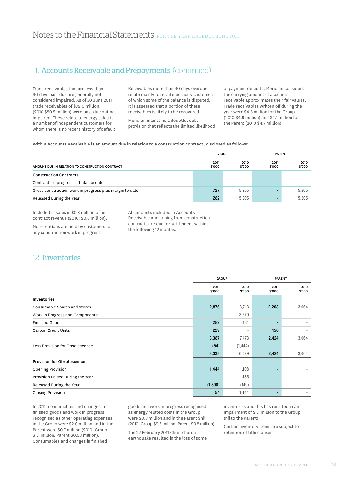# 11. Accounts Receivable and Prepayments (continued)

Trade receivables that are less than 90 days past due are generally not considered impaired. As of 30 June 2011 trade receivables of \$39.0 million (2010 \$20.5 million) were past due but not impaired. These relate to energy sales to a number of independent customers for whom there is no recent history of default.

Receivables more than 90 days overdue relate mainly to retail electricity customers of which some of the balance is disputed. It is assessed that a portion of these receivables is likely to be recovered.

Meridian maintains a doubtful debt provision that reflects the limited likelihood of payment defaults. Meridian considers the carrying amount of accounts receivable approximates their fair values. Trade receivables written off during the year were \$4.3 million for the Group (2010 \$4.9 million) and \$4.1 million for the Parent (2010 \$4.7 million).

### Within Accounts Receivable is an amount due in relation to a construction contract, disclosed as follows:

| GROUP                                                   |                |                | <b>PARENT</b>  |                |  |
|---------------------------------------------------------|----------------|----------------|----------------|----------------|--|
| AMOUNT DUE IN RELATION TO CONSTRUCTION CONTRACT         | 2011<br>\$'000 | 2010<br>\$'000 | 2011<br>\$'000 | 2010<br>\$'000 |  |
| <b>Construction Contracts</b>                           |                |                |                |                |  |
| Contracts in progress at balance date:                  |                |                |                |                |  |
| Gross construction work in progress plus margin to date | 727            | 5.205          |                | 5.205          |  |
| Released During the Year                                | 282            | 5.205          |                | 5.205          |  |

Included in sales is \$0.3 million of net contract revenue (2010: \$0.6 million).

No retentions are held by customers for any construction work in progress.

All amounts included in Accounts Receivable and arising from construction contracts are due for settlement within the following 12 months.

# 12. Inventories

|                                   |                | <b>GROUP</b>   |                | PARENT         |  |
|-----------------------------------|----------------|----------------|----------------|----------------|--|
|                                   | 2011<br>\$'000 | 2010<br>\$'000 | 2011<br>\$'000 | 2010<br>\$'000 |  |
| Inventories                       |                |                |                |                |  |
| Consumable Spares and Stores      | 2,876          | 3,713          | 2,268          | 3,064          |  |
| Work in Progress and Components   |                | 3,579          |                |                |  |
| <b>Finished Goods</b>             | 282            | 181            |                |                |  |
| Carbon Credit Units               | 229            | $\sim$         | 156            |                |  |
|                                   | 3,387          | 7,473          | 2,424          | 3,064          |  |
| Less Provision for Obsolescence   | (54)           | (1, 444)       |                |                |  |
|                                   | 3,333          | 6,029          | 2,424          | 3,064          |  |
| <b>Provision for Obsolescence</b> |                |                |                |                |  |
| <b>Opening Provision</b>          | 1,444          | 1,108          |                |                |  |
| Provision Raised During the Year  |                | 485            |                |                |  |
| Released During the Year          | (1, 390)       | (149)          |                |                |  |
| <b>Closing Provision</b>          | 54             | 1,444          |                |                |  |

In 2011, consumables and changes in finished goods and work in progress recognised as other operating expenses in the Group were \$2.0 million and in the Parent were \$0.7 million (2010: Group \$1.1 million, Parent \$0.03 million). Consumables and changes in finished

goods and work in progress recognised as energy related costs in the Group were \$0.3 million and in the Parent \$nil (2010: Group \$9.3 million, Parent \$0.2 million).

The 22 February 2011 Christchurch earthquake resulted in the loss of some inventories and this has resulted in an impairment of \$1.1 million to the Group (nil to the Parent).

Certain inventory items are subject to retention of title clauses.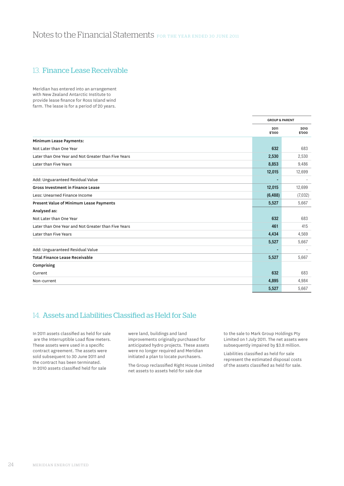# 13. Finance Lease Receivable

Meridian has entered into an arrangement with New Zealand Antarctic Institute to provide lease finance for Ross Island wind farm. The lease is for a period of 20 years.

|                                                     | <b>GROUP &amp; PARENT</b> |                |
|-----------------------------------------------------|---------------------------|----------------|
|                                                     | 2011<br>\$'000            | 2010<br>\$'000 |
| Minimum Lease Payments:                             |                           |                |
| Not Later than One Year                             | 632                       | 683            |
| Later than One Year and Not Greater than Five Years | 2,530                     | 2,530          |
| Later than Five Years                               | 8,853                     | 9,486          |
|                                                     | 12,015                    | 12,699         |
| Add: Unguaranteed Residual Value                    |                           |                |
| <b>Gross Investment in Finance Lease</b>            | 12,015                    | 12,699         |
| Less: Unearned Finance Income                       | (6, 488)                  | (7,032)        |
| Present Value of Minimum Lease Payments             | 5,527                     | 5,667          |
| Analysed as:                                        |                           |                |
| Not Later than One Year                             | 632                       | 683            |
| Later than One Year and Not Greater than Five Years | 461                       | 415            |
| Later than Five Years                               | 4,434                     | 4,569          |
|                                                     | 5,527                     | 5,667          |
| Add: Unguaranteed Residual Value                    |                           |                |
| <b>Total Finance Lease Receivable</b>               | 5,527                     | 5,667          |
| Comprising                                          |                           |                |
| Current                                             | 632                       | 683            |
| Non-current                                         | 4,895                     | 4,984          |
|                                                     | 5,527                     | 5,667          |

# 14. Assets and Liabilities Classified as Held for Sale

In 2011 assets classified as held for sale are the Interruptible Load flow meters. These assets were used in a specific contract agreement. The assets were sold subsequent to 30 June 2011 and the contract has been terminated. In 2010 assets classified held for sale

were land, buildings and land improvements originally purchased for anticipated hydro projects. These assets were no longer required and Meridian initiated a plan to locate purchasers.

The Group reclassified Right House Limited net assets to assets held for sale due

to the sale to Mark Group Holdings Pty Limited on 1 July 2011. The net assets were subsequently impaired by \$3.8 million.

Liabilities classified as held for sale represent the estimated disposal costs of the assets classified as held for sale.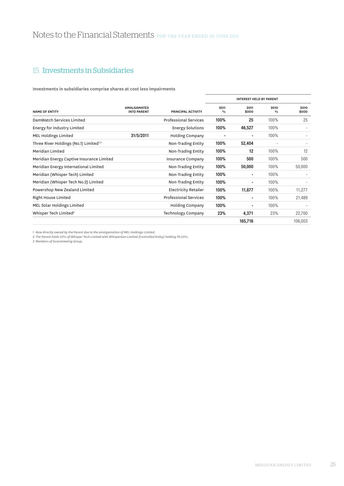# 15. Investments in Subsidiaries

Investments in subsidiaries comprise shares at cost less impairments

|                                                    |                                          |                              |                       | <b>INTEREST HELD BY PARENT</b> |                       |               |
|----------------------------------------------------|------------------------------------------|------------------------------|-----------------------|--------------------------------|-----------------------|---------------|
| <b>NAME OF ENTITY</b>                              | <b>AMALGAMATED</b><br><b>INTO PARENT</b> | PRINCIPAL ACTIVITY           | 2011<br>$\frac{0}{0}$ | 2011<br>\$000                  | 2010<br>$\frac{0}{0}$ | 2010<br>\$000 |
| DamWatch Services Limited                          |                                          | <b>Professional Services</b> | 100%                  | 25                             | 100%                  | 25            |
| Energy for Industry Limited                        |                                          | <b>Energy Solutions</b>      | 100%                  | 46,527                         | 100%                  |               |
| MEL Holdings Limited                               | 31/5/2011                                | Holding Company              |                       | $\blacksquare$                 | 100%                  |               |
| Three River Holdings (No.1) Limited <sup>1,3</sup> |                                          | Non-Trading Entity           | 100%                  | 52,404                         |                       |               |
| Meridian Limited                                   |                                          | Non-Trading Entity           | 100%                  | 12                             | 100%                  | 12            |
| Meridian Energy Captive Insurance Limited          |                                          | Insurance Company            | 100%                  | 500                            | 100%                  | 500           |
| Meridian Energy International Limited              |                                          | Non-Trading Entity           | 100%                  | 50,000                         | 100%                  | 50,000        |
| Meridian (Whisper Tech) Limited                    |                                          | Non-Trading Entity           | 100%                  |                                | 100%                  |               |
| Meridian (Whisper Tech No.2) Limited               |                                          | Non-Trading Entity           | 100%                  |                                | 100%                  |               |
| Powershop New Zealand Limited                      |                                          | Electricity Retailer         | 100%                  | 11,877                         | 100%                  | 11,277        |
| Right House Limited                                |                                          | <b>Professional Services</b> | 100%                  | ٠                              | 100%                  | 21,489        |
| MEL Solar Holdings Limited                         |                                          | Holding Company              | 100%                  | $\blacksquare$                 | 100%                  |               |
| Whisper Tech Limited <sup>2</sup>                  |                                          | Technology Company           | 23%                   | 4,371                          | 23%                   | 22,700        |
|                                                    |                                          |                              |                       | 165,716                        |                       | 106,003       |

*1 Now directly owned by the Parent due to the amalgamation of MEL Holdings Limited. 2 The Parent holds 23% of Whisper Tech Limited with WhisperGen Limited (Controlled Entity) holding 70.23%.*

*3 Members of Guaranteeing Group.*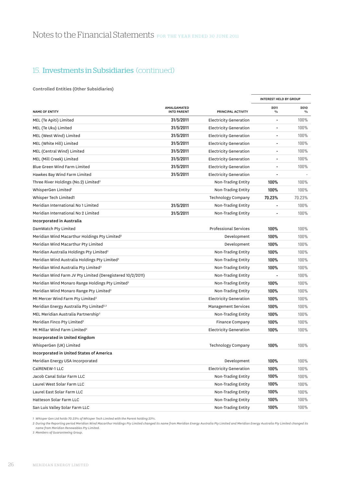Controlled Entities (Other Subsidiaries)

|                                                              |                                   |                               | <b>INTEREST HELD BY GROUP</b> |                       |
|--------------------------------------------------------------|-----------------------------------|-------------------------------|-------------------------------|-----------------------|
| <b>NAME OF ENTITY</b>                                        | AMALGAMATED<br><b>INTO PARENT</b> | PRINCIPAL ACTIVITY            | 2011<br>$\frac{0}{0}$         | 2010<br>$\frac{0}{0}$ |
| MEL (Te Apiti) Limited                                       | 31/5/2011                         | Electricity Generation        | $\overline{\phantom{a}}$      | 100%                  |
| MEL (Te Uku) Limited                                         | 31/5/2011                         | <b>Electricity Generation</b> |                               | 100%                  |
| MEL (West Wind) Limited                                      | 31/5/2011                         | <b>Electricity Generation</b> |                               | 100%                  |
| MEL (White Hill) Limited                                     | 31/5/2011                         | <b>Electricity Generation</b> |                               | 100%                  |
| MEL (Central Wind) Limited                                   | 31/5/2011                         | <b>Electricity Generation</b> |                               | 100%                  |
| MEL (Mill Creek) Limited                                     | 31/5/2011                         | <b>Electricity Generation</b> |                               | 100%                  |
| <b>Blue Green Wind Farm Limited</b>                          | 31/5/2011                         | <b>Electricity Generation</b> |                               | 100%                  |
| Hawkes Bay Wind Farm Limited                                 | 31/5/2011                         | <b>Electricity Generation</b> |                               |                       |
| Three River Holdings (No.2) Limited $3$                      |                                   | Non-Trading Entity            | 100%                          | 100%                  |
| WhisperGen Limited'                                          |                                   | Non-Trading Entity            | 100%                          | 100%                  |
| Whisper Tech Limited1                                        |                                   | Technology Company            | 70.23%                        | 70.23%                |
| Meridian International No 1 Limited                          | 31/5/2011                         | Non-Trading Entity            |                               | 100%                  |
| Meridian International No 2 Limited                          | 31/5/2011                         | Non-Trading Entity            |                               | 100%                  |
| <b>Incorporated in Australia</b>                             |                                   |                               |                               |                       |
| DamWatch Pty Limited                                         |                                   | <b>Professional Services</b>  | 100%                          | 100%                  |
| Meridian Wind Macarthur Holdings Pty Limited <sup>2</sup>    |                                   | Development                   | 100%                          | 100%                  |
| Meridian Wind Macarthur Pty Limited                          |                                   | Development                   | 100%                          | 100%                  |
| Meridian Australia Holdings Pty Limited <sup>3</sup>         |                                   | Non-Trading Entity            | 100%                          | 100%                  |
| Meridian Wind Australia Holdings Pty Limited <sup>3</sup>    |                                   | Non-Trading Entity            | 100%                          | 100%                  |
| Meridian Wind Australia Pty Limited <sup>3</sup>             |                                   | Non-Trading Entity            | 100%                          | 100%                  |
| Meridian Wind Farm JV Pty Limited (Deregistered 10/2/2011)   |                                   | Non-Trading Entity            |                               | 100%                  |
| Meridian Wind Monaro Range Holdings Pty Limited <sup>3</sup> |                                   | Non-Trading Entity            | 100%                          | 100%                  |
| Meridian Wind Monaro Range Pty Limited <sup>3</sup>          |                                   | Non-Trading Entity            | 100%                          | 100%                  |
| Mt Mercer Wind Farm Pty Limited <sup>3</sup>                 |                                   | Electricity Generation        | 100%                          | 100%                  |
| Meridian Energy Australia Pty Limited <sup>2,3</sup>         |                                   | <b>Management Services</b>    | 100%                          | 100%                  |
| MEL Meridian Australia Partnership <sup>3</sup>              |                                   | Non-Trading Entity            | 100%                          | 100%                  |
| Meridian Finco Pty Limited <sup>3</sup>                      |                                   | Finance Company               | 100%                          | 100%                  |
| Mt Millar Wind Farm Limited <sup>3</sup>                     |                                   | <b>Electricity Generation</b> | 100%                          | 100%                  |
| Incorporated in United Kingdom                               |                                   |                               |                               |                       |
| WhisperGen (UK) Limited                                      |                                   | Technology Company            | 100%                          | 100%                  |
| Incorporated in United States of America                     |                                   |                               |                               |                       |
| Meridian Energy USA Incorporated                             |                                   | Development                   | 100%                          | 100%                  |
| CalRENEW-1 LLC                                               |                                   | <b>Electricity Generation</b> | 100%                          | 100%                  |
| Jacob Canal Solar Farm LLC                                   |                                   | Non-Trading Entity            | 100%                          | 100%                  |
| Laurel West Solar Farm LLC                                   |                                   | Non-Trading Entity            | 100%                          | 100%                  |
| Laurel East Solar Farm LLC                                   |                                   | Non-Trading Entity            | 100%                          | 100%                  |
| Hatteson Solar Farm LLC                                      |                                   | Non-Trading Entity            | 100%                          | 100%                  |
| San Luis Valley Solar Farm LLC                               |                                   | Non-Trading Entity            | 100%                          | 100%                  |

*1 Whisper Gen Ltd holds 70.23% of Whisper Tech Limited with the Parent holding 23%.*

2 During the Reporting period Meridian Wind Macarthur Holdings Pty Limited changed its name from Meridian Energy Australia Pto Meridian Energy Australia Pty Limited changed its<br>name from Meridian Renewables Pty Limited.

*3 Members of Guaranteeing Group.*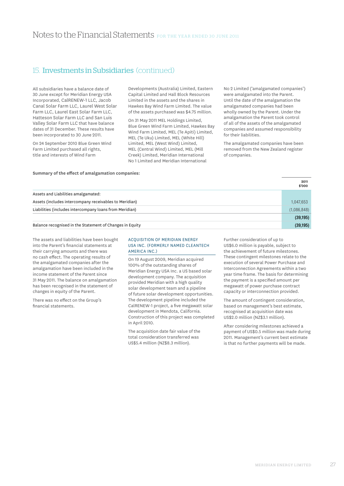All subsidiaries have a balance date of 30 June except for Meridian Energy USA Incorporated, CalRENEW-1 LLC, Jacob Canal Solar Farm LLC, Laurel West Solar Farm LLC, Laurel East Solar Farm LLC, Hatteson Solar Farm LLC and San Luis Valley Solar Farm LLC that have balance dates of 31 December. These results have been incorporated to 30 June 2011.

On 24 September 2010 Blue Green Wind Farm Limited purchased all rights, title and interests of Wind Farm

**Summary of the effect of amalgamation companies:** 

Developments (Australia) Limited, Eastern Capital Limited and Hall Block Resources Limited in the assets and the shares in Hawkes Bay Wind Farm Limited. The value of the assets purchased was \$4.75 million.

On 31 May 2011 MEL Holdings Limited, Blue Green Wind Farm Limited, Hawkes Bay Wind Farm Limited, MEL (Te Apiti) Limited, MEL (Te Uku) Limited, MEL (White Hill) Limited, MEL (West Wind) Limited, MEL (Central Wind) Limited, MEL (Mill Creek) Limited, Meridian International No 1 Limited and Meridian International

No 2 Limited ('amalgamated companies') were amalgamated into the Parent. Until the date of the amalgamation the amalgamated companies had been wholly owned by the Parent. Under the amalgamation the Parent took control of all of the assets of the amalgamated companies and assumed responsibility for their liabilities.

The amalgamated companies have been removed from the New Zealand register of companies.

|                                                          | 2011<br>\$'000 |
|----------------------------------------------------------|----------------|
| Assets and Liabilities amalgamated:                      |                |
| Assets (includes intercompany receivables to Meridian)   | 1,047,653      |
| Liabilities (includes intercompany loans from Meridian)  | (1,086,848)    |
|                                                          | (39, 195)      |
| Balance recognised in the Statement of Changes in Equity | (39, 195)      |

The assets and liabilities have been bought into the Parent's financial statements at their carrying amounts and there was no cash effect. The operating results of the amalgamated companies after the amalgamation have been included in the income statement of the Parent since 31 May 2011. The balance on amalgamation has been recognised in the statement of changes in equity of the Parent.

There was no effect on the Group's financial statements.

### Acquisition of Meridian Energy USA Inc. (formerly named Cleantech America Inc.)

On 19 August 2009, Meridian acquired 100% of the outstanding shares of Meridian Energy USA Inc. a US based solar development company. The acquisition provided Meridian with a high quality solar development team and a pipeline of future solar development opportunities. The development pipeline included the CalRENEW-1 project, a five megawatt solar development in Mendota, California. Construction of this project was completed in April 2010.

The acquisition date fair value of the total consideration transferred was US\$5.4 million (NZ\$8.3 million).

Further consideration of up to US\$6.0 million is payable, subject to the achievement of future milestones. These contingent milestones relate to the execution of several Power Purchase and Interconnection Agreements within a two year time frame. The basis for determining the payment is a specified amount per megawatt of power purchase contract capacity or interconnection provided.

The amount of contingent consideration, based on management's best estimate, recognised at acquisition date was US\$2.0 million (NZ\$3.1 million).

After considering milestones achieved a payment of US\$0.5 million was made during 2011. Management's current best estimate is that no further payments will be made.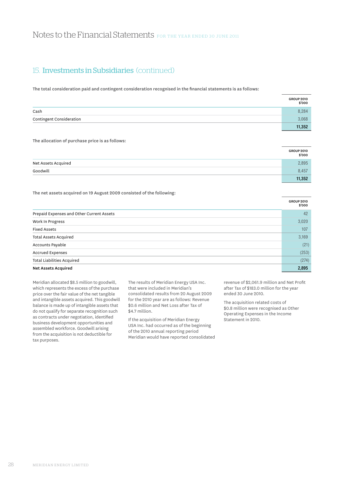The total consideration paid and contingent consideration recognised in the financial statements is as follows:

|                          | <b>GROUP 2010</b><br>\$'000 |
|--------------------------|-----------------------------|
| Cash                     | 8,284                       |
| Contingent Consideration | 3.068                       |
|                          | 11,352                      |

The allocation of purchase price is as follows:

|                     | <b>GROUP 2010</b><br>\$'000 |
|---------------------|-----------------------------|
| Net Assets Acquired | 2,895                       |
| Goodwill            | 8,457                       |
|                     | 11.352                      |

The net assets acquired on 19 August 2009 consisted of the following:

|                                           | <b>GROUP 2010</b><br>\$'000 |
|-------------------------------------------|-----------------------------|
| Prepaid Expenses and Other Current Assets | 42                          |
| Work In Progress                          | 3,020                       |
| <b>Fixed Assets</b>                       | 107                         |
| <b>Total Assets Acquired</b>              | 3,169                       |
| Accounts Payable                          | (21)                        |
| <b>Accrued Expenses</b>                   | (253)                       |
| <b>Total Liabilities Acquired</b>         | (274)                       |
| <b>Net Assets Acquired</b>                | 2,895                       |

Meridian allocated \$8.5 million to goodwill, which represents the excess of the purchase price over the fair value of the net tangible and intangible assets acquired. This goodwill balance is made up of intangible assets that do not qualify for separate recognition such as contracts under negotiation, identified business development opportunities and assembled workforce. Goodwill arising from the acquisition is not deductible for tax purposes.

The results of Meridian Energy USA Inc. that were included in Meridian's consolidated results from 20 August 2009 for the 2010 year are as follows: Revenue \$0.6 million and Net Loss after Tax of \$4.7 million.

If the acquisition of Meridian Energy USA Inc. had occurred as of the beginning of the 2010 annual reporting period Meridian would have reported consolidated revenue of \$2,061.9 million and Net Profit after Tax of \$183.0 million for the year ended 30 June 2010.

The acquisition related costs of \$0.8 million were recognised as Other Operating Expenses in the Income Statement in 2010.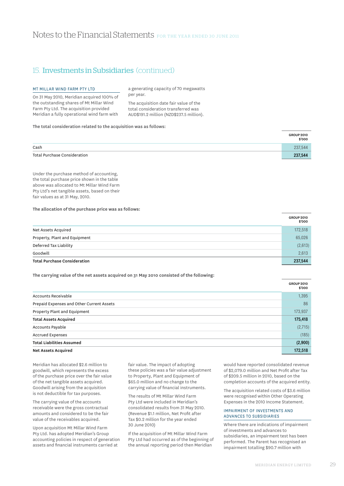# Notes to the Financial Statements FOR THE YEAR ENDED 30 JUNE 2011

# 15. Investments in Subsidiaries (continued)

### Mt Millar Wind Farm Pty Ltd

On 31 May 2010, Meridian acquired 100% of the outstanding shares of Mt Millar Wind Farm Pty Ltd. The acquisition provided Meridian a fully operational wind farm with a generating capacity of 70 megawatts per year.

The acquisition date fair value of the total consideration transferred was AUD\$191.2 million (NZD\$237.5 million).

#### The total consideration related to the acquisition was as follows:

|                              | <b>GROUP 2010</b><br>\$'000 |
|------------------------------|-----------------------------|
| Cash                         | 237.544                     |
| Total Purchase Consideration | 237,544                     |

Under the purchase method of accounting, the total purchase price shown in the table above was allocated to Mt Millar Wind Farm Pty Ltd's net tangible assets, based on their fair values as at 31 May, 2010.

### **The allocation of the purchase price was as follows:**

|                                     | <b>GROUP 2010</b><br>\$'000 |
|-------------------------------------|-----------------------------|
| Net Assets Acquired                 | 172,518                     |
| Property, Plant and Equipment       | 65,026                      |
| Deferred Tax Liability              | (2,613)                     |
| Goodwill                            | 2,613                       |
| <b>Total Purchase Consideration</b> | 237.544                     |

**The carrying value of the net assets acquired on 31 May 2010 consisted of the following:** 

|                                           | <b>GROUP 2010</b><br>\$'000 |
|-------------------------------------------|-----------------------------|
| Accounts Receivable                       | 1,395                       |
| Prepaid Expenses and Other Current Assets | 86                          |
| Property Plant and Equipment              | 173,937                     |
| <b>Total Assets Acquired</b>              | 175,418                     |
| Accounts Payable                          | (2,715)                     |
| <b>Accrued Expenses</b>                   | (185)                       |
| <b>Total Liabilities Assumed</b>          | (2,900)                     |
| <b>Net Assets Acquired</b>                | 172,518                     |

Meridian has allocated \$2.6 million to goodwill, which represents the excess of the purchase price over the fair value of the net tangible assets acquired. Goodwill arising from the acquisition is not deductible for tax purposes.

The carrying value of the accounts receivable were the gross contractual amounts and considered to be the fair value of the receivables acquired.

Upon acquisition Mt Millar Wind Farm Pty Ltd. has adopted Meridian's Group accounting policies in respect of generation assets and financial instruments carried at

fair value. The impact of adopting these policies was a fair value adjustment to Property, Plant and Equipment of \$65.0 million and no change to the carrying value of financial instruments.

The results of Mt Millar Wind Farm Pty Ltd were included in Meridian's consolidated results from 31 May 2010. (Revenue \$1.1 million, Net Profit after Tax \$0.2 million for the year ended 30 June 2010)

If the acquisition of Mt Millar Wind Farm Pty Ltd had occurred as of the beginning of the annual reporting period then Meridian

would have reported consolidated revenue of \$2,079.0 million and Net Profit after Tax of \$209.5 million in 2010, based on the completion accounts of the acquired entity.

The acquisition related costs of \$3.6 million were recognised within Other Operating Expenses in the 2010 Income Statement.

## Impairment of Investments and Advances to Subsidiaries

Where there are indications of impairment of investments and advances to subsidiaries, an impairment test has been performed. The Parent has recognised an impairment totalling \$90.7 million with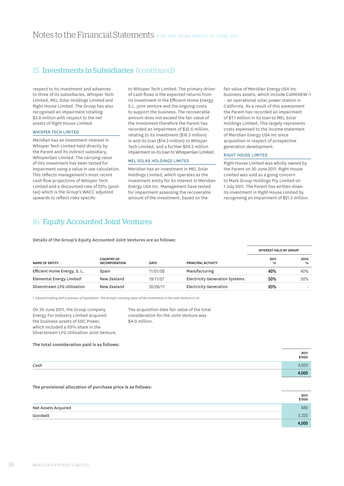respect to its investment and advances to three of its subsidiaries, Whisper Tech Limited, MEL Solar Holdings Limited and Right House Limited. The Group has also recognised an impairment totalling \$3.8 million with respect to the net assets of Right House Limited.

### Whisper Tech Limited

Meridian has an investment interest in Whisper Tech Limited held directly by the Parent and its indirect subsidiary, WhisperGen Limited. The carrying value of this investment has been tested for impairment using a value in use calculation. This reflects management's most recent cash flow projections of Whisper Tech Limited and a discounted rate of 25% (posttax) which is the Group's WACC adjusted upwards to reflect risks specific

to Whisper Tech Limited. The primary driver of cash flows is the expected returns from its investment in the Efficient Home Energy S.L. joint venture and the ongoing costs to support the business. The recoverable amount does not exceed the fair value of the investment therefore the Parent has recorded an impairment of \$32.6 million, relating to its investment (\$18.3 million) in and its loan (\$14.3 million) to Whisper Tech Limited, and a further \$29.5 million impairment on its loan to WhisperGen Limited.

### MEL Solar Holdings Limited

Meridian has an investment in MEL Solar Holdings Limited, which operates as the investment entity for its interest in Meridian Energy USA Inc. Management have tested for impairment assessing the recoverable amount of the investment, based on the

fair value of Meridian Energy USA Inc business assets, which include CalRENEW–1 – an operational solar power station in California. As a result of this assessment the Parent has recorded an impairment of \$7.1 million in its loan to MEL Solar Holdings Limited. This largely represents costs expensed to the income statement of Meridian Energy USA Inc since acquisition in respect of prospective generation development.

## Right House Limited

Right House Limited was wholly owned by the Parent on 30 June 2011. Right House Limited was sold as a going concern to Mark Group Holdings Pty Limited on 1 July 2011. The Parent has written down its investment in Right House Limited by recognising an impairment of \$21.5 million.

# 16. Equity Accounted Joint Ventures

Details of the Group's Equity Accounted Joint Ventures are as follows:

|                                       |                                           |             |                                       | <b>INTEREST HELD BY GROUP</b> |                       |
|---------------------------------------|-------------------------------------------|-------------|---------------------------------------|-------------------------------|-----------------------|
| <b>NAME OF ENTITY</b>                 | <b>COUNTRY OF</b><br><b>INCORPORATION</b> | <b>DATE</b> | PRINCIPAL ACTIVITY                    | 2011<br>$\frac{0}{0}$         | 2010<br>$\frac{0}{0}$ |
| Efficient Home Energy, S. L.          | Spain                                     | 11/01/08    | Manufacturing                         | 40%                           | 40%                   |
| Elemental Energy Limited <sup>1</sup> | New Zealand                               | 19/11/07    | <b>Electricity Generation Systems</b> | 50%                           | 50%                   |
| Silverstream LFG Utilisation          | New Zealand                               | 30/06/11    | Electricity Generation                | 93%                           |                       |

*1 Ceased trading and in process of liquidation. The Group's carrying value of the investment in the Joint Venture is nil.*

On 30 June 2011, the Group company Energy For Industry Limited acquired the business assets of EDC Power, which included a 93% share in the Silverstream LFG Utilisation Joint Venture. The acquisition date fair value of the total consideration for the Joint Venture was \$4.0 million.

#### **The total consideration paid is as follows:**

|      | 2011<br>000\$ |
|------|---------------|
| Cash | 0001          |
|      | 4,000         |

#### **The provisional allocation of purchase price is as follows:**

|                     | 2011<br>\$'000 |
|---------------------|----------------|
| Net Assets Acquired | 680            |
| Goodwill            | 3.320          |
|                     | 4,000          |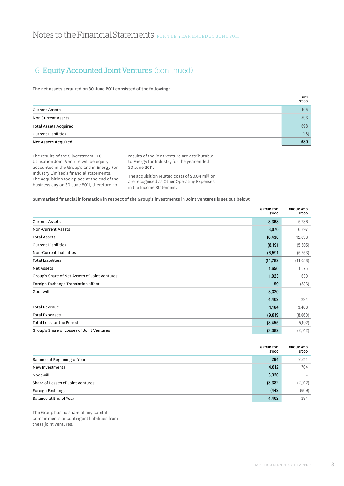# Notes to the Financial Statements FOR THE YEAR ENDED 30 JUNE 2011

# 16. Equity Accounted Joint Ventures (continued)

The net assets acquired on 30 June 2011 consisted of the following:

|                              | 2011<br>\$'000 |
|------------------------------|----------------|
| <b>Current Assets</b>        | 105            |
| Non Current Assets           | 593            |
| <b>Total Assets Acquired</b> | 698            |
| <b>Current Liabilities</b>   | (18)           |
| <b>Net Assets Acquired</b>   | 680            |

The results of the Silverstream LFG Utilisation Joint Venture will be equity accounted in the Group's and in Energy For Industry Limited's financial statements. The acquisition took place at the end of the business day on 30 June 2011, therefore no

results of the joint venture are attributable to Energy for Industry for the year ended 30 June 2011.

The acquisition related costs of \$0.04 million are recognised as Other Operating Expenses in the Income Statement.

### Summarised financial information in respect of the Group's investments in Joint Ventures is set out below:

|                                               | <b>GROUP 2011</b><br>\$'000 | <b>GROUP 2010</b><br>\$'000 |
|-----------------------------------------------|-----------------------------|-----------------------------|
| <b>Current Assets</b>                         | 8,368                       | 5,736                       |
| Non-Current Assets                            | 8,070                       | 6,897                       |
| <b>Total Assets</b>                           | 16,438                      | 12,633                      |
| <b>Current Liabilities</b>                    | (8, 191)                    | (5,305)                     |
| Non-Current Liabilities                       | (6, 591)                    | (5,753)                     |
| <b>Total Liabilities</b>                      | (14, 782)                   | (11, 058)                   |
| <b>Net Assets</b>                             | 1,656                       | 1,575                       |
| Group's Share of Net Assets of Joint Ventures | 1,023                       | 630                         |
| Foreign Exchange Translation effect           | 59                          | (336)                       |
| Goodwill                                      | 3,320                       |                             |
|                                               | 4,402                       | 294                         |
| <b>Total Revenue</b>                          | 1,164                       | 3,468                       |
| <b>Total Expenses</b>                         | (9,619)                     | (8,660)                     |
| Total Loss for the Period                     | (8, 455)                    | (5, 192)                    |
| Group's Share of Losses of Joint Ventures     | (3, 382)                    | (2,012)                     |

|                                   | <b>GROUP 2011</b><br>\$'000 | <b>GROUP 2010</b><br>\$'000 |
|-----------------------------------|-----------------------------|-----------------------------|
| Balance at Beginning of Year      | 294                         | 2,211                       |
| New Investments                   | 4,612                       | 704                         |
| Goodwill                          | 3,320                       | ۰                           |
| Share of Losses of Joint Ventures | (3, 382)                    | (2,012)                     |
| Foreign Exchange                  | (442)                       | (609)                       |
| Balance at End of Year            | 4,402                       | 294                         |

The Group has no share of any capital commitments or contingent liabilities from these joint ventures.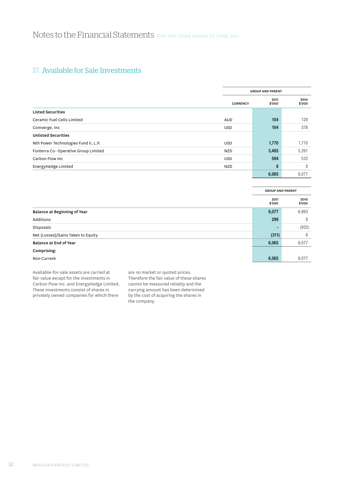# 17. Available for Sale Investments

|                                      |                 | <b>GROUP AND PARENT</b> |                |  |
|--------------------------------------|-----------------|-------------------------|----------------|--|
|                                      | <b>CURRENCY</b> | 2011<br>\$'000          | 2010<br>\$'000 |  |
| <b>Listed Securities</b>             |                 |                         |                |  |
| Ceramic Fuel Cells Limited           | <b>AUD</b>      | 104                     | 128            |  |
| Comverge, Inc.                       | <b>USD</b>      | 104                     | 378            |  |
| <b>Unlisted Securities</b>           |                 |                         |                |  |
| Nth Power Technologies Fund II, L.P. | USD             | 1,770                   | 1,770          |  |
| Fonterra Co-Operative Group Limited  | <b>NZD</b>      | 3,485                   | 3,261          |  |
| Carbon Flow Inc                      | <b>USD</b>      | 594                     | 532            |  |
| EnergyHedge Limited                  | <b>NZD</b>      | 8                       | 8              |  |
|                                      |                 | 6,065                   | 6,077          |  |

|                                    | <b>GROUP AND PARENT</b> |                |
|------------------------------------|-------------------------|----------------|
|                                    | 2011<br>\$'000          | 2010<br>\$'000 |
| Balance at Beginning of Year       | 6,077                   | 6,993          |
| Additions                          | 299                     | 8              |
| Disposals                          |                         | (932)          |
| Net (Losses)/Gains Taken to Equity | (311)                   | 8              |
| Balance at End of Year             | 6,065                   | 6,077          |
| Comprising:                        |                         |                |
| Non Current                        | 6,065                   | 6,077          |

Available-for-sale assets are carried at fair value except for the investments in Carbon Flow Inc. and EnergyHedge Limited. These investments consist of shares in privately owned companies for which there

are no market or quoted prices. Therefore the fair value of these shares cannot be measured reliably and the carrying amount has been determined by the cost of acquiring the shares in the company.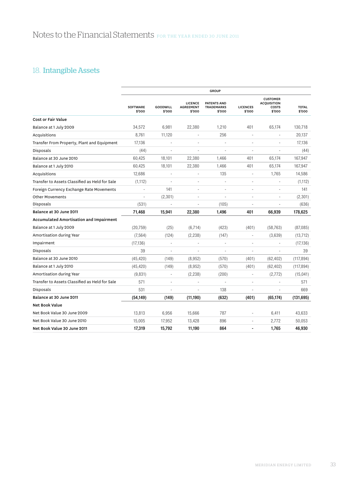# 18. Intangible Assets

|                                                |                           |                    |                                              | <b>GROUP</b>                                      |                           |                                                          |                        |
|------------------------------------------------|---------------------------|--------------------|----------------------------------------------|---------------------------------------------------|---------------------------|----------------------------------------------------------|------------------------|
|                                                | <b>SOFTWARE</b><br>\$'000 | GOODWILL<br>\$'000 | <b>LICENCE</b><br><b>AGREEMENT</b><br>\$'000 | <b>PATENTS AND</b><br><b>TRADEMARKS</b><br>\$'000 | <b>LICENCES</b><br>\$'000 | <b>CUSTOMER</b><br><b>ACQUISITION</b><br>COSTS<br>\$'000 | <b>TOTAL</b><br>\$'000 |
| <b>Cost or Fair Value</b>                      |                           |                    |                                              |                                                   |                           |                                                          |                        |
| Balance at 1 July 2009                         | 34,572                    | 6,981              | 22,380                                       | 1,210                                             | 401                       | 65,174                                                   | 130,718                |
| Acquisitions                                   | 8,761                     | 11,120             |                                              | 256                                               | í,                        |                                                          | 20,137                 |
| Transfer From Property, Plant and Equipment    | 17,136                    |                    | ä,                                           |                                                   | í,                        | ÷,                                                       | 17,136                 |
| Disposals                                      | (44)                      | ä,                 |                                              |                                                   | Ĭ.                        |                                                          | (44)                   |
| Balance at 30 June 2010                        | 60,425                    | 18,101             | 22,380                                       | 1,466                                             | 401                       | 65,174                                                   | 167,947                |
| Balance at 1 July 2010                         | 60,425                    | 18,101             | 22,380                                       | 1,466                                             | 401                       | 65,174                                                   | 167,947                |
| Acquisitions                                   | 12,686                    | ä,                 | ÷,                                           | 135                                               | ÷,                        | 1,765                                                    | 14,586                 |
| Transfer to Assets Classified as Held for Sale | (1, 112)                  |                    | ÷,                                           |                                                   | ä,                        |                                                          | (1, 112)               |
| Foreign Currency Exchange Rate Movements       |                           | 141                | ÷,                                           |                                                   | ä,                        | ä,                                                       | 141                    |
| <b>Other Movements</b>                         | L                         | (2, 301)           |                                              |                                                   | L,                        |                                                          | (2, 301)               |
| Disposals                                      | (531)                     |                    | ÷,                                           | (105)                                             |                           |                                                          | (636)                  |
| Balance at 30 June 2011                        | 71,468                    | 15,941             | 22,380                                       | 1,496                                             | 401                       | 66,939                                                   | 178,625                |
| <b>Accumulated Amortisation and Impairment</b> |                           |                    |                                              |                                                   |                           |                                                          |                        |
| Balance at 1 July 2009                         | (20, 759)                 | (25)               | (6,714)                                      | (423)                                             | (401)                     | (58, 763)                                                | (87,085)               |
| Amortisation during Year                       | (7, 564)                  | (124)              | (2, 238)                                     | (147)                                             | $\overline{\phantom{a}}$  | (3,639)                                                  | (13, 712)              |
| Impairment                                     | (17, 136)                 |                    |                                              |                                                   | ä,                        |                                                          | (17, 136)              |
| Disposals                                      | 39                        | ä,                 |                                              |                                                   | í,                        |                                                          | 39                     |
| Balance at 30 June 2010                        | (45, 420)                 | (149)              | (8,952)                                      | (570)                                             | (401)                     | (62, 402)                                                | (117, 894)             |
| Balance at 1 July 2010                         | (45, 420)                 | (149)              | (8,952)                                      | (570)                                             | (401)                     | (62, 402)                                                | (117, 894)             |
| Amortisation during Year                       | (9,831)                   | ÷,                 | (2, 238)                                     | (200)                                             | ÷,                        | (2,772)                                                  | (15, 041)              |
| Transfer to Assets Classified as Held for Sale | 571                       | ä,                 |                                              |                                                   | L,                        |                                                          | 571                    |
| Disposals                                      | 531                       | L,                 |                                              | 138                                               |                           |                                                          | 669                    |
| Balance at 30 June 2011                        | (54, 149)                 | (149)              | (11, 190)                                    | (632)                                             | (401)                     | (65, 174)                                                | (131, 695)             |
| <b>Net Book Value</b>                          |                           |                    |                                              |                                                   |                           |                                                          |                        |
| Net Book Value 30 June 2009                    | 13,813                    | 6,956              | 15,666                                       | 787                                               |                           | 6,411                                                    | 43,633                 |
| Net Book Value 30 June 2010                    | 15,005                    | 17,952             | 13,428                                       | 896                                               | ÷                         | 2,772                                                    | 50,053                 |
| Net Book Value 30 June 2011                    | 17,319                    | 15,792             | 11,190                                       | 864                                               |                           | 1,765                                                    | 46,930                 |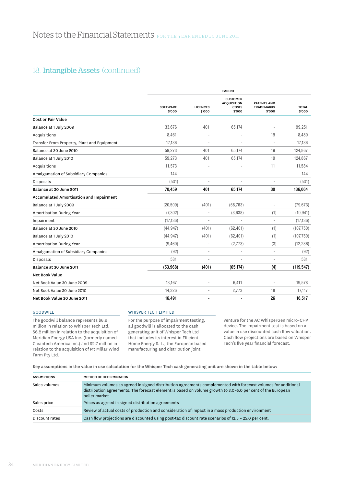# 18. **Intangible Assets** (continued)

|                                                |                           |                           | <b>PARENT</b>                                            |                                            |                        |
|------------------------------------------------|---------------------------|---------------------------|----------------------------------------------------------|--------------------------------------------|------------------------|
|                                                | <b>SOFTWARE</b><br>\$'000 | <b>LICENCES</b><br>\$'000 | <b>CUSTOMER</b><br><b>ACQUISITION</b><br>COSTS<br>\$'000 | PATENTS AND<br><b>TRADEMARKS</b><br>\$'000 | <b>TOTAL</b><br>\$'000 |
| <b>Cost or Fair Value</b>                      |                           |                           |                                                          |                                            |                        |
| Balance at 1 July 2009                         | 33.676                    | 401                       | 65,174                                                   |                                            | 99,251                 |
| Acquisitions                                   | 8,461                     | ÷,                        |                                                          | 19                                         | 8,480                  |
| Transfer From Property, Plant and Equipment    | 17,136                    | ÷,                        |                                                          | ä,                                         | 17,136                 |
| Balance at 30 June 2010                        | 59,273                    | 401                       | 65,174                                                   | 19                                         | 124,867                |
| Balance at 1 July 2010                         | 59,273                    | 401                       | 65,174                                                   | 19                                         | 124,867                |
| Acquisitions                                   | 11,573                    | ٠                         |                                                          | 11                                         | 11,584                 |
| Amalgamation of Subsidiary Companies           | 144                       | ä,                        |                                                          |                                            | 144                    |
| Disposals                                      | (531)                     |                           |                                                          |                                            | (531)                  |
| Balance at 30 June 2011                        | 70,459                    | 401                       | 65,174                                                   | 30                                         | 136,064                |
| <b>Accumulated Amortisation and Impairment</b> |                           |                           |                                                          |                                            |                        |
| Balance at 1 July 2009                         | (20, 509)                 | (401)                     | (58, 763)                                                |                                            | (79, 673)              |
| Amortisation During Year                       | (7, 302)                  |                           | (3,638)                                                  | (1)                                        | (10, 941)              |
| Impairment                                     | (17, 136)                 | ÷,                        |                                                          | ÷,                                         | (17, 136)              |
| Balance at 30 June 2010                        | (44, 947)                 | (401)                     | (62, 401)                                                | (1)                                        | (107,750)              |
| Balance at 1 July 2010                         | (44, 947)                 | (401)                     | (62, 401)                                                | (1)                                        | (107,750)              |
| Amortisation During Year                       | (9,460)                   | ÷,                        | (2,773)                                                  | (3)                                        | (12, 236)              |
| Amalgamation of Subsidiary Companies           | (92)                      | ٠                         |                                                          |                                            | (92)                   |
| Disposals                                      | 531                       | ÷,                        |                                                          | ÷,                                         | 531                    |
| Balance at 30 June 2011                        | (53,968)                  | (401)                     | (65, 174)                                                | (4)                                        | (119, 547)             |
| <b>Net Book Value</b>                          |                           |                           |                                                          |                                            |                        |
| Net Book Value 30 June 2009                    | 13,167                    |                           | 6,411                                                    |                                            | 19,578                 |
| Net Book Value 30 June 2010                    | 14,326                    | ä,                        | 2,773                                                    | 18                                         | 17,117                 |
| Net Book Value 30 June 2011                    | 16,491                    |                           |                                                          | 26                                         | 16,517                 |
|                                                |                           |                           |                                                          |                                            |                        |

### Goodwill

The goodwill balance represents \$6.9 million in relation to Whisper Tech Ltd, \$6.2 million in relation to the acquisition of Meridian Energy USA Inc. (formerly named Cleantech America Inc.) and \$2.7 million in relation to the acquisition of Mt Millar Wind Farm Pty Ltd.

# Whisper Tech LIMITED

For the purpose of impairment testing, all goodwill is allocated to the cash generating unit of Whisper Tech Ltd that includes its interest in Efficient Home Energy S. L., the European based manufacturing and distribution joint

venture for the AC WhisperGen micro-CHP device. The impairment test is based on a value in use discounted cash flow valuation. Cash flow projections are based on Whisper Tech's five year financial forecast.

Key assumptions in the value in use calculation for the Whisper Tech cash generating unit are shown in the table below:

| <b>ASSUMPTIONS</b> | <b>METHOD OF DETERMINATION</b>                                                                                                                                                                                                                |
|--------------------|-----------------------------------------------------------------------------------------------------------------------------------------------------------------------------------------------------------------------------------------------|
| Sales volumes      | Minimum volumes as agreed in signed distribution agreements complemented with forecast volumes for additional<br>distribution agreements. The forecast element is based on volume growth to 3.0-5.0 per cent of the European<br>boiler market |
| Sales price        | Prices as agreed in signed distribution agreements                                                                                                                                                                                            |
| Costs              | Review of actual costs of production and consideration of impact in a mass production environment                                                                                                                                             |
| Discount rates     | Cash flow projections are discounted using post-tax discount rate scenarios of $12.5 - 25.0$ per cent.                                                                                                                                        |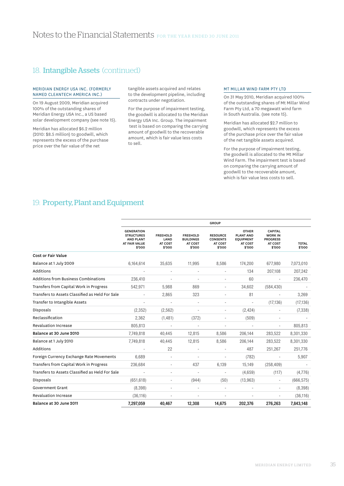# 18. **Intangible Assets** (continued)

### Meridian Energy USA Inc. (formerly named Cleantech America Inc.)

On 19 August 2009, Meridian acquired 100% of the outstanding shares of Meridian Energy USA Inc., a US based solar development company (see note 15).

Meridian has allocated \$6.2 million (2010: \$8.5 million) to goodwill, which represents the excess of the purchase price over the fair value of the net

tangible assets acquired and relates to the development pipeline, including contracts under negotiation.

For the purpose of impairment testing, the goodwill is allocated to the Meridian Energy USA Inc. Group. The impairment test is based on comparing the carrying amount of goodwill to the recoverable amount, which is fair value less costs to sell.

### Mt Millar Wind Farm Pty Ltd

On 31 May 2010, Meridian acquired 100% of the outstanding shares of Mt Millar Wind Farm Pty Ltd, a 70 megawatt wind farm in South Australia. (see note 15).

Meridian has allocated \$2.7 million to goodwill, which represents the excess of the purchase price over the fair value of the net tangible assets acquired.

For the purpose of impairment testing, the goodwill is allocated to the Mt Millar Wind Farm. The impairment test is based on comparing the carrying amount of goodwill to the recoverable amount, which is fair value less costs to sell.

# 19. Property, Plant and Equipment

|                                                 |                                                                                       |                                              |                                                          | <b>GROUP</b>                                            |                                                                           |                                                                          |                        |
|-------------------------------------------------|---------------------------------------------------------------------------------------|----------------------------------------------|----------------------------------------------------------|---------------------------------------------------------|---------------------------------------------------------------------------|--------------------------------------------------------------------------|------------------------|
|                                                 | <b>GENERATION</b><br><b>STRUCTURES</b><br><b>AND PLANT</b><br>AT FAIR VALUE<br>\$'000 | <b>FREEHOLD</b><br>LAND<br>AT COST<br>\$'000 | <b>FREEHOLD</b><br><b>BUILDINGS</b><br>AT COST<br>\$'000 | <b>RESOURCE</b><br><b>CONSENTS</b><br>AT COST<br>\$'000 | <b>OTHER</b><br><b>PLANT AND</b><br><b>EQUIPMENT</b><br>AT COST<br>\$'000 | <b>CAPITAL</b><br><b>WORK IN</b><br><b>PROGRESS</b><br>AT COST<br>\$'000 | <b>TOTAL</b><br>\$'000 |
| <b>Cost or Fair Value</b>                       |                                                                                       |                                              |                                                          |                                                         |                                                                           |                                                                          |                        |
| Balance at 1 July 2009                          | 6,164,614                                                                             | 35,635                                       | 11,995                                                   | 8,586                                                   | 174,200                                                                   | 677,980                                                                  | 7,073,010              |
| Additions                                       |                                                                                       |                                              | ÷,                                                       |                                                         | 134                                                                       | 207,108                                                                  | 207,242                |
| Additions from Business Combinations            | 236.410                                                                               |                                              |                                                          |                                                         | 60                                                                        |                                                                          | 236,470                |
| Transfers from Capital Work in Progress         | 542,971                                                                               | 5,988                                        | 869                                                      |                                                         | 34,602                                                                    | (584, 430)                                                               |                        |
| Transfers to Assets Classified as Held For Sale |                                                                                       | 2,865                                        | 323                                                      |                                                         | 81                                                                        | ٠                                                                        | 3,269                  |
| Transfer to Intangible Assets                   |                                                                                       | ÷,                                           | ×,                                                       |                                                         | $\overline{\phantom{a}}$                                                  | (17, 136)                                                                | (17, 136)              |
| Disposals                                       | (2, 352)                                                                              | (2, 562)                                     | ÷,                                                       | ٠                                                       | (2, 424)                                                                  | ٠                                                                        | (7, 338)               |
| Reclassification                                | 2,362                                                                                 | (1,481)                                      | (372)                                                    |                                                         | (509)                                                                     |                                                                          |                        |
| <b>Revaluation Increase</b>                     | 805.813                                                                               |                                              |                                                          |                                                         |                                                                           | $\overline{\phantom{a}}$                                                 | 805,813                |
| Balance at 30 June 2010                         | 7,749,818                                                                             | 40,445                                       | 12,815                                                   | 8,586                                                   | 206,144                                                                   | 283,522                                                                  | 8,301,330              |
| Balance at 1 July 2010                          | 7,749,818                                                                             | 40,445                                       | 12,815                                                   | 8,586                                                   | 206,144                                                                   | 283,522                                                                  | 8,301,330              |
| Additions                                       |                                                                                       | 22                                           |                                                          |                                                         | 487                                                                       | 251,267                                                                  | 251,776                |
| Foreign Currency Exchange Rate Movements        | 6.689                                                                                 | ÷,                                           |                                                          |                                                         | (782)                                                                     |                                                                          | 5,907                  |
| Transfers from Capital Work in Progress         | 236,684                                                                               |                                              | 437                                                      | 6,139                                                   | 15,149                                                                    | (258, 409)                                                               |                        |
| Transfers to Assets Classified as Held For Sale |                                                                                       |                                              | ÷,                                                       |                                                         | (4,659)                                                                   | (117)                                                                    | (4,776)                |
| Disposals                                       | (651, 618)                                                                            |                                              | (944)                                                    | (50)                                                    | (13,963)                                                                  | $\overline{\phantom{a}}$                                                 | (666, 575)             |
| <b>Government Grant</b>                         | (8,398)                                                                               |                                              |                                                          |                                                         |                                                                           | ٠                                                                        | (8,398)                |
| <b>Revaluation Increase</b>                     | (36, 116)                                                                             |                                              |                                                          |                                                         | ٠                                                                         | $\overline{a}$                                                           | (36, 116)              |
| Balance at 30 June 2011                         | 7,297,059                                                                             | 40,467                                       | 12,308                                                   | 14,675                                                  | 202,376                                                                   | 276,263                                                                  | 7,843,148              |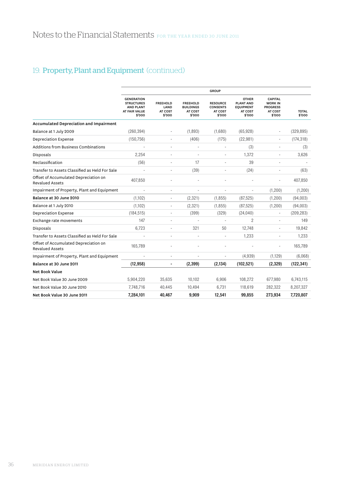|                                                                 |                                                                                       |                                              |                                                          | <b>GROUP</b>                                            |                                                                           |                                                                          |                        |
|-----------------------------------------------------------------|---------------------------------------------------------------------------------------|----------------------------------------------|----------------------------------------------------------|---------------------------------------------------------|---------------------------------------------------------------------------|--------------------------------------------------------------------------|------------------------|
|                                                                 | <b>GENERATION</b><br><b>STRUCTURES</b><br><b>AND PLANT</b><br>AT FAIR VALUE<br>\$'000 | <b>FREEHOLD</b><br>LAND<br>AT COST<br>\$'000 | <b>FREEHOLD</b><br><b>BUILDINGS</b><br>AT COST<br>\$'000 | <b>RESOURCE</b><br><b>CONSENTS</b><br>AT COST<br>\$'000 | <b>OTHER</b><br><b>PLANT AND</b><br><b>EQUIPMENT</b><br>AT COST<br>\$'000 | <b>CAPITAL</b><br><b>WORK IN</b><br><b>PROGRESS</b><br>AT COST<br>\$'000 | <b>TOTAL</b><br>\$'000 |
| <b>Accumulated Depreciation and Impairment</b>                  |                                                                                       |                                              |                                                          |                                                         |                                                                           |                                                                          |                        |
| Balance at 1 July 2009                                          | (260, 394)                                                                            |                                              | (1,893)                                                  | (1,680)                                                 | (65, 928)                                                                 |                                                                          | (329, 895)             |
| <b>Depreciation Expense</b>                                     | (150, 756)                                                                            | ٠                                            | (406)                                                    | (175)                                                   | (22, 981)                                                                 | ٠                                                                        | (174, 318)             |
| Additions from Business Combinations                            |                                                                                       | ÷.                                           | ä,                                                       |                                                         | (3)                                                                       | ٠                                                                        | (3)                    |
| Disposals                                                       | 2.254                                                                                 |                                              |                                                          |                                                         | 1.372                                                                     |                                                                          | 3,626                  |
| Reclassification                                                | (56)                                                                                  | ä,                                           | 17                                                       |                                                         | 39                                                                        | $\sim$                                                                   |                        |
| Transfer to Assets Classified as Held For Sale                  |                                                                                       | ٠                                            | (39)                                                     |                                                         | (24)                                                                      |                                                                          | (63)                   |
| Offset of Accumulated Depreciation on<br><b>Revalued Assets</b> | 407.850                                                                               |                                              |                                                          |                                                         |                                                                           |                                                                          | 407,850                |
| Impairment of Property, Plant and Equipment                     |                                                                                       | ä,                                           | ÷,                                                       | ÷,                                                      | ä,                                                                        | (1, 200)                                                                 | (1, 200)               |
| Balance at 30 June 2010                                         | (1,102)                                                                               | ÷,                                           | (2, 321)                                                 | (1, 855)                                                | (87, 525)                                                                 | (1, 200)                                                                 | (94,003)               |
| Balance at 1 July 2010                                          | (1,102)                                                                               | ÷,                                           | (2, 321)                                                 | (1, 855)                                                | (87, 525)                                                                 | (1,200)                                                                  | (94,003)               |
| <b>Depreciation Expense</b>                                     | (184, 515)                                                                            | $\overline{\phantom{0}}$                     | (399)                                                    | (329)                                                   | (24,040)                                                                  | $\overline{a}$                                                           | (209, 283)             |
| Exchange rate movements                                         | 147                                                                                   |                                              |                                                          |                                                         | $\overline{2}$                                                            |                                                                          | 149                    |
| Disposals                                                       | 6,723                                                                                 | ٠                                            | 321                                                      | 50                                                      | 12.748                                                                    |                                                                          | 19.842                 |
| Transfer to Assets Classified as Held For Sale                  |                                                                                       | ÷,                                           | ä,                                                       |                                                         | 1,233                                                                     | $\sim$                                                                   | 1,233                  |
| Offset of Accumulated Depreciation on<br><b>Revalued Assets</b> | 165,789                                                                               |                                              |                                                          |                                                         |                                                                           |                                                                          | 165,789                |
| Impairment of Property, Plant and Equipment                     |                                                                                       | ÷,                                           | ÷.                                                       |                                                         | (4,939)                                                                   | (1, 129)                                                                 | (6,068)                |
| Balance at 30 June 2011                                         | (12, 958)                                                                             | -                                            | (2, 399)                                                 | (2, 134)                                                | (102, 521)                                                                | (2,329)                                                                  | (122, 341)             |
| <b>Net Book Value</b>                                           |                                                                                       |                                              |                                                          |                                                         |                                                                           |                                                                          |                        |
| Net Book Value 30 June 2009                                     | 5,904,220                                                                             | 35,635                                       | 10,102                                                   | 6,906                                                   | 108,272                                                                   | 677.980                                                                  | 6,743,115              |
| Net Book Value 30 June 2010                                     | 7,748,716                                                                             | 40,445                                       | 10,494                                                   | 6,731                                                   | 118,619                                                                   | 282,322                                                                  | 8,207,327              |
| Net Book Value 30 June 2011                                     | 7,284,101                                                                             | 40,467                                       | 9,909                                                    | 12,541                                                  | 99,855                                                                    | 273,934                                                                  | 7,720,807              |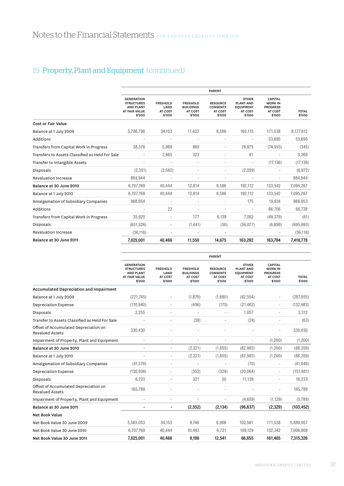|                                                 | <b>PARENT</b>                                                                         |                                              |                                                          |                                                         |                                                                           |                                                                          |                        |  |
|-------------------------------------------------|---------------------------------------------------------------------------------------|----------------------------------------------|----------------------------------------------------------|---------------------------------------------------------|---------------------------------------------------------------------------|--------------------------------------------------------------------------|------------------------|--|
|                                                 | <b>GENERATION</b><br><b>STRUCTURES</b><br><b>AND PLANT</b><br>AT FAIR VALUE<br>\$'000 | <b>FREEHOLD</b><br>LAND<br>AT COST<br>\$'000 | <b>FREEHOLD</b><br><b>BUILDINGS</b><br>AT COST<br>\$'000 | <b>RESOURCE</b><br><b>CONSENTS</b><br>AT COST<br>\$'000 | <b>OTHER</b><br><b>PLANT AND</b><br><b>EQUIPMENT</b><br>AT COST<br>\$'000 | <b>CAPITAL</b><br><b>WORK IN</b><br><b>PROGRESS</b><br>AT COST<br>\$'000 | <b>TOTAL</b><br>\$'000 |  |
| <b>Cost or Fair Value</b>                       |                                                                                       |                                              |                                                          |                                                         |                                                                           |                                                                          |                        |  |
| Balance at 1 July 2009                          | 5,786,798                                                                             | 34,153                                       | 11,622                                                   | 8,586                                                   | 165,115                                                                   | 171,538                                                                  | 6,177,812              |  |
| Additions                                       |                                                                                       | ٠                                            | ÷,                                                       |                                                         | ÷,                                                                        | 53,695                                                                   | 53,695                 |  |
| Transfers from Capital Work in Progress         | 38,378                                                                                | 5,988                                        | 869                                                      | ×.                                                      | 28,975                                                                    | (74, 555)                                                                | (345)                  |  |
| Transfers to Assets Classified as Held For Sale |                                                                                       | 2.865                                        | 323                                                      |                                                         | 81                                                                        | ٠                                                                        | 3,269                  |  |
| Transfer to Intangible Assets                   |                                                                                       |                                              |                                                          |                                                         |                                                                           | (17, 136)                                                                | (17, 136)              |  |
| Disposals                                       | (2, 351)                                                                              | (2, 562)                                     |                                                          |                                                         | (2,059)                                                                   |                                                                          | (6, 972)               |  |
| <b>Revaluation Increase</b>                     | 884,944                                                                               | ٠                                            | ٠                                                        |                                                         | ٠                                                                         | $\overline{\phantom{a}}$                                                 | 884,944                |  |
| Balance at 30 June 2010                         | 6,707,769                                                                             | 40,444                                       | 12,814                                                   | 8,586                                                   | 192,112                                                                   | 133,542                                                                  | 7,095,267              |  |
| Balance at 1 July 2010                          | 6,707,769                                                                             | 40,444                                       | 12,814                                                   | 8,586                                                   | 192,112                                                                   | 133,542                                                                  | 7,095,267              |  |
| Amalgamation of Subsidiary Companies            | 968,954                                                                               |                                              | ÷                                                        |                                                         | 175                                                                       | 19,824                                                                   | 988,953                |  |
| Additions                                       |                                                                                       | 22                                           |                                                          |                                                         |                                                                           | 66,706                                                                   | 66.728                 |  |
| Transfers from Capital Work in Progress         | 35.920                                                                                | ٠                                            | 177                                                      | 6,139                                                   | 7.082                                                                     | (49, 379)                                                                | (61)                   |  |
| Disposals                                       | (651, 526)                                                                            | $\overline{a}$                               | (1, 441)                                                 | (50)                                                    | (36,077)                                                                  | (6,899)                                                                  | (695, 993)             |  |
| <b>Revaluation Increase</b>                     | (36, 116)                                                                             |                                              |                                                          |                                                         |                                                                           |                                                                          | (36, 116)              |  |
| Balance at 30 June 2011                         | 7.025.001                                                                             | 40.466                                       | 11,550                                                   | 14.675                                                  | 163.292                                                                   | 163.794                                                                  | 7,418,778              |  |

|                                                                 |                                                                                       |                                              |                                                          | <b>PARENT</b>                                           |                                                                           |                                                                          |                        |
|-----------------------------------------------------------------|---------------------------------------------------------------------------------------|----------------------------------------------|----------------------------------------------------------|---------------------------------------------------------|---------------------------------------------------------------------------|--------------------------------------------------------------------------|------------------------|
|                                                                 | <b>GENERATION</b><br><b>STRUCTURES</b><br><b>AND PLANT</b><br>AT FAIR VALUE<br>\$'000 | <b>FREEHOLD</b><br>LAND<br>AT COST<br>\$'000 | <b>FREEHOLD</b><br><b>BUILDINGS</b><br>AT COST<br>\$'000 | <b>RESOURCE</b><br><b>CONSENTS</b><br>AT COST<br>\$'000 | <b>OTHER</b><br><b>PLANT AND</b><br><b>EQUIPMENT</b><br>AT COST<br>\$'000 | <b>CAPITAL</b><br><b>WORK IN</b><br><b>PROGRESS</b><br>AT COST<br>\$'000 | <b>TOTAL</b><br>\$'000 |
| <b>Accumulated Depreciation and Impairment</b>                  |                                                                                       |                                              |                                                          |                                                         |                                                                           |                                                                          |                        |
| Balance at 1 July 2009                                          | (221,745)                                                                             | $\overline{\phantom{m}}$                     | (1,876)                                                  | (1,680)                                                 | (62, 554)                                                                 | $\overline{a}$                                                           | (287, 855)             |
| <b>Depreciation Expense</b>                                     | (110, 940)                                                                            | ٠                                            | (406)                                                    | (175)                                                   | (21, 462)                                                                 | $\sim$                                                                   | (132, 983)             |
| Disposals                                                       | 2,255                                                                                 | ÷                                            | ÷,                                                       | ÷                                                       | 1.057                                                                     |                                                                          | 3,312                  |
| Transfer to Assets Classified as Held For Sale                  |                                                                                       | ٠                                            | (39)                                                     |                                                         | (24)                                                                      |                                                                          | (63)                   |
| Offset of Accumulated Depreciation on<br><b>Revalued Assets</b> | 330.430                                                                               |                                              |                                                          |                                                         |                                                                           | ÷,                                                                       | 330,430                |
| Impairment of Property, Plant and Equipment                     | $\overline{\phantom{a}}$                                                              | $\sim$                                       | ٠                                                        | ÷,                                                      | $\overline{\phantom{a}}$                                                  | (1, 200)                                                                 | (1, 200)               |
| Balance at 30 June 2010                                         |                                                                                       | ÷,                                           | (2, 321)                                                 | (1, 855)                                                | (82,983)                                                                  | (1, 200)                                                                 | (88, 359)              |
| Balance at 1 July 2010                                          |                                                                                       | ä,                                           | (2, 321)                                                 | (1, 855)                                                | (82,983)                                                                  | (1, 200)                                                                 | (88, 359)              |
| Amalgamation of Subsidiary Companies                            | (41, 576)                                                                             |                                              |                                                          |                                                         | (70)                                                                      |                                                                          | (41, 646)              |
| <b>Depreciation Expense</b>                                     | (130, 936)                                                                            | ä,                                           | (352)                                                    | (329)                                                   | (20,064)                                                                  | $\sim$                                                                   | (151, 681)             |
| Disposals                                                       | 6.723                                                                                 |                                              | 321                                                      | 50                                                      | 11,139                                                                    |                                                                          | 18,233                 |
| Offset of Accumulated Depreciation on<br><b>Revalued Assets</b> | 165,789                                                                               |                                              |                                                          |                                                         |                                                                           |                                                                          | 165,789                |
| Impairment of Property, Plant and Equipment                     |                                                                                       |                                              |                                                          |                                                         | (4,659)                                                                   | (1, 129)                                                                 | (5,788)                |
| Balance at 30 June 2011                                         |                                                                                       |                                              | (2, 352)                                                 | (2, 134)                                                | (96, 637)                                                                 | (2,329)                                                                  | (103, 452)             |
| <b>Net Book Value</b>                                           |                                                                                       |                                              |                                                          |                                                         |                                                                           |                                                                          |                        |
| Net Book Value 30 June 2009                                     | 5,565,053                                                                             | 34,153                                       | 9,746                                                    | 6,906                                                   | 102.561                                                                   | 171,538                                                                  | 5,889,957              |
| Net Book Value 30 June 2010                                     | 6,707,769                                                                             | 40.444                                       | 10,493                                                   | 6,731                                                   | 109,129                                                                   | 132,342                                                                  | 7,006,908              |
| Net Book Value 30 June 2011                                     | 7,025,001                                                                             | 40,466                                       | 9,198                                                    | 12,541                                                  | 66,655                                                                    | 161,465                                                                  | 7,315,326              |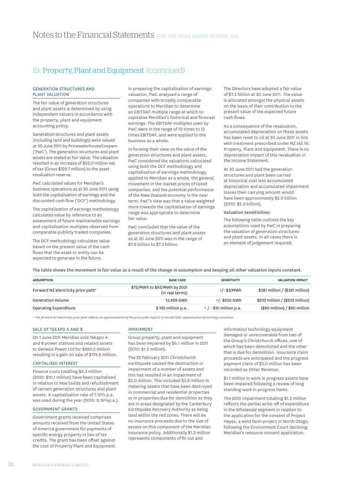### Generation Structures and Plant Valuation

The fair value of generation structures and plant assets is determined by using independent valuers in accordance with the property, plant and equipment accounting policy.

Generation structures and plant assets (including land and buildings) were valued at 30 June 2011 by PricewaterhouseCoopers ('PwC'). The generation structures and plant assets are stated at fair value. The valuation resulted in an increase of \$93.0 million net of tax (Gross \$129.7 million) to the asset revaluation reserve.

PwC calculated values for Meridian's business operations as at 30 June 2011 using both the capitalisation of earnings and the discounted cash flow ('DCF') methodology.

The capitalisation of earnings methodology calculates value by reference to an assessment of future maintainable earnings and capitalisation multiples observed from comparable publicly traded companies.

The DCF methodology calculates value based on the present value of the cash flows that the asset or entity can be expected to generate in the future.

In preparing the capitalisation of earnings valuation, PwC analysed a range of companies with broadly comparable operations to Meridian to determine an EBITDAF multiple range at which to capitalise Meridian's historical and forecast earnings. The EBITDAF multiples used by PwC were in the range of 10 times to 13 times EBITDAF, and were applied to the business as a whole.

In forming their view on the value of the generation structures and plant assets, PwC considered the valuations calculated using both the DCF methodology and capitalisation of earnings methodology, applied to Meridian as a whole, the general movement in the market prices of listed companies, and the potential performance of the New Zealand economy in the near term. PwC's view was that a value weighted more towards the capitalisation of earnings range was appropriate to determine fair value.

PwC concluded that the value of the generation structures and plant assets as at 30 June 2011 was in the range of \$7.0 billion to \$7.3 billion.

The Directors have adopted a fair value of \$7.3 billion at 30 June 2011. The value is allocated amongst the physical assets on the basis of their contribution to the present value of the expected future cash flows.

As a consequence of the revaluation, accumulated depreciation on these assets has been reset to nil at 30 June 2011 in line with treatment prescribed under NZ IAS 16: Property, Plant and Equipment. There is no depreciation impact of this revaluation in the Income Statement.

At 30 June 2011 had the generation structures and plant been carried at historical cost less accumulated depreciation and accumulated impairment losses their carrying amount would have been approximately \$2.9 billion (2010: \$2.9 billion).

### Valuation sensitivities:

The following table outlines the key assumptions used by PwC in preparing the valuation of generation structures and plant assets. In all cases there is an element of judgement required.

The table shows the movement in fair value as a result of the change in assumption and keeping all other valuation inputs constant.

| <b>ASSUMPTION</b>                  | <b>BASE CASE</b>                                | <b>SENSITIVITY</b>        | <b>VALUATION IMPACT</b>         |
|------------------------------------|-------------------------------------------------|---------------------------|---------------------------------|
| Forward NZ electricity price path* | \$75/MWh to \$93/MWh by 2031<br>(in real terms) | $+/-$ \$3/MWh             | \$381 million / (\$381 million) |
| Generation Volume                  | 13.489 GWh                                      | +/- \$250 GWh             | \$202 million / (\$202 million) |
| Operating Expenditure              | $$195$ million p.a.                             | $+$ / - \$10 million p.a. | $($80$ million) / $$80$ million |

*\* The forward NZ electricity price path reflects an approximation of the price path implicit in the EBITDAF capitalisation of earnings valuation.*

#### Sale of Tekapo A AND B

On 1 June 2011 Meridian sold Tekapo A and B power stations and related assets to Genesis Power Ltd for \$820.2 million resulting in a gain on sale of \$174.8 million.

# Capitalised Interest

Finance costs totalling \$4.3 million (2010: \$10.1 million) have been capitalised in relation to new builds and refurbishment of certain generation structures and plant assets. A capitalisation rate of 7.12% p.a. was used during the year (2010: 8.16%p.a.).

### Government Grants

Government grants received comprises amounts received from the United States of America government for payments of specific energy property in lieu of tax credits. The grant has been offset against the cost of Property Plant and Equipment.

#### **IMPAIRMENT**

Group property, plant and equipment has been impaired by \$6.1 million in 2011 (2010: \$1.2 million).

The 22 February 2011 Christchurch earthquake caused the destruction or impairment of a number of assets and this has resulted in an impairment of \$5.0 million. This included \$3.8 million in metering assets that have been destroyed in commercial and residential properties or in properties due for demolition as they are in areas designated by the Canterbury Earthquake Recovery Authority as being land within the red zones. There will be no insurance proceeds due to the size of excess on this component of the Meridian insurance policy. Additionally \$1.2 million represents components of fit-out and

information technology equipment damaged or unrecoverable from two of the Group's Christchurch offices, one of which has been demolished and the other that is due for demolition. Insurance claim proceeds are anticipated and the progress payment claim of \$3.0 million has been recorded as Other Revenue.

\$1.1 million in work in progress assets have been impaired following a review of long standing work in progress items.

The 2010 impairment totalling \$1.2 million reflects the partial write-off of expenditure in the Wholesale segment in relation to the application for the consent of Project Hayes, a wind farm project in North Otago, following the Environment Court declining Meridian's resource consent application.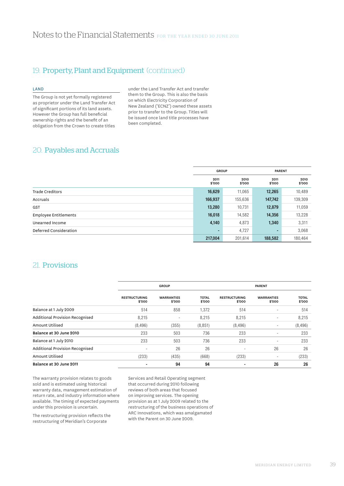### Land

The Group is not yet formally registered as proprietor under the Land Transfer Act of significant portions of its land assets. However the Group has full beneficial ownership rights and the benefit of an obligation from the Crown to create titles

under the Land Transfer Act and transfer them to the Group. This is also the basis on which Electricity Corporation of New Zealand ('ECNZ') owned these assets prior to transfer to the Group. Titles will be issued once land title processes have been completed.

# 20. Payables and Accruals

|                              | <b>GROUP</b>   |                | <b>PARENT</b>  |                |
|------------------------------|----------------|----------------|----------------|----------------|
|                              | 2011<br>\$'000 | 2010<br>\$'000 | 2011<br>\$'000 | 2010<br>\$'000 |
| <b>Trade Creditors</b>       | 16,629         | 11,065         | 12,265         | 10,489         |
| Accruals                     | 166,937        | 155,636        | 147,742        | 139,309        |
| <b>GST</b>                   | 13,280         | 10,731         | 12,879         | 11,059         |
| <b>Employee Entitlements</b> | 16,018         | 14,582         | 14,356         | 13,228         |
| Unearned Income              | 4,140          | 4,873          | 1,340          | 3,311          |
| Deferred Consideration       | ۰.             | 4,727          |                | 3,068          |
|                              | 217,004        | 201,614        | 188,582        | 180,464        |

# 21. Provisions

|                                 |                                | <b>GROUP</b>                |                        |                                | <b>PARENT</b>               |                        |
|---------------------------------|--------------------------------|-----------------------------|------------------------|--------------------------------|-----------------------------|------------------------|
|                                 | <b>RESTRUCTURING</b><br>\$'000 | <b>WARRANTIES</b><br>\$'000 | <b>TOTAL</b><br>\$'000 | <b>RESTRUCTURING</b><br>\$'000 | <b>WARRANTIES</b><br>\$'000 | <b>TOTAL</b><br>\$'000 |
| Balance at 1 July 2009          | 514                            | 858                         | 1,372                  | 514                            | ٠                           | 514                    |
| Additional Provision Recognised | 8,215                          | ٠                           | 8,215                  | 8,215                          | ۰                           | 8,215                  |
| Amount Utilised                 | (8, 496)                       | (355)                       | (8, 851)               | (8, 496)                       | $\overline{\phantom{a}}$    | (8, 496)               |
| Balance at 30 June 2010         | 233                            | 503                         | 736                    | 233                            | ۰                           | 233                    |
| Balance at 1 July 2010          | 233                            | 503                         | 736                    | 233                            | -                           | 233                    |
| Additional Provision Recognised | ۰                              | 26                          | 26                     | $\overline{\phantom{a}}$       | 26                          | 26                     |
| Amount Utilised                 | (233)                          | (435)                       | (668)                  | (233)                          | ٠                           | (233)                  |
| Balance at 30 June 2011         | $\overline{\phantom{a}}$       | 94                          | 94                     |                                | 26                          | 26                     |

The warranty provision relates to goods sold and is estimated using historical warranty data, management estimation of return rate, and industry information where available. The timing of expected payments under this provision is uncertain.

The restructuring provision reflects the restructuring of Meridian's Corporate

Services and Retail Operating segment that occurred during 2010 following reviews of both areas that focused on improving services. The opening provision as at 1 July 2009 related to the restructuring of the business operations of ARC Innovations, which was amalgamated with the Parent on 30 June 2009.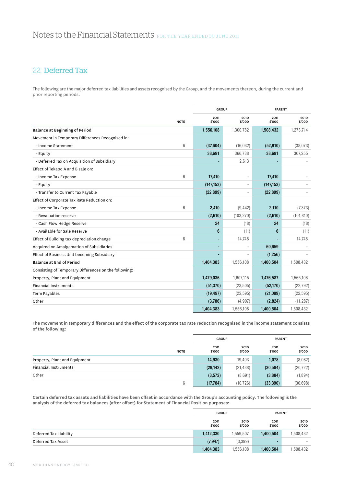# 22. Deferred Tax

The following are the major deferred tax liabilities and assets recognised by the Group, and the movements thereon, during the current and prior reporting periods.

|                                                       |                 | <b>GROUP</b>   |                          | <b>PARENT</b>  |                |
|-------------------------------------------------------|-----------------|----------------|--------------------------|----------------|----------------|
|                                                       | <b>NOTE</b>     | 2011<br>\$'000 | 2010<br>\$'000           | 2011<br>\$'000 | 2010<br>\$'000 |
| <b>Balance at Beginning of Period</b>                 |                 | 1,556,108      | 1,300,782                | 1,508,432      | 1,273,714      |
| Movement in Temporary Differences Recognised in:      |                 |                |                          |                |                |
| - Income Statement                                    | 6               | (37,604)       | (16, 032)                | (52, 910)      | (38,073)       |
| - Equity                                              |                 | 38,691         | 366,738                  | 38,691         | 367,255        |
| - Deferred Tax on Acquisition of Subsidiary           |                 |                | 2,613                    |                |                |
| Effect of Tekapo A and B sale on:                     |                 |                |                          |                |                |
| - Income Tax Expense                                  | $6\phantom{1}6$ | 17,410         |                          | 17,410         |                |
| - Equity                                              |                 | (147, 153)     | $\overline{\phantom{a}}$ | (147, 153)     |                |
| - Transfer to Current Tax Payable                     |                 | (22, 899)      |                          | (22, 899)      |                |
| Effect of Corporate Tax Rate Reduction on:            |                 |                |                          |                |                |
| - Income Tax Expense                                  | 6               | 2,410          | (9, 442)                 | 2,110          | (7, 373)       |
| - Revaluation reserve                                 |                 | (2,610)        | (103, 270)               | (2,610)        | (101, 810)     |
| - Cash Flow Hedge Reserve                             |                 | 24             | (18)                     | 24             | (18)           |
| - Available for Sale Reserve                          |                 | 6              | (11)                     | 6              | (11)           |
| Effect of Building tax depreciation change            | $6\phantom{1}6$ |                | 14,748                   |                | 14,748         |
| Acquired on Amalgamation of Subsidiaries              |                 | $\blacksquare$ |                          | 60,659         |                |
| Effect of Business Unit becoming Subsidiary           |                 |                |                          | (1, 256)       |                |
| <b>Balance at End of Period</b>                       |                 | 1,404,383      | 1,556,108                | 1,400,504      | 1,508,432      |
| Consisting of Temporary Differences on the following: |                 |                |                          |                |                |
| Property, Plant and Equipment                         |                 | 1,479,036      | 1,607,115                | 1,476,587      | 1,565,106      |
| <b>Financial Instruments</b>                          |                 | (51, 370)      | (23, 505)                | (52, 170)      | (22, 792)      |
| Term Payables                                         |                 | (19, 497)      | (22, 595)                | (21,089)       | (22, 595)      |
| Other                                                 |                 | (3,786)        | (4,907)                  | (2,824)        | (11, 287)      |
|                                                       |                 | 1,404,383      | 1,556,108                | 1,400,504      | 1,508,432      |

The movement in temporary differences and the effect of the corporate tax rate reduction recognised in the income statement consists of the following:

|                               |             | <b>GROUP</b>   |                | <b>PARENT</b>  |                |
|-------------------------------|-------------|----------------|----------------|----------------|----------------|
|                               | <b>NOTE</b> | 2011<br>\$'000 | 2010<br>\$'000 | 2011<br>\$'000 | 2010<br>\$'000 |
| Property, Plant and Equipment |             | 14,930         | 19,403         | 1,078          | (8,082)        |
| <b>Financial Instruments</b>  |             | (29, 142)      | (21, 438)      | (30, 584)      | (20, 722)      |
| Other                         |             | (3, 572)       | (8,691)        | (3,884)        | (1,894)        |
|                               | 6           | (17, 784)      | (10, 726)      | (33, 390)      | (30, 698)      |

Certain deferred tax assets and liabilities have been offset in accordance with the Group's accounting policy. The following is the analysis of the deferred tax balances (after offset) for Statement of Financial Position purposes:

|                        | <b>GROUP</b>   |                |                | <b>PARENT</b>  |  |
|------------------------|----------------|----------------|----------------|----------------|--|
|                        | 2011<br>\$'000 | 2010<br>\$'000 | 2011<br>\$'000 | 2010<br>\$'000 |  |
| Deferred Tax Liability | 1,412,330      | 1,559,507      | 1,400,504      | 1,508,432      |  |
| Deferred Tax Asset     | (7, 947)       | (3,399)        | -              | ۰              |  |
|                        | 1,404,383      | 1,556,108      | 1,400,504      | 1,508,432      |  |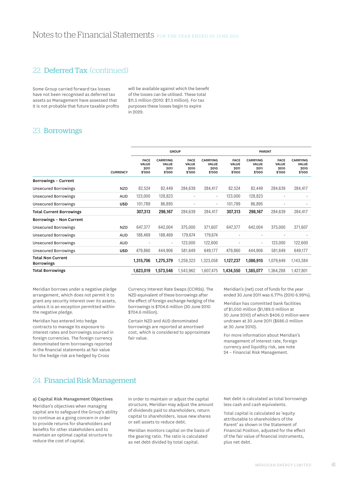# 22. Deferred Tax (continued)

Some Group carried forward tax losses have not been recognised as deferred tax assets as Management have assessed that it is not probable that future taxable profits will be available against which the benefit of the losses can be utilised. These total \$11.5 million (2010: \$7.3 million). For tax purposes these losses begin to expire in 2029.

# 23. Borrowings

|                 | <b>GROUP</b>                           |                                                   |                                               |                                                   |                                               | <b>PARENT</b>                                     |                                               |                                                   |  |
|-----------------|----------------------------------------|---------------------------------------------------|-----------------------------------------------|---------------------------------------------------|-----------------------------------------------|---------------------------------------------------|-----------------------------------------------|---------------------------------------------------|--|
| <b>CURRENCY</b> | <b>FACE</b><br>VALUE<br>2011<br>\$'000 | <b>CARRYING</b><br><b>VALUE</b><br>2011<br>\$'000 | <b>FACE</b><br><b>VALUE</b><br>2010<br>\$'000 | <b>CARRYING</b><br><b>VALUE</b><br>2010<br>\$'000 | <b>FACE</b><br><b>VALUE</b><br>2011<br>\$'000 | <b>CARRYING</b><br><b>VALUE</b><br>2011<br>\$'000 | <b>FACE</b><br><b>VALUE</b><br>2010<br>\$'000 | <b>CARRYING</b><br><b>VALUE</b><br>2010<br>\$'000 |  |
|                 |                                        |                                                   |                                               |                                                   |                                               |                                                   |                                               |                                                   |  |
| <b>NZD</b>      | 82,524                                 | 82,449                                            | 284,639                                       | 284,417                                           | 82,524                                        | 82,449                                            | 284,639                                       | 284,417                                           |  |
| <b>AUD</b>      | 123,000                                | 128,823                                           | ۰                                             | $\sim$                                            | 123,000                                       | 128,823                                           | ٠                                             | ۰                                                 |  |
| <b>USD</b>      | 101,789                                | 86,895                                            |                                               | ٠                                                 | 101,789                                       | 86,895                                            | ٠                                             |                                                   |  |
|                 | 307,313                                | 298,167                                           | 284,639                                       | 284,417                                           | 307,313                                       | 298,167                                           | 284,639                                       | 284,417                                           |  |
|                 |                                        |                                                   |                                               |                                                   |                                               |                                                   |                                               |                                                   |  |
| <b>NZD</b>      | 647,377                                | 642,004                                           | 375,000                                       | 371,607                                           | 647,377                                       | 642,004                                           | 375,000                                       | 371,607                                           |  |
| <b>AUD</b>      | 188,469                                | 188,469                                           | 179,674                                       | 179,674                                           | ٠                                             |                                                   |                                               |                                                   |  |
| <b>AUD</b>      |                                        | $\overline{\phantom{a}}$                          | 123,000                                       | 122,600                                           | ÷                                             | $\overline{a}$                                    | 123,000                                       | 122,600                                           |  |
| <b>USD</b>      | 479,860                                | 444,906                                           | 581,649                                       | 649,177                                           | 479,860                                       | 444,906                                           | 581,649                                       | 649,177                                           |  |
|                 | 1,315,706                              | 1,275,379                                         | 1,259,323                                     | 1,323,058                                         | 1,127,237                                     | 1,086,910                                         | 1,079,649                                     | 1,143,384                                         |  |
|                 | 1,623,019                              | 1,573,546                                         | 1,543,962                                     | 1,607,475                                         | 1,434,550                                     | 1,385,077                                         | 1,364,288                                     | 1,427,801                                         |  |
|                 |                                        |                                                   |                                               |                                                   |                                               |                                                   |                                               |                                                   |  |

Meridian borrows under a negative pledge arrangement, which does not permit it to grant any security interest over its assets, unless it is an exception permitted within the negative pledge.

Meridian has entered into hedge contracts to manage its exposure to interest rates and borrowings sourced in foreign currencies. The foreign currency denominated term borrowings reported in the financial statements at fair value for the hedge risk are hedged by Cross

Currency Interest Rate Swaps (CCIRSs). The NZD equivalent of these borrowings after the effect of foreign exchange hedging of the borrowings is \$704.6 million (30 June 2010 \$704.6 million).

Certain NZD and AUD denominated borrowings are reported at amortised cost, which is considered to approximate fair value.

Meridian's (net) cost of funds for the year ended 30 June 2011 was 6.77% (2010 6.99%).

Meridian has committed bank facilities of \$1,050 million (\$1,189.0 million at 30 June 2010) of which \$406.0 million were undrawn at 30 June 2011 (\$686.0 million at 30 June 2010).

For more information about Meridian's management of interest rate, foreign currency and liquidity risk, see note 24 – Financial Risk Management.

# 24. Financial Risk Management

### a) Capital Risk Management Objectives

Meridian's objectives when managing capital are to safeguard the Group's ability to continue as a going concern in order to provide returns for shareholders and benefits for other stakeholders and to maintain an optimal capital structure to reduce the cost of capital.

In order to maintain or adjust the capital structure, Meridian may adjust the amount of dividends paid to shareholders, return capital to shareholders, issue new shares or sell assets to reduce debt.

Meridian monitors capital on the basis of the gearing ratio. The ratio is calculated as net debt divided by total capital.

Net debt is calculated as total borrowings less cash and cash equivalents.

Total capital is calculated as 'equity attributable to shareholders of the Parent' as shown in the Statement of Financial Position, adjusted for the effect of the fair value of financial instruments, plus net debt.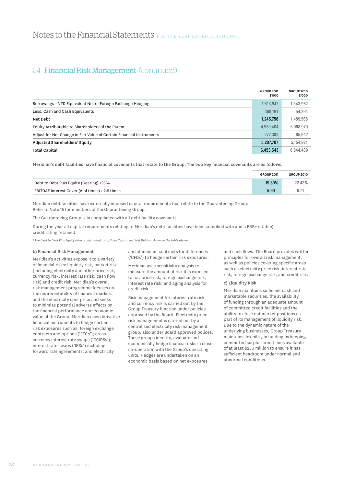|                                                                      | <b>GROUP 2011</b><br>\$'000 | <b>GROUP 2010</b><br>\$'000 |
|----------------------------------------------------------------------|-----------------------------|-----------------------------|
| Borrowings - NZD Equivalent Net of Foreign Exchange Hedging          | 1,613,947                   | 1,543,962                   |
| Less: Cash and Cash Equivalents                                      | 368.191                     | 54,394                      |
| Net Debt                                                             | 1,245,756                   | 1,489,568                   |
| Equity Attributable to Shareholders of the Parent                    | 4,930,404                   | 5,068,979                   |
| Adjust for Net Change in Fair Value of Certain Financial Instruments | 277,383                     | 85,942                      |
| Adjusted Shareholders' Equity                                        | 5,207,787                   | 5,154,921                   |
| <b>Total Capital</b>                                                 | 6,453,543                   | 6.644.489                   |

Meridian's debt facilities have financial covenants that relate to the Group. The two key financial covenants are as follows:

|                                                      | <b>GROUP 2011</b> | <b>GROUP 2010</b> |
|------------------------------------------------------|-------------------|-------------------|
| Debt to Debt Plus Equity (Gearing) <35% <sup>1</sup> | 19.30%            | 22.42%            |
| EBITDAF Interest Cover (# of times) > 2.5 times      | 5.90              |                   |

Meridian debt facilities have externally imposed capital requirements that relate to the Guaranteeing Group. Refer to Note 15 for members of the Guaranteeing Group.

The Guaranteeing Group is in compliance with all debt facility covenants.

During the year all capital requirements relating to Meridian's debt facilities have been complied with and a BBB+ (stable) credit rating retained.

*1 The Debt to Debt Plus Equity ratio is calculated using Total Capital and Net Debt as shown in the table above*

## b) Financial Risk Management

Meridian's activities expose it to a variety of financial risks: liquidity risk, market risk (including electricity and other price risk, currency risk, interest rate risk, cash flow risk) and credit risk. Meridian's overall risk management programme focuses on the unpredictability of financial markets and the electricity spot price and seeks to minimise potential adverse effects on the financial performance and economic value of the Group. Meridian uses derivative financial instruments to hedge certain risk exposures such as: foreign exchange contracts and options ('FECs'); cross currency interest rate swaps ('CCIRSs'); interest rate swaps ('IRSs') including forward rate agreements; and electricity

and aluminium contracts for differences ('CFDs') to hedge certain risk exposures.

Meridian uses sensitivity analysis to measure the amount of risk it is exposed to for: price risk; foreign exchange risk; interest rate risk; and aging analysis for credit risk.

Risk management for interest rate risk and currency risk is carried out by the Group Treasury function under policies approved by the Board. Electricity price risk management is carried out by a centralised electricity risk management group, also under Board approved polices. These groups identify, evaluate and economically hedge financial risks in close co-operation with the Group's operating units. Hedges are undertaken on an economic basis based on net exposures

and cash flows. The Board provides written principles for overall risk management, as well as policies covering specific areas such as electricity price risk, interest rate risk, foreign exchange risk, and credit risk.

### c) Liquidity Risk

Meridian maintains sufficient cash and marketable securities, the availability of funding through an adequate amount of committed credit facilities and the ability to close out market positions as part of its management of liquidity risk. Due to the dynamic nature of the underlying businesses, Group Treasury maintains flexibility in funding by keeping committed surplus credit lines available of at least \$250 million to ensure it has sufficient headroom under normal and abnormal conditions.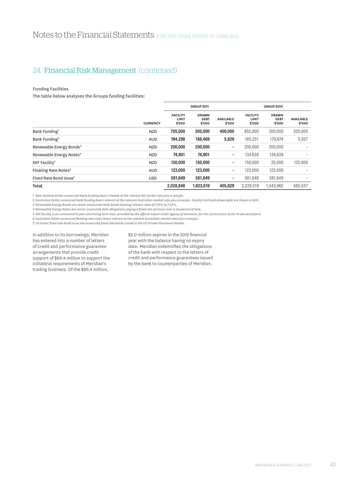### Funding Facilities

The table below analyses the Groups funding facilities:

|                                     |                 | <b>GROUP 2011</b>                  |                                       |                            | <b>GROUP 2010</b>                  |                                       |                            |  |
|-------------------------------------|-----------------|------------------------------------|---------------------------------------|----------------------------|------------------------------------|---------------------------------------|----------------------------|--|
|                                     | <b>CURRENCY</b> | <b>FACILITY</b><br>LIMIT<br>\$'000 | <b>DRAWN</b><br><b>DEBT</b><br>\$'000 | <b>AVAILABLE</b><br>\$'000 | <b>FACILITY</b><br>LIMIT<br>\$'000 | <b>DRAWN</b><br><b>DEBT</b><br>\$'000 | <b>AVAILABLE</b><br>\$'000 |  |
| Bank Funding <sup>1</sup>           | <b>NZD</b>      | 705.000                            | 305,000                               | 400.000                    | 855,000                            | 300.000                               | 555,000                    |  |
| Bank Funding <sup>2</sup>           | <b>AUD</b>      | 194,298                            | 188,469                               | 5,829                      | 185,231                            | 179,674                               | 5,557                      |  |
| Renewable Energy Bonds <sup>3</sup> | <b>NZD</b>      | 200.000                            | 200,000                               | -                          | 200,000                            | 200,000                               |                            |  |
| Renewable Energy Notes <sup>4</sup> | <b>NZD</b>      | 74,901                             | 74,901                                | $\blacksquare$             | 134,639                            | 134,639                               |                            |  |
| $EKF$ Facility <sup>5</sup>         | <b>NZD</b>      | 150.000                            | 150,000                               | -                          | 150,000                            | 25,000                                | 125,000                    |  |
| Floating Rate Notes <sup>6</sup>    | <b>AUD</b>      | 123,000                            | 123,000                               |                            | 123,000                            | 123,000                               |                            |  |
| Fixed Rate Bond Issue <sup>7</sup>  | <b>USD</b>      | 581.649                            | 581,649                               | -                          | 581.649                            | 581.649                               |                            |  |
| Total                               |                 | 2,028,848                          | 1,623,019                             | 405.829                    | 2,229,519                          | 1,543,962                             | 685,557                    |  |

*1 New Zealand Dollar unsecured bank funding bears interest at the relevant NZ market rate plus a margin.*

*2 Australian Dollar unsecured bank funding bears interest at the relevant Australian market rate plus a margin. Facility limit and drawn debt are shown in NZD.* 

*3 Renewable Energy Bonds are senior unsecured retail bonds bearing interest rates of 7.15% to 7.55%.*

*4 Renewable Energy Notes are senior unsecured debt obligations paying a fixed rate of return over a set period of time.*

*5 EKF facility is an unsecured 15 year amortising term loan, provided by the official export credit agency of Denmark, for the construction of the Te Uku wind farm.*

*6 Australian Dollar unsecured floating rate notes bears interest at the relevant Australian market rate plus a margin.*

*7 US Dollar fixed rate bond issue are unsecured fixed rate bonds issued in the US Private Placement Market.*

In addition to its borrowings, Meridian has entered into a number of letters of credit and performance guarantee arrangements that provide credit support of \$89.4 million to support the collateral requirements of Meridian's trading business. Of the \$89.4 million,

\$2.0 million expires in the 2012 financial year with the balance having no expiry date. Meridian indemnifies the obligations of the bank with respect to the letters of credit and performance guarantees issued by the bank to counterparties of Meridian.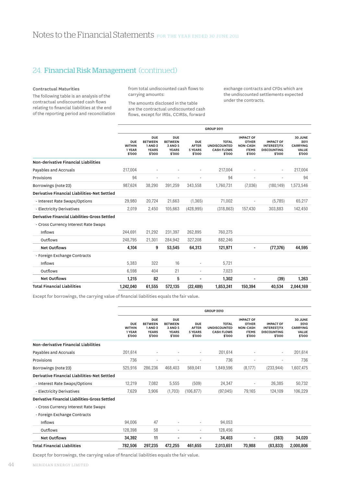### Contractual Maturities

The following table is an analysis of the contractual undiscounted cash flows relating to financial liabilities at the end of the reporting period and reconciliation from total undiscounted cash flows to carrying amounts:

The amounts disclosed in the table are the contractual undiscounted cash flows, except for IRSs, CCIRSs, forward exchange contracts and CFDs which are the undiscounted settlements expected under the contracts.

|                                                     |                                                 |                                                                          |                                                                   |                                                        | <b>GROUP 2011</b>                                                  |                                                                               |                                                                 |                                                       |
|-----------------------------------------------------|-------------------------------------------------|--------------------------------------------------------------------------|-------------------------------------------------------------------|--------------------------------------------------------|--------------------------------------------------------------------|-------------------------------------------------------------------------------|-----------------------------------------------------------------|-------------------------------------------------------|
|                                                     | <b>DUE</b><br><b>WITHIN</b><br>1 YEAR<br>\$'000 | <b>DUE</b><br><b>BETWEEN</b><br><b>1 AND 2</b><br><b>YEARS</b><br>\$'000 | <b>DUE</b><br><b>BETWEEN</b><br>3 AND 5<br><b>YEARS</b><br>\$'000 | <b>DUE</b><br><b>AFTER</b><br><b>5 YEARS</b><br>\$'000 | <b>TOTAL</b><br><b>UNDISCOUNTED</b><br><b>CASH FLOWS</b><br>\$'000 | <b>IMPACT OF</b><br><b>OTHER</b><br><b>NON-CASH</b><br><b>ITEMS</b><br>\$'000 | <b>IMPACT OF</b><br><b>INTEREST/FX</b><br>DISCOUNTING<br>\$'000 | 30 JUNE<br>2011<br><b>CARRYING</b><br>VALUE<br>\$'000 |
| Non-derivative Financial Liabilities                |                                                 |                                                                          |                                                                   |                                                        |                                                                    |                                                                               |                                                                 |                                                       |
| Payables and Accruals                               | 217,004                                         |                                                                          |                                                                   | ٠                                                      | 217,004                                                            |                                                                               | ٠                                                               | 217,004                                               |
| Provisions                                          | 94                                              | ä,                                                                       |                                                                   |                                                        | 94                                                                 |                                                                               | ٠                                                               | 94                                                    |
| Borrowings (note 23)                                | 987,624                                         | 38,290                                                                   | 391,259                                                           | 343,558                                                | 1,760,731                                                          | (7,036)                                                                       | (180, 149)                                                      | 1,573,546                                             |
| <b>Derivative Financial Liabilities-Net Settled</b> |                                                 |                                                                          |                                                                   |                                                        |                                                                    |                                                                               |                                                                 |                                                       |
| - Interest Rate Swaps/Options                       | 29,980                                          | 20,724                                                                   | 21,663                                                            | (1, 365)                                               | 71,002                                                             |                                                                               | (5,785)                                                         | 65,217                                                |
| - Electricity Derivatives                           | 2,019                                           | 2,450                                                                    | 105,663                                                           | (428, 995)                                             | (318, 863)                                                         | 157,430                                                                       | 303,883                                                         | 142,450                                               |
| Derivative Financial Liabilities-Gross Settled      |                                                 |                                                                          |                                                                   |                                                        |                                                                    |                                                                               |                                                                 |                                                       |
| - Cross Currency Interest Rate Swaps                |                                                 |                                                                          |                                                                   |                                                        |                                                                    |                                                                               |                                                                 |                                                       |
| Inflows                                             | 244,691                                         | 21,292                                                                   | 231,397                                                           | 262,895                                                | 760,275                                                            |                                                                               |                                                                 |                                                       |
| Outflows                                            | 248,795                                         | 21,301                                                                   | 284,942                                                           | 327,208                                                | 882,246                                                            |                                                                               |                                                                 |                                                       |
| <b>Net Outflows</b>                                 | 4,104                                           | 9                                                                        | 53,545                                                            | 64,313                                                 | 121,971                                                            |                                                                               | (77, 376)                                                       | 44,595                                                |
| - Foreign Exchange Contracts                        |                                                 |                                                                          |                                                                   |                                                        |                                                                    |                                                                               |                                                                 |                                                       |
| Inflows                                             | 5.383                                           | 322                                                                      | 16                                                                |                                                        | 5,721                                                              |                                                                               |                                                                 |                                                       |
| Outflows                                            | 6,598                                           | 404                                                                      | 21                                                                | $\overline{a}$                                         | 7,023                                                              |                                                                               |                                                                 |                                                       |
| <b>Net Outflows</b>                                 | 1,215                                           | 82                                                                       | 5                                                                 |                                                        | 1,302                                                              |                                                                               | (39)                                                            | 1,263                                                 |
| <b>Total Financial Liabilities</b>                  | 1,242,040                                       | 61,555                                                                   | 572,135                                                           | (22, 489)                                              | 1,853,241                                                          | 150.394                                                                       | 40,534                                                          | 2,044,169                                             |
|                                                     |                                                 |                                                                          |                                                                   |                                                        |                                                                    |                                                                               |                                                                 |                                                       |

Except for borrowings, the carrying value of financial liabilities equals the fair value.

|                                                     | <b>GROUP 2010</b>                               |                                                                          |                                                                   |                                                 |                                                                    |                                                                               |                                                                        |                                                              |
|-----------------------------------------------------|-------------------------------------------------|--------------------------------------------------------------------------|-------------------------------------------------------------------|-------------------------------------------------|--------------------------------------------------------------------|-------------------------------------------------------------------------------|------------------------------------------------------------------------|--------------------------------------------------------------|
|                                                     | <b>DUE</b><br><b>WITHIN</b><br>1 YEAR<br>\$'000 | <b>DUE</b><br><b>BETWEEN</b><br><b>1 AND 2</b><br><b>YEARS</b><br>\$'000 | <b>DUE</b><br><b>BETWEEN</b><br>3 AND 5<br><b>YEARS</b><br>\$'000 | <b>DUE</b><br><b>AFTER</b><br>5 YEARS<br>\$'000 | <b>TOTAL</b><br><b>UNDISCOUNTED</b><br><b>CASH FLOWS</b><br>\$'000 | <b>IMPACT OF</b><br><b>OTHER</b><br><b>NON-CASH</b><br><b>ITEMS</b><br>\$'000 | <b>IMPACT OF</b><br><b>INTEREST/FX</b><br><b>DISCOUNTING</b><br>\$'000 | 30 JUNE<br>2010<br><b>CARRYING</b><br><b>VALUE</b><br>\$'000 |
| Non-derivative Financial Liabilities                |                                                 |                                                                          |                                                                   |                                                 |                                                                    |                                                                               |                                                                        |                                                              |
| Payables and Accruals                               | 201,614                                         |                                                                          |                                                                   | ٠                                               | 201,614                                                            | ٠                                                                             |                                                                        | 201,614                                                      |
| Provisions                                          | 736                                             | ٠                                                                        | ٠                                                                 | ٠                                               | 736                                                                | ٠                                                                             |                                                                        | 736                                                          |
| Borrowings (note 23)                                | 525,916                                         | 286,236                                                                  | 468,403                                                           | 569,041                                         | 1,849,596                                                          | (8, 177)                                                                      | (233, 944)                                                             | 1,607,475                                                    |
| <b>Derivative Financial Liabilities-Net Settled</b> |                                                 |                                                                          |                                                                   |                                                 |                                                                    |                                                                               |                                                                        |                                                              |
| - Interest Rate Swaps/Options                       | 12,219                                          | 7,082                                                                    | 5,555                                                             | (509)                                           | 24,347                                                             | $\overline{a}$                                                                | 26,385                                                                 | 50,732                                                       |
| - Electricity Derivatives                           | 7,629                                           | 3,906                                                                    | (1,703)                                                           | (106, 877)                                      | (97,045)                                                           | 79,165                                                                        | 124,109                                                                | 106,229                                                      |
| Derivative Financial Liabilities-Gross Settled      |                                                 |                                                                          |                                                                   |                                                 |                                                                    |                                                                               |                                                                        |                                                              |
| - Cross Currency Interest Rate Swaps                |                                                 |                                                                          |                                                                   |                                                 |                                                                    |                                                                               |                                                                        |                                                              |
| - Foreign Exchange Contracts                        |                                                 |                                                                          |                                                                   |                                                 |                                                                    |                                                                               |                                                                        |                                                              |
| Inflows                                             | 94,006                                          | 47                                                                       |                                                                   |                                                 | 94,053                                                             |                                                                               |                                                                        |                                                              |
| Outflows                                            | 128,398                                         | 58                                                                       | ٠                                                                 | ٠                                               | 128,456                                                            |                                                                               |                                                                        |                                                              |
| <b>Net Outflows</b>                                 | 34,392                                          | 11                                                                       |                                                                   |                                                 | 34,403                                                             |                                                                               | (383)                                                                  | 34,020                                                       |
| Total Financial Liabilities                         | 782,506                                         | 297,235                                                                  | 472,255                                                           | 461,655                                         | 2,013,651                                                          | 70,988                                                                        | (83, 833)                                                              | 2,000,806                                                    |

Except for borrowings, the carrying value of financial liabilities equals the fair value.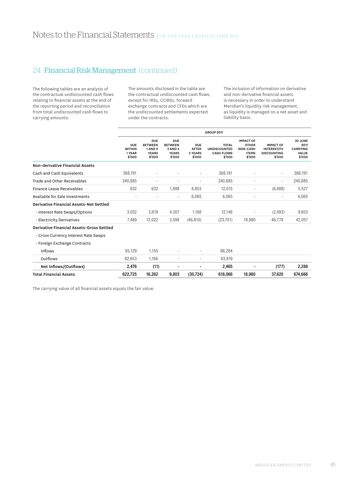The following tables are an analysis of the contractual undiscounted cash flows relating to financial assets at the end of the reporting period and reconciliation from total undiscounted cash flows to carrying amounts:

The amounts disclosed in the table are the contractual undiscounted cash flows, except for IRSs, CCIRSs, forward exchange contracts and CFDs which are the undiscounted settlements expected under the contracts.

The inclusion of information on derivative and non-derivative financial assets is necessary in order to understand Meridian's liquidity risk management, as liquidity is managed on a net asset and liability basis.

|                                                |                                                 |                                                                          |                                                                   |                                                        | <b>GROUP 2011</b>                                                  |                                                                               |                                                                        |                                                       |
|------------------------------------------------|-------------------------------------------------|--------------------------------------------------------------------------|-------------------------------------------------------------------|--------------------------------------------------------|--------------------------------------------------------------------|-------------------------------------------------------------------------------|------------------------------------------------------------------------|-------------------------------------------------------|
|                                                | <b>DUE</b><br><b>WITHIN</b><br>1 YEAR<br>\$'000 | <b>DUE</b><br><b>BETWEEN</b><br><b>1 AND 2</b><br><b>YEARS</b><br>\$'000 | <b>DUE</b><br><b>BETWEEN</b><br>3 AND 5<br><b>YEARS</b><br>\$'000 | <b>DUE</b><br><b>AFTER</b><br><b>5 YEARS</b><br>\$'000 | <b>TOTAL</b><br><b>UNDISCOUNTED</b><br><b>CASH FLOWS</b><br>\$'000 | <b>IMPACT OF</b><br><b>OTHER</b><br><b>NON-CASH</b><br><b>ITEMS</b><br>\$'000 | <b>IMPACT OF</b><br><b>INTEREST/FX</b><br><b>DISCOUNTING</b><br>\$'000 | 30 JUNE<br>2011<br><b>CARRYING</b><br>VALUE<br>\$'000 |
| Non-derivative Financial Assets                |                                                 |                                                                          |                                                                   |                                                        |                                                                    |                                                                               |                                                                        |                                                       |
| Cash and Cash Equivalents                      | 368,191                                         |                                                                          |                                                                   | $\overline{a}$                                         | 368,191                                                            |                                                                               |                                                                        | 368,191                                               |
| Trade and Other Receivables                    | 240,885                                         |                                                                          |                                                                   | ٠                                                      | 240,885                                                            |                                                                               |                                                                        | 240,885                                               |
| Finance Lease Receivables                      | 632                                             | 632                                                                      | 1,898                                                             | 8,853                                                  | 12,015                                                             | $\overline{\phantom{a}}$                                                      | (6, 488)                                                               | 5,527                                                 |
| Available for Sale Investments                 |                                                 |                                                                          | ٠                                                                 | 6,065                                                  | 6,065                                                              |                                                                               |                                                                        | 6,065                                                 |
| <b>Derivative Financial Assets-Net Settled</b> |                                                 |                                                                          |                                                                   |                                                        |                                                                    |                                                                               |                                                                        |                                                       |
| - Interest Rate Swaps/Options                  | 3,052                                           | 3,619                                                                    | 4,307                                                             | 1,168                                                  | 12,146                                                             | $\overline{\phantom{a}}$                                                      | (2, 493)                                                               | 9,653                                                 |
| - Electricity Derivatives                      | 7,489                                           | 12,022                                                                   | 3,598                                                             | (46, 810)                                              | (23,701)                                                           | 18,980                                                                        | 46.778                                                                 | 42,057                                                |
| Derivative Financial Assets-Gross Settled      |                                                 |                                                                          |                                                                   |                                                        |                                                                    |                                                                               |                                                                        |                                                       |
| - Cross Currency Interest Rate Swaps           |                                                 |                                                                          |                                                                   |                                                        |                                                                    |                                                                               |                                                                        |                                                       |
| - Foreign Exchange Contracts                   |                                                 |                                                                          |                                                                   |                                                        |                                                                    |                                                                               |                                                                        |                                                       |
| Inflows                                        | 85,129                                          | 1,155                                                                    | ٠                                                                 | ٠                                                      | 86,284                                                             |                                                                               |                                                                        |                                                       |
| Outflows                                       | 82,653                                          | 1.166                                                                    | ٠                                                                 | ٠                                                      | 83,819                                                             |                                                                               |                                                                        |                                                       |
| Net Inflows/(Outflows)                         | 2,476                                           | (11)                                                                     |                                                                   |                                                        | 2,465                                                              |                                                                               | (177)                                                                  | 2,288                                                 |
| <b>Total Financial Assets</b>                  | 622,725                                         | 16,262                                                                   | 9,803                                                             | (30, 724)                                              | 618,066                                                            | 18,980                                                                        | 37,620                                                                 | 674,666                                               |

The carrying value of all financial assets equals the fair value.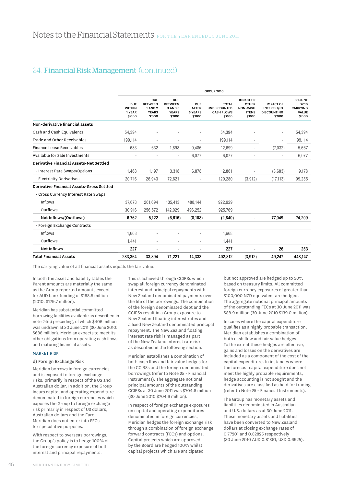|                                                |                                                 |                                                                          |                                                                   |                                                        | <b>GROUP 2010</b>                                                  |                                                                               |                                                                        |                                                              |
|------------------------------------------------|-------------------------------------------------|--------------------------------------------------------------------------|-------------------------------------------------------------------|--------------------------------------------------------|--------------------------------------------------------------------|-------------------------------------------------------------------------------|------------------------------------------------------------------------|--------------------------------------------------------------|
|                                                | <b>DUE</b><br><b>WITHIN</b><br>1 YEAR<br>\$'000 | <b>DUE</b><br><b>BETWEEN</b><br><b>1 AND 2</b><br><b>YEARS</b><br>\$'000 | <b>DUE</b><br><b>BETWEEN</b><br>3 AND 5<br><b>YEARS</b><br>\$'000 | <b>DUE</b><br><b>AFTER</b><br><b>5 YEARS</b><br>\$'000 | <b>TOTAL</b><br><b>UNDISCOUNTED</b><br><b>CASH FLOWS</b><br>\$'000 | <b>IMPACT OF</b><br><b>OTHER</b><br><b>NON-CASH</b><br><b>ITEMS</b><br>\$'000 | <b>IMPACT OF</b><br><b>INTEREST/FX</b><br><b>DISCOUNTING</b><br>\$'000 | 30 JUNE<br>2010<br><b>CARRYING</b><br><b>VALUE</b><br>\$'000 |
| Non-derivative financial assets                |                                                 |                                                                          |                                                                   |                                                        |                                                                    |                                                                               |                                                                        |                                                              |
| Cash and Cash Equivalents                      | 54,394                                          | ٠                                                                        |                                                                   | ÷.                                                     | 54,394                                                             |                                                                               |                                                                        | 54,394                                                       |
| Trade and Other Receivables                    | 199,114                                         | $\overline{\phantom{m}}$                                                 | ٠                                                                 | $\sim$                                                 | 199,114                                                            |                                                                               |                                                                        | 199,114                                                      |
| Finance Lease Receivables                      | 683                                             | 632                                                                      | 1.898                                                             | 9.486                                                  | 12,699                                                             |                                                                               | (7,032)                                                                | 5,667                                                        |
| Available for Sale Investments                 |                                                 |                                                                          |                                                                   | 6.077                                                  | 6.077                                                              |                                                                               |                                                                        | 6,077                                                        |
| <b>Derivative Financial Assets-Net Settled</b> |                                                 |                                                                          |                                                                   |                                                        |                                                                    |                                                                               |                                                                        |                                                              |
| - Interest Rate Swaps/Options                  | 1,468                                           | 1,197                                                                    | 3,318                                                             | 6,878                                                  | 12,861                                                             |                                                                               | (3,683)                                                                | 9,178                                                        |
| - Electricity Derivatives                      | 20,716                                          | 26,943                                                                   | 72.621                                                            |                                                        | 120,280                                                            | (3,912)                                                                       | (17, 113)                                                              | 99,255                                                       |
| Derivative Financial Assets-Gross Settled      |                                                 |                                                                          |                                                                   |                                                        |                                                                    |                                                                               |                                                                        |                                                              |
| - Cross Currency Interest Rate Swaps           |                                                 |                                                                          |                                                                   |                                                        |                                                                    |                                                                               |                                                                        |                                                              |
| Inflows                                        | 37,678                                          | 261,694                                                                  | 135,413                                                           | 488,144                                                | 922,929                                                            |                                                                               |                                                                        |                                                              |
| Outflows                                       | 30,916                                          | 256,572                                                                  | 142,029                                                           | 496,252                                                | 925,769                                                            |                                                                               |                                                                        |                                                              |
| Net Inflows/(Outflows)                         | 6,762                                           | 5,122                                                                    | (6,616)                                                           | (8, 108)                                               | (2,840)                                                            |                                                                               | 77,049                                                                 | 74,209                                                       |
| - Foreign Exchange Contracts                   |                                                 |                                                                          |                                                                   |                                                        |                                                                    |                                                                               |                                                                        |                                                              |
| Inflows                                        | 1,668                                           | ٠                                                                        |                                                                   |                                                        | 1,668                                                              |                                                                               |                                                                        |                                                              |
| Outflows                                       | 1,441                                           | ÷,                                                                       | ۰                                                                 | $\sim$                                                 | 1,441                                                              |                                                                               |                                                                        |                                                              |
| <b>Net Inflows</b>                             | 227                                             | $\blacksquare$                                                           | $\blacksquare$                                                    | $\blacksquare$                                         | 227                                                                | $\blacksquare$                                                                | 26                                                                     | 253                                                          |
| <b>Total Financial Assets</b>                  | 283,364                                         | 33,894                                                                   | 71,221                                                            | 14,333                                                 | 402.812                                                            | (3, 912)                                                                      | 49,247                                                                 | 448.147                                                      |

The carrying value of all financial assets equals the fair value.

In both the asset and liability tables the Parent amounts are materially the same as the Group reported amounts except for AUD bank funding of \$188.5 million (2010: \$179.7 million).

Meridian has substantial committed borrowing facilities available as described in note 24(c) preceding, of which \$406 million was undrawn at 30 June 2011 (30 June 2010: \$686 million). Meridian expects to meet its other obligations from operating cash flows and maturing financial assets.

### Market Risk

### d) Foreign Exchange Risk

Meridian borrows in foreign currencies and is exposed to foreign exchange risks, primarily in respect of the US and Australian dollar. In addition, the Group incurs capital and operating expenditure denominated in foreign currencies which exposes the Group to foreign exchange risk primarily in respect of US dollars, Australian dollars and the Euro. Meridian does not enter into FECs for speculative purposes.

With respect to overseas borrowings, the Group's policy is to hedge 100% of the foreign currency exposure of both interest and principal repayments.

This is achieved through CCIRSs which swap all foreign currency denominated interest and principal repayments with New Zealand denominated payments over the life of the borrowings. The combination of the foreign denominated debt and the CCIRSs result in a Group exposure to New Zealand floating interest rates and a fixed New Zealand denominated principal repayment. The New Zealand floating interest rate risk is managed as part of the New Zealand interest rate risk as described in the following section.

Meridian establishes a combination of both cash flow and fair value hedges for the CCIRSs and the foreign denominated borrowings (refer to Note 25 - Financial Instruments). The aggregate notional principal amounts of the outstanding CCIRSs at 30 June 2011 was \$704.6 million (30 June 2010 \$704.6 million).

In respect of foreign exchange exposures on capital and operating expenditures denominated in foreign currencies, Meridian hedges the foreign exchange risk through a combination of foreign exchange forward contracts (FECs) and options. Capital projects which are approved by the Board are hedged 100% whilst capital projects which are anticipated

but not approved are hedged up to 50% based on treasury limits. All committed foreign currency exposures of greater than \$100,000 NZD equivalent are hedged. The aggregate notional principal amounts of the outstanding FECs at 30 June 2011 was \$88.9 million (30 June 2010 \$139.0 million).

In cases where the capital expenditure qualifies as a highly probable transaction, Meridian establishes a combination of both cash flow and fair value hedges. To the extent these hedges are effective, gains and losses on the derivatives are included as a component of the cost of the capital expenditure. In instances where the forecast capital expenditure does not meet the highly probable requirements, hedge accounting is not sought and the derivatives are classified as held for trading (refer to Note 25 - Financial Instruments).

The Group has monetary assets and liabilities denominated in Australian and U.S. dollars as at 30 June 2011. These monetary assets and liabilities have been converted to New Zealand dollars at closing exchange rates of 0.77201 and 0.82825 respectively (30 June 2010 AUD 0.81361, USD 0.6925).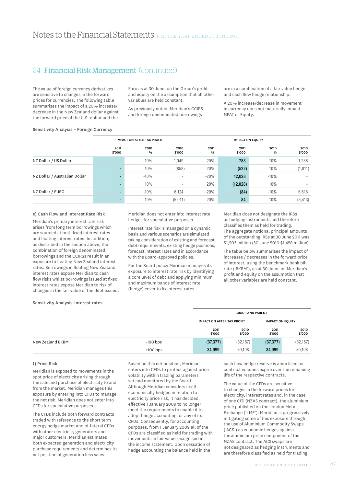The value of foreign currency derivatives are sensitive to changes in the forward prices for currencies. The following table summarises the impact of a 20% increase/ decrease in the New Zealand dollar against the forward price of the U.S. dollar and the

Euro as at 30 June, on the Group's profit and equity on the assumption that all other variables are held constant.

As previously noted, Meridian's CCIRS and foreign denominated borrowings

are in a combination of a fair value hedge and cash flow hedge relationship.

A 20% increase/decrease in movement in currency does not materially impact NPAT or Equity.

### Sensitivity Analysis – Foreign Currency

|                               |                | <b>IMPACT ON AFTER TAX PROFIT</b> |                |                       | <b>IMPACT ON EQUITY</b> |                       |                |
|-------------------------------|----------------|-----------------------------------|----------------|-----------------------|-------------------------|-----------------------|----------------|
|                               | 2011<br>\$'000 | 2010<br>$\frac{0}{0}$             | 2010<br>\$'000 | 2011<br>$\frac{0}{0}$ | 2011<br>\$'000          | 2010<br>$\frac{0}{0}$ | 2010<br>\$'000 |
| NZ Dollar / US Dollar         |                | $-10%$                            | 1,049          | $-20%$                | 783                     | $-10%$                | 1,236          |
|                               | <b>-</b>       | 10%                               | (858)          | 20%                   | (522)                   | 10%                   | (1,011)        |
| NZ Dollar / Australian Dollar |                | $-10%$                            | $\sim$         | $-20%$                | 12,028                  | $-10%$                | ۰              |
|                               |                | 10%                               | $\sim$         | 20%                   | (12,028)                | 10%                   | ۰              |
| NZ Dollar / EURO              |                | $-10%$                            | 6,124          | $-20%$                | (84)                    | $-10%$                | 6,616          |
|                               |                | 10%                               | (5,011)        | 20%                   | 84                      | 10%                   | (5, 413)       |

### e) Cash Flow and Interest Rate Risk

Meridian's primary interest rate risk arises from long term borrowings which are sourced at both fixed interest rates and floating interest rates. In addition, as described in the section above, the combination of foreign denominated borrowings and the CCIRSs result in an exposure to floating New Zealand interest rates. Borrowings in floating New Zealand interest rates expose Meridian to cash flow risks whilst borrowings issued at fixed interest rates expose Meridian to risk of changes in the fair value of the debt issued. Meridian does not enter into interest rate hedges for speculative purposes.

Interest rate risk is managed on a dynamic basis and various scenarios are simulated taking consideration of existing and forecast debt requirements, existing hedge positions, forecast interest rates and in accordance with the Board-approved policies.

Per the Board policy Meridian manages its exposure to interest rate risk by identifying a core level of debt and applying minimum and maximum bands of interest rate (hedge) cover to fix interest rates.

Meridian does not designate the IRSs as hedging instruments and therefore classifies them as held for trading. The aggregate notional principal amounts of the outstanding IRSs at 30 June 2011 was \$1,503 million (30 June 2010 \$1,428 million).

The table below summarises the impact of increases / decreases in the forward price of interest, using the benchmark bank bill rate ('BKBM'), as at 30 June, on Meridian's profit and equity on the assumption that all other variables are held constant.

#### Sensitivity Analysis-Interest rates

|                  |            |                                   | <b>GROUP AND PARENT</b> |                |                         |  |  |
|------------------|------------|-----------------------------------|-------------------------|----------------|-------------------------|--|--|
|                  |            | <b>IMPACT ON AFTER TAX PROFIT</b> |                         |                | <b>IMPACT ON EQUITY</b> |  |  |
|                  |            | 2011<br>\$'000                    | 2010<br>\$'000          | 2011<br>\$'000 | 2010<br>\$'000          |  |  |
| New Zealand BKBM | $-100$ bps | (37, 377)                         | (32, 187)               | (37, 377)      | (32, 187)               |  |  |
|                  | $+100$ bps | 34,999                            | 30,108                  | 34,999         | 30,108                  |  |  |

#### f) Price Risk

Meridian is exposed to movements in the spot price of electricity arising through the sale and purchase of electricity to and from the market. Meridian manages this exposure by entering into CFDs to manage the net risk. Meridian does not enter into CFDs for speculative purposes.

The CFDs include both forward contracts traded with reference to the short term energy hedge market and bi-lateral CFDs with other electricity generators and major customers. Meridian estimates both expected generation and electricity purchase requirements and determines its net position of generation less sales.

Based on this net position, Meridian enters into CFDs to protect against price volatility within trading parameters set and monitored by the Board. Although Meridian considers itself economically hedged in relation to electricity price risk, it has decided, effective 1 January 2009 to no longer meet the requirements to enable it to adopt hedge accounting for any of its CFDs. Consequently, for accounting purposes, from 1 January 2009 all of the CFDs are classified as held for trading with movements in fair value recognised in the income statement. Upon cessation of hedge accounting the balance held in the

cash flow hedge reserve is amortised as contract volumes expire over the remaining life of the respective contracts.

The value of the CFDs are sensitive to changes in the forward prices for electricity, interest rates and, in the case of one CfD (NZAS contract), the aluminium price published on the London Metal Exchange ('LME'). Meridian is progressively mitigating some of this exposure through the use of Aluminium Commodity Swaps ('ACS') as economic hedges against the aluminium price component of the NZAS contract. The ACS swaps are not designated as hedging instruments and are therefore classified as held for trading.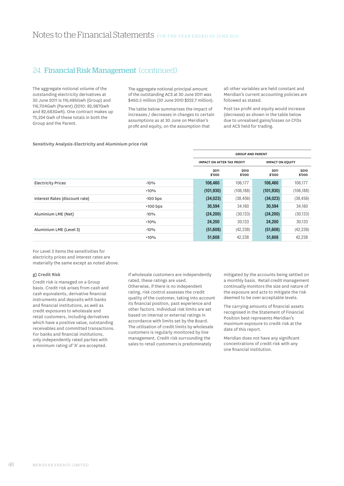The aggregate notional volume of the outstanding electricity derivatives at 30 June 2011 is 116,486Gwh (Group) and 116,704Gwh (Parent) (2010: 82,987Gwh and 82,683Gwh). One contract makes up 75,224 Gwh of these totals in both the Group and the Parent.

The aggregate notional principal amount of the outstanding ACS at 30 June 2011 was \$460.5 million (30 June 2010 \$252.7 million).

The table below summarises the impact of increases / decreases in changes to certain assumptions as at 30 June on Meridian's profit and equity, on the assumption that

all other variables are held constant and Meridian's current accounting policies are followed as stated.

Post tax profit and equity would increase (decrease) as shown in the table below due to unrealised gains/losses on CFDs and ACS held for trading.

### Sensitivity Analysis-Electricity and Aluminium price risk

|                                |            |                | <b>GROUP AND PARENT</b>                                      |                |                |
|--------------------------------|------------|----------------|--------------------------------------------------------------|----------------|----------------|
|                                |            |                | <b>IMPACT ON EQUITY</b><br><b>IMPACT ON AFTER TAX PROFIT</b> |                |                |
|                                |            | 2011<br>\$'000 | 2010<br>\$'000                                               | 2011<br>\$'000 | 2010<br>\$'000 |
| <b>Electricity Prices</b>      | $-10%$     | 106,460        | 106,177                                                      | 106,460        | 106,177        |
|                                | $+10%$     | (101, 930)     | (106, 188)                                                   | (101, 930)     | (106, 188)     |
| Interest Rates (discount rate) | $-100$ bps | (34, 023)      | (38, 456)                                                    | (34,023)       | (38, 456)      |
|                                | $+100$ bps | 30,594         | 34,160                                                       | 30,594         | 34,160         |
| Aluminium LME (Net)            | $-10%$     | (24, 200)      | (30, 133)                                                    | (24, 200)      | (30, 133)      |
|                                | $+10%$     | 24.200         | 30.133                                                       | 24.200         | 30,133         |
| Aluminium LME (Level 3)        | $-10%$     | (51,608)       | (42, 238)                                                    | (51,608)       | (42, 238)      |
|                                | $+10%$     | 51,608         | 42,238                                                       | 51,608         | 42,238         |

For Level 3 items the sensitivities for electricity prices and interest rates are materially the same except as noted above.

#### g) Credit Risk

Credit risk is managed on a Group basis. Credit risk arises from cash and cash equivalents, derivative financial instruments and deposits with banks and financial institutions, as well as credit exposures to wholesale and retail customers, including derivatives which have a positive value, outstanding receivables and committed transactions. For banks and financial institutions, only independently rated parties with a minimum rating of 'A' are accepted.

If wholesale customers are independently rated, these ratings are used. Otherwise, if there is no independent rating, risk control assesses the credit quality of the customer, taking into account its financial position, past experience and other factors. Individual risk limits are set based on internal or external ratings in accordance with limits set by the Board. The utilisation of credit limits by wholesale customers is regularly monitored by line management. Credit risk surrounding the sales to retail customers is predominately

mitigated by the accounts being settled on a monthly basis. Retail credit management continually monitors the size and nature of the exposure and acts to mitigate the risk deemed to be over acceptable levels.

The carrying amounts of financial assets recognised in the Statement of Financial Position best represents Meridian's maximum exposure to credit risk at the date of this report.

Meridian does not have any significant concentrations of credit risk with any one financial institution.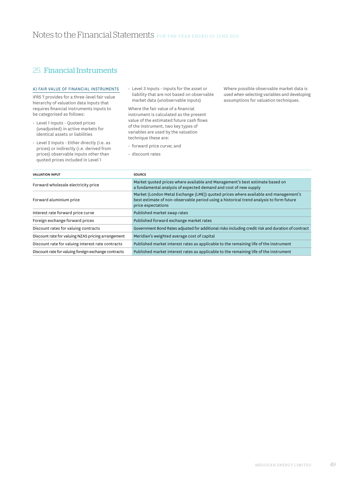# 25. Financial Instruments

### a) Fair Value of Financial Instruments

IFRS 7 provides for a three-level fair value hierarchy of valuation data inputs that requires financial instruments inputs to be categorised as follows:

- • Level 1 Inputs Quoted prices (unadjusted) in active markets for identical assets or liabilities
- • Level 2 Inputs Either directly (i.e. as prices) or indirectly (i.e. derived from prices) observable inputs other than quoted prices included in Level 1
- • Level 3 Inputs Inputs for the asset or liability that are not based on observable market data (unobservable inputs)

Where the fair value of a financial instrument is calculated as the present value of the estimated future cash flows of the instrument, two key types of variables are used by the valuation technique these are:

- forward price curve; and
- • discount rates

Where possible observable market data is used when selecting variables and developing assumptions for valuation techniques.

| <b>VALUATION INPUT</b>                               | <b>SOURCE</b>                                                                                                                                                                                        |
|------------------------------------------------------|------------------------------------------------------------------------------------------------------------------------------------------------------------------------------------------------------|
| Forward wholesale electricity price                  | Market quoted prices where available and Management's best estimate based on<br>a fundamental analysis of expected demand and cost of new supply                                                     |
| Forward aluminium price                              | Market (London Metal Exchange (LME)) quoted prices where available and management's<br>best estimate of non-observable period using a historical trend analysis to form future<br>price expectations |
| Interest rate forward price curve                    | Published market swap rates                                                                                                                                                                          |
| Foreign exchange forward prices                      | Published forward exchange market rates                                                                                                                                                              |
| Discount rates for valuing contracts                 | Government Bond Rates adjusted for additional risks including credit risk and duration of contract                                                                                                   |
| Discount rate for valuing NZAS pricing arrangement   | Meridian's weighted average cost of capital                                                                                                                                                          |
| Discount rate for valuing interest rate contracts    | Published market interest rates as applicable to the remaining life of the instrument                                                                                                                |
| Discount rate for valuing foreign exchange contracts | Published market interest rates as applicable to the remaining life of the instrument                                                                                                                |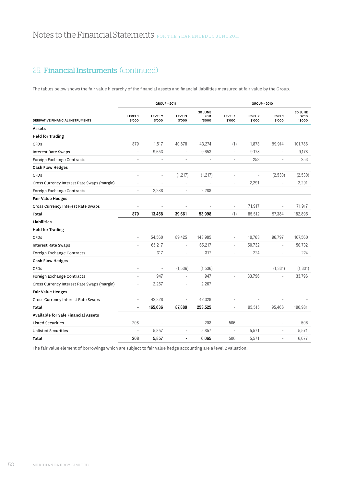The tables below shows the fair value hierarchy of the financial assets and financial liabilities measured at fair value by the Group.

|                                             |                   | <b>GROUP - 2011</b>          |                              |                          | <b>GROUP - 2010</b>      |                              |                          |                          |
|---------------------------------------------|-------------------|------------------------------|------------------------------|--------------------------|--------------------------|------------------------------|--------------------------|--------------------------|
| DERIVATIVE FINANCIAL INSTRUMENTS            | LEVEL 1<br>\$'000 | LEVEL <sub>2</sub><br>\$'000 | LEVEL3<br>\$'000             | 30 JUNE<br>2011<br>5000' | LEVEL 1<br>\$'000        | LEVEL <sub>2</sub><br>\$'000 | LEVEL3<br>\$'000         | 30 JUNE<br>2010<br>5000' |
| Assets                                      |                   |                              |                              |                          |                          |                              |                          |                          |
| <b>Held for Trading</b>                     |                   |                              |                              |                          |                          |                              |                          |                          |
| <b>CFDs</b>                                 | 879               | 1,517                        | 40,878                       | 43,274                   | (1)                      | 1,873                        | 99,914                   | 101,786                  |
| <b>Interest Rate Swaps</b>                  |                   | 9,653                        | ÷,                           | 9,653                    | $\overline{\phantom{a}}$ | 9,178                        | ÷,                       | 9,178                    |
| Foreign Exchange Contracts                  | ÷                 | ä,                           | ä,                           |                          | ÷,                       | 253                          |                          | 253                      |
| <b>Cash Flow Hedges</b>                     |                   |                              |                              |                          |                          |                              |                          |                          |
| <b>CFDs</b>                                 | ×,                | $\overline{a}$               | (1, 217)                     | (1, 217)                 | ÷,                       | $\overline{a}$               | (2,530)                  | (2,530)                  |
| Cross Currency Interest Rate Swaps (margin) | $\overline{a}$    | Ē,                           | ä,                           |                          | ÷,                       | 2,291                        | ÷                        | 2,291                    |
| Foreign Exchange Contracts                  | $\overline{a}$    | 2,288                        | $\qquad \qquad \blacksquare$ | 2,288                    |                          |                              |                          |                          |
| <b>Fair Value Hedges</b>                    |                   |                              |                              |                          |                          |                              |                          |                          |
| Cross Currency Interest Rate Swaps          |                   | $\overline{a}$               | $\overline{\phantom{a}}$     |                          | ÷                        | 71,917                       | $\overline{\phantom{a}}$ | 71,917                   |
| Total                                       | 879               | 13,458                       | 39,661                       | 53,998                   | (1)                      | 85,512                       | 97,384                   | 182,895                  |
| Liabilities                                 |                   |                              |                              |                          |                          |                              |                          |                          |
| <b>Held for Trading</b>                     |                   |                              |                              |                          |                          |                              |                          |                          |
| <b>CFDs</b>                                 | ÷,                | 54,560                       | 89,425                       | 143,985                  | ×,                       | 10,763                       | 96,797                   | 107,560                  |
| <b>Interest Rate Swaps</b>                  | ÷,                | 65,217                       | ×,                           | 65,217                   |                          | 50,732                       |                          | 50,732                   |
| Foreign Exchange Contracts                  |                   | 317                          | ÷,                           | 317                      | ÷.                       | 224                          | ٠                        | 224                      |
| <b>Cash Flow Hedges</b>                     |                   |                              |                              |                          |                          |                              |                          |                          |
| <b>CFD<sub>S</sub></b>                      |                   |                              | (1, 536)                     | (1,536)                  |                          |                              | (1, 331)                 | (1, 331)                 |
| Foreign Exchange Contracts                  |                   | 947                          | ×,                           | 947                      | ÷,                       | 33,796                       |                          | 33,796                   |
| Cross Currency Interest Rate Swaps (margin) | ÷                 | 2,267                        | ٠                            | 2,267                    |                          |                              |                          |                          |
| <b>Fair Value Hedges</b>                    |                   |                              |                              |                          |                          |                              |                          |                          |
| Cross Currency Interest Rate Swaps          |                   | 42,328                       | ä,                           | 42,328                   |                          |                              |                          |                          |
| Total                                       | $\blacksquare$    | 165,636                      | 87,889                       | 253,525                  | ÷,                       | 95,515                       | 95,466                   | 190,981                  |
| Available for Sale Financial Assets         |                   |                              |                              |                          |                          |                              |                          |                          |
| <b>Listed Securities</b>                    | 208               |                              | $\overline{\phantom{a}}$     | 208                      | 506                      |                              |                          | 506                      |
| <b>Unlisted Securities</b>                  |                   | 5,857                        | ä,                           | 5,857                    | ÷,                       | 5,571                        | ÷,                       | 5,571                    |
| Total                                       | 208               | 5,857                        | $\blacksquare$               | 6,065                    | 506                      | 5,571                        | ÷.                       | 6,077                    |

The fair value element of borrowings which are subject to fair value hedge accounting are a level 2 valuation.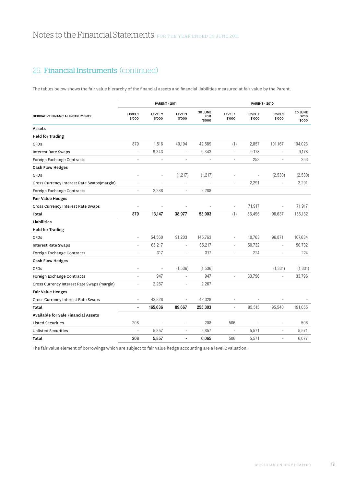The tables below shows the fair value hierarchy of the financial assets and financial liabilities measured at fair value by the Parent.

|                                             |                          | <b>PARENT - 2011</b>         |                          |                          | <b>PARENT - 2010</b>     |                              |                          |                          |
|---------------------------------------------|--------------------------|------------------------------|--------------------------|--------------------------|--------------------------|------------------------------|--------------------------|--------------------------|
| DERIVATIVE FINANCIAL INSTRUMENTS            | LEVEL 1<br>\$'000        | LEVEL <sub>2</sub><br>\$'000 | LEVEL3<br>\$'000         | 30 JUNE<br>2011<br>5000' | LEVEL 1<br>\$'000        | LEVEL <sub>2</sub><br>\$'000 | LEVEL3<br>\$'000         | 30 JUNE<br>2010<br>5000' |
| Assets                                      |                          |                              |                          |                          |                          |                              |                          |                          |
| <b>Held for Trading</b>                     |                          |                              |                          |                          |                          |                              |                          |                          |
| <b>CFDs</b>                                 | 879                      | 1,516                        | 40,194                   | 42,589                   | (1)                      | 2,857                        | 101,167                  | 104,023                  |
| <b>Interest Rate Swaps</b>                  |                          | 9,343                        | L,                       | 9,343                    | $\bar{a}$                | 9,178                        | ÷,                       | 9,178                    |
| Foreign Exchange Contracts                  | ×,                       | $\overline{a}$               | ÷,                       |                          | $\overline{\phantom{a}}$ | 253                          |                          | 253                      |
| <b>Cash Flow Hedges</b>                     |                          |                              |                          |                          |                          |                              |                          |                          |
| <b>CFDs</b>                                 | ÷,                       | $\overline{a}$               | (1, 217)                 | (1, 217)                 |                          | $\overline{a}$               | (2,530)                  | (2,530)                  |
| Cross Currency Interest Rate Swaps(margin)  | $\overline{a}$           | ä,                           | L,                       | ÷,                       | $\overline{\phantom{a}}$ | 2,291                        | ٠                        | 2,291                    |
| Foreign Exchange Contracts                  | ٠                        | 2,288                        | ÷                        | 2,288                    |                          |                              |                          |                          |
| <b>Fair Value Hedges</b>                    |                          |                              |                          |                          |                          |                              |                          |                          |
| Cross Currency Interest Rate Swaps          |                          | $\overline{\phantom{a}}$     | $\overline{\phantom{m}}$ |                          | $\overline{\phantom{a}}$ | 71,917                       | $\overline{\phantom{a}}$ | 71,917                   |
| Total                                       | 879                      | 13,147                       | 38,977                   | 53,003                   | (1)                      | 86,496                       | 98,637                   | 185,132                  |
| Liabilities                                 |                          |                              |                          |                          |                          |                              |                          |                          |
| <b>Held for Trading</b>                     |                          |                              |                          |                          |                          |                              |                          |                          |
| <b>CFDs</b>                                 | $\bar{a}$                | 54,560                       | 91,203                   | 145,763                  | $\overline{\phantom{a}}$ | 10,763                       | 96,871                   | 107,634                  |
| <b>Interest Rate Swaps</b>                  | $\bar{a}$                | 65,217                       | ٠                        | 65,217                   | $\overline{\phantom{a}}$ | 50,732                       | $\overline{\phantom{a}}$ | 50,732                   |
| Foreign Exchange Contracts                  |                          | 317                          | ÷,                       | 317                      | ÷,                       | 224                          | ÷,                       | 224                      |
| <b>Cash Flow Hedges</b>                     |                          |                              |                          |                          |                          |                              |                          |                          |
| <b>CFDs</b>                                 |                          |                              | (1, 536)                 | (1,536)                  |                          |                              | (1, 331)                 | (1, 331)                 |
| Foreign Exchange Contracts                  | $\overline{\phantom{a}}$ | 947                          | ä,                       | 947                      | $\overline{\phantom{a}}$ | 33,796                       |                          | 33,796                   |
| Cross Currency Interest Rate Swaps (margin) | ٠                        | 2,267                        | ä,                       | 2,267                    |                          |                              |                          |                          |
| <b>Fair Value Hedges</b>                    |                          |                              |                          |                          |                          |                              |                          |                          |
| Cross Currency Interest Rate Swaps          | $\overline{\phantom{a}}$ | 42,328                       | ÷,                       | 42,328                   |                          |                              |                          |                          |
| Total                                       | $\blacksquare$           | 165,636                      | 89,667                   | 255,303                  | $\overline{a}$           | 95,515                       | 95,540                   | 191,055                  |
| Available for Sale Financial Assets         |                          |                              |                          |                          |                          |                              |                          |                          |
| <b>Listed Securities</b>                    | 208                      |                              | ÷,                       | 208                      | 506                      |                              |                          | 506                      |
| <b>Unlisted Securities</b>                  |                          | 5,857                        | ÷,                       | 5,857                    | ÷,                       | 5,571                        | ×,                       | 5,571                    |
| Total                                       | 208                      | 5,857                        | $\overline{a}$           | 6,065                    | 506                      | 5,571                        | ä,                       | 6,077                    |

The fair value element of borrowings which are subject to fair value hedge accounting are a level 2 valuation.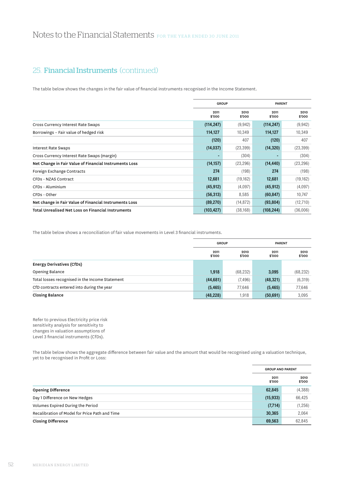The table below shows the changes in the fair value of financial instruments recognised in the Income Statement.

|                                                        | <b>GROUP</b>   |                | <b>PARENT</b>  |                |
|--------------------------------------------------------|----------------|----------------|----------------|----------------|
|                                                        | 2011<br>\$'000 | 2010<br>\$'000 | 2011<br>\$'000 | 2010<br>\$'000 |
| Cross Currency Interest Rate Swaps                     | (114, 247)     | (9,942)        | (114, 247)     | (9,942)        |
| Borrowings - Fair value of hedged risk                 | 114,127        | 10.349         | 114,127        | 10,349         |
|                                                        | (120)          | 407            | (120)          | 407            |
| <b>Interest Rate Swaps</b>                             | (14, 037)      | (23, 399)      | (14, 320)      | (23, 399)      |
| Cross Currency Interest Rate Swaps (margin)            |                | (304)          |                | (304)          |
| Net Change in Fair Value of Financial Instruments Loss | (14, 157)      | (23, 296)      | (14, 440)      | (23, 296)      |
| Foreign Exchange Contracts                             | 274            | (198)          | 274            | (198)          |
| CFDs - NZAS Contract                                   | 12,681         | (19, 162)      | 12,681         | (19, 162)      |
| CFDs - Aluminium                                       | (45, 912)      | (4,097)        | (45, 912)      | (4,097)        |
| CFDs - Other                                           | (56, 313)      | 8,585          | (60, 847)      | 10,747         |
| Net change in Fair Value of Financial Instruments Loss | (89, 270)      | (14, 872)      | (93, 804)      | (12,710)       |
| Total Unrealised Net Loss on Financial Instruments     | (103, 427)     | (38, 168)      | (108, 244)     | (36,006)       |

The table below shows a reconciliation of fair value movements in Level 3 financial instruments.

|                                                 | <b>GROUP</b>   |                | <b>PARENT</b>  |                |
|-------------------------------------------------|----------------|----------------|----------------|----------------|
|                                                 | 2011<br>\$'000 | 2010<br>\$'000 | 2011<br>\$'000 | 2010<br>\$'000 |
| Energy Derivatives (CfDs)                       |                |                |                |                |
| Opening Balance                                 | 1,918          | (68, 232)      | 3,095          | (68, 232)      |
| Total losses recognised in the Income Statement | (44, 681)      | (7, 496)       | (48, 321)      | (6, 319)       |
| CfD contracts entered into during the year      | (5, 465)       | 77,646         | (5, 465)       | 77,646         |
| <b>Closing Balance</b>                          | (48, 228)      | 1,918          | (50, 691)      | 3.095          |

Refer to previous Electricity price risk sensitivity analysis for sensitivity to changes in valuation assumptions of Level 3 financial instruments (CfDs).

The table below shows the aggregate difference between fair value and the amount that would be recognised using a valuation technique, yet to be recognised in Profit or Loss:

|                                                | <b>GROUP AND PARENT</b> |                |
|------------------------------------------------|-------------------------|----------------|
|                                                | 2011<br>\$'000          | 2010<br>\$'000 |
| <b>Opening Difference</b>                      | 62,845                  | (4,388)        |
| Day 1 Difference on New Hedges                 | (15, 933)               | 66,425         |
| Volumes Expired During the Period              | (7,714)                 | (1,256)        |
| Recalibration of Model for Price Path and Time | 30,365                  | 2,064          |
| <b>Closing Difference</b>                      | 69,563                  | 62.845         |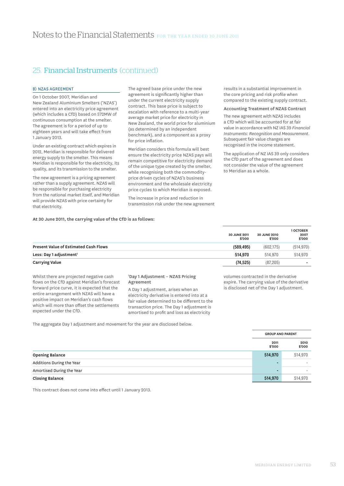### **B) NZAS AGREEMENT**

On 1 October 2007, Meridian and New Zealand Aluminium Smelters ('NZAS') entered into an electricity price agreement (which includes a CfD) based on 572MW of continuous consumption at the smelter. The agreement is for a period of up to eighteen years and will take effect from 1 January 2013.

Under an existing contract which expires in 2012, Meridian is responsible for delivered energy supply to the smelter. This means Meridian is responsible for the electricity, its quality, and its transmission to the smelter.

The new agreement is a pricing agreement rather than a supply agreement. NZAS will be responsible for purchasing electricity from the national market itself, and Meridian will provide NZAS with price certainty for that electricity.

The agreed base price under the new agreement is significantly higher than under the current electricity supply contract. This base price is subject to escalation with reference to a multi-year average market price for electricity in New Zealand, the world price for aluminium (as determined by an independent benchmark), and a component as a proxy for price inflation.

Meridian considers this formula will best ensure the electricity price NZAS pays will remain competitive for electricity demand of the unique type created by the smelter, while recognising both the commodityprice driven cycles of NZAS's business environment and the wholesale electricity price cycles to which Meridian is exposed.

The increase in price and reduction in transmission risk under the new agreement results in a substantial improvement in the core pricing and risk profile when compared to the existing supply contract.

#### Accounting Treatment of NZAS Contract

The new agreement with NZAS includes a CfD which will be accounted for at fair value in accordance with NZ IAS 39 *Financial Instruments: Recognition and Measurement*. Subsequent fair value changes are recognised in the income statement.

The application of NZ IAS 39 only considers the CfD part of the agreement and does not consider the value of the agreement to Meridian as a whole.

### **At 30 June 2011, the carrying value of the CfD is as follows:**

|                                              | <b>30 JUNE 2011</b><br>\$'000 | <b>30 JUNE 2010</b><br>\$'000 | 1 OCTOBER<br>2007<br>\$'000 |
|----------------------------------------------|-------------------------------|-------------------------------|-----------------------------|
| <b>Present Value of Estimated Cash Flows</b> | (589, 495)                    | (602.175)                     | (514, 970)                  |
| Less: Day 1 adjustment <sup>1</sup>          | 514.970                       | 514.970                       | 514.970                     |
| <b>Carrying Value</b>                        | (74, 525)                     | (87, 205)                     |                             |

Whilst there are projected negative cash flows on the CfD against Meridian's forecast forward price curve, it is expected that the entire arrangement with NZAS will have a positive impact on Meridian's cash flows which will more than offset the settlements expected under the CfD.

#### 1 Day 1 Adjustment – NZAS Pricing Agreement

A Day 1 adjustment, arises when an electricity derivative is entered into at a fair value determined to be different to the transaction price. The Day 1 adjustment is amortised to profit and loss as electricity

volumes contracted in the derivative expire. The carrying value of the derivative is disclosed net of the Day 1 adjustment.

The aggregate Day 1 adjustment and movement for the year are disclosed below.

|                           |                | <b>GROUP AND PARENT</b> |  |  |
|---------------------------|----------------|-------------------------|--|--|
|                           | 2011<br>\$'000 | 2010<br>\$'000          |  |  |
| <b>Opening Balance</b>    | 514,970        | 514,970                 |  |  |
| Additions During the Year |                |                         |  |  |
| Amortised During the Year |                |                         |  |  |
| <b>Closing Balance</b>    | 514,970        | 514.970                 |  |  |

This contract does not come into effect until 1 January 2013.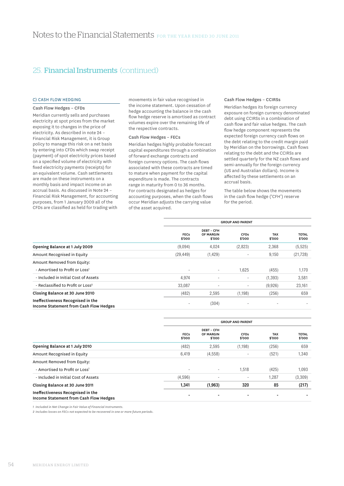### c) Cash Flow Hedging

Cash Flow Hedges – CFDs Meridian currently sells and purchases electricity at spot prices from the market exposing it to changes in the price of electricity. As described in note 24 – Financial Risk Management, it is Group policy to manage this risk on a net basis by entering into CFDs which swap receipt (payment) of spot electricity prices based on a specified volume of electricity with fixed electricity payments (receipts) for an equivalent volume. Cash settlements are made on these instruments on a monthly basis and impact income on an accrual basis. As discussed in Note 24 – Financial Risk Management, for accounting purposes, from 1 January 2009 all of the CFDs are classified as held for trading with

movements in fair value recognised in the income statement. Upon cessation of hedge accounting the balance in the cash flow hedge reserve is amortised as contract volumes expire over the remaining life of the respective contracts.

### Cash Flow Hedges – FECs

Meridian hedges highly probable forecast capital expenditures through a combination of forward exchange contracts and foreign currency options. The cash flows associated with these contracts are timed to mature when payment for the capital expenditure is made. The contracts range in maturity from 0 to 36 months. For contracts designated as hedges for accounting purposes, when the cash flows occur Meridian adjusts the carrying value of the asset acquired.

#### Cash Flow Hedges – CCIRSs

Meridian hedges its foreign currency exposure on foreign currency denominated debt using CCIRSs in a combination of cash flow and fair value hedges. The cash flow hedge component represents the expected foreign currency cash flows on the debt relating to the credit margin paid by Meridian on the borrowings. Cash flows relating to the debt and the CCIRSs are settled quarterly for the NZ cash flows and semi-annually for the foreign currency (US and Australian dollars). Income is affected by these settlements on an accrual basis.

The table below shows the movements in the cash flow hedge ('CFH') reserve for the period.

|                                                                             |                          | <b>GROUP AND PARENT</b>                  |                       |                      |                        |
|-----------------------------------------------------------------------------|--------------------------|------------------------------------------|-----------------------|----------------------|------------------------|
|                                                                             | <b>FECs</b><br>\$'000    | DEBT - CFH<br><b>OF MARGIN</b><br>\$'000 | <b>CFDs</b><br>\$'000 | <b>TAX</b><br>\$'000 | <b>TOTAL</b><br>\$'000 |
| Opening Balance at 1 July 2009                                              | (9,094)                  | 4,024                                    | (2,823)               | 2,368                | (5, 525)               |
| Amount Recognised in Equity                                                 | (29, 449)                | (1, 429)                                 |                       | 9,150                | (21, 728)              |
| Amount Removed from Equity:                                                 |                          |                                          |                       |                      |                        |
| - Amortised to Profit or Loss <sup>1</sup>                                  | $\overline{\phantom{a}}$ | ٠                                        | 1,625                 | (455)                | 1,170                  |
| - Included in Initial Cost of Assets                                        | 4,974                    | ٠                                        | ۰.                    | (1, 393)             | 3,581                  |
| - Reclassified to Profit or Loss <sup>2</sup>                               | 33,087                   | $\overline{\phantom{0}}$                 | ۰.                    | (9,926)              | 23,161                 |
| Closing Balance at 30 June 2010                                             | (482)                    | 2,595                                    | (1, 198)              | (256)                | 659                    |
| Ineffectiveness Recognised in the<br>Income Statement from Cash Flow Hedges | ٠                        | (304)                                    |                       |                      |                        |

|                                                                             |                          | <b>GROUP AND PARENT</b>                         |                          |                      |                        |  |
|-----------------------------------------------------------------------------|--------------------------|-------------------------------------------------|--------------------------|----------------------|------------------------|--|
|                                                                             | <b>FECs</b><br>\$'000    | <b>DEBT - CFH</b><br><b>OF MARGIN</b><br>\$'000 | <b>CFDs</b><br>\$'000    | <b>TAX</b><br>\$'000 | <b>TOTAL</b><br>\$'000 |  |
| Opening Balance at 1 July 2010                                              | (482)                    | 2,595                                           | (1, 198)                 | (256)                | 659                    |  |
| Amount Recognised in Equity                                                 | 6,419                    | (4,558)                                         | ۰                        | (521)                | 1,340                  |  |
| Amount Removed from Equity:                                                 |                          |                                                 |                          |                      |                        |  |
| - Amortised to Profit or Loss <sup>1</sup>                                  | $\overline{\phantom{a}}$ | ٠                                               | 1,518                    | (425)                | 1,093                  |  |
| - Included in Initial Cost of Assets                                        | (4,596)                  | ٠                                               | $\overline{\phantom{a}}$ | 1,287                | (3,309)                |  |
| Closing Balance at 30 June 2011                                             | 1,341                    | (1, 963)                                        | 320                      | 85                   | (217)                  |  |
| Ineffectiveness Recognised in the<br>Income Statement from Cash Flow Hedges |                          |                                                 |                          |                      |                        |  |

*1 Included in Net Change in Fair Value of Financial Instruments.*

*2 Includes losses on FECs not expected to be recovered in one or more future periods.*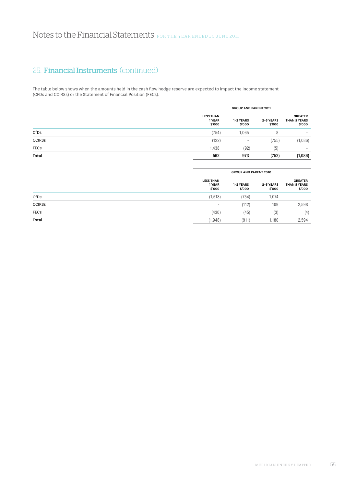The table below shows when the amounts held in the cash flow hedge reserve are expected to impact the income statement (CFDs and CCIRSs) or the Statement of Financial Position (FECs).

|               |                                      | <b>GROUP AND PARENT 2011</b> |                     |                                          |  |
|---------------|--------------------------------------|------------------------------|---------------------|------------------------------------------|--|
|               | <b>LESS THAN</b><br>1 YEAR<br>\$'000 | 1-2 YEARS<br>\$'000          | 2-5 YEARS<br>\$'000 | <b>GREATER</b><br>THAN 5 YEARS<br>\$'000 |  |
| CfDs          | (754)                                | 1,065                        | 8                   |                                          |  |
| <b>CCIRSS</b> | (122)                                | ٠                            | (755)               | (1,086)                                  |  |
| <b>FECs</b>   | 1,438                                | (92)                         | (5)                 | $\sim$                                   |  |
| Total         | 562                                  | 973                          | (752)               | (1,086)                                  |  |

|               |                                      | <b>GROUP AND PARENT 2010</b> |                     |                                                 |  |
|---------------|--------------------------------------|------------------------------|---------------------|-------------------------------------------------|--|
|               | <b>LESS THAN</b><br>1 YEAR<br>\$'000 | 1-2 YEARS<br>\$'000          | 2-5 YEARS<br>\$'000 | <b>GREATER</b><br><b>THAN 5 YEARS</b><br>\$'000 |  |
| CfDs          | (1, 518)                             | (754)                        | 1,074               | $\sim$                                          |  |
| <b>CCIRSS</b> | $\overline{\phantom{a}}$             | (112)                        | 109                 | 2,598                                           |  |
| <b>FECs</b>   | (430)                                | (45)                         | (3)                 | (4)                                             |  |
| Total         | (1, 948)                             | (911)                        | 1.180               | 2,594                                           |  |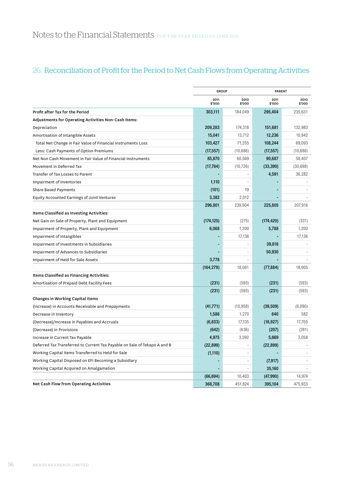# 26. Reconciliation of Profit for the Period to Net Cash Flows from Operating Activities

|                                                                           | <b>GROUP</b>   |                          | <b>PARENT</b>  |                |
|---------------------------------------------------------------------------|----------------|--------------------------|----------------|----------------|
|                                                                           | 2011<br>\$'000 | 2010<br>\$'000           | 2011<br>\$'000 | 2010<br>\$'000 |
| Profit after Tax for the Period                                           | 303,111        | 184,049                  | 295,404        | 235,631        |
| Adjustments for Operating Activities Non-Cash Items:                      |                |                          |                |                |
| Depreciation                                                              | 209,283        | 174,318                  | 151,681        | 132,983        |
| Amortisation of Intangible Assets                                         | 15,041         | 13,712                   | 12,236         | 10,942         |
| Total Net Change in Fair Value of Financial Instruments Loss              | 103,427        | 71,255                   | 108,244        | 69,093         |
| Less: Cash Payments of Option Premiums                                    | (17, 557)      | (10,686)                 | (17, 557)      | (10,686)       |
| Net Non Cash Movement in Fair Value of Financial Instruments              | 85,870         | 60,569                   | 90,687         | 58,407         |
| Movement in Deferred Tax                                                  | (17, 784)      | (10, 726)                | (33, 390)      | (30,698)       |
| Transfer of Tax Losses to Parent                                          |                |                          | 4,591          | 36,282         |
| Impairment of Inventories                                                 | 1,110          |                          |                |                |
| <b>Share Based Payments</b>                                               | (101)          | 19                       |                |                |
| Equity Accounted Earnings of Joint Ventures                               | 3,382          | 2,012                    |                |                |
|                                                                           | 296,801        | 239,904                  | 225,805        | 207,916        |
| Items Classified as Investing Activities:                                 |                |                          |                |                |
| Net Gain on Sale of Property, Plant and Equipment                         | (174, 125)     | (275)                    | (174, 420)     | (331)          |
| Impairment of Property, Plant and Equipment                               | 6,068          | 1,200                    | 5,788          | 1,200          |
| Impairment of Intangibles                                                 |                | 17,136                   |                | 17,136         |
| Impairment of Investments in Subsidiaries                                 |                |                          | 39,818         |                |
| Impairment of Advances to Subsidiaries                                    |                |                          | 50,930         |                |
| Impairment of Held for Sale Assets                                        | 3,778          |                          |                |                |
|                                                                           | (164, 279)     | 18,061                   | (77, 884)      | 18,005         |
| Items Classified as Financing Activities:                                 |                |                          |                |                |
| Amortisation of Prepaid Debt Facility Fees                                | (231)          | (593)                    | (231)          | (593)          |
|                                                                           | (231)          | (593)                    | (231)          | (593)          |
| Changes in Working Capital Items                                          |                |                          |                |                |
| (Increase) in Accounts Receivable and Prepayments                         | (41, 771)      | (10, 958)                | (39, 509)      | (6,090)        |
| Decrease in Inventory                                                     | 1,586          | 1,270                    | 640            | 582            |
| (Decrease)/Increase in Payables and Accruals                              | (6, 833)       | 17,135                   | (18, 927)      | 17,705         |
| (Decrease) in Provisions                                                  | (642)          | (636)                    | (207)          | (281)          |
| Increase in Current Tax Payable                                           | 4,975          | 3,592                    | 5,669          | 3,058          |
| Deferred Tax Transferred to Current Tax Payable on Sale of Tekapo A and B | (22, 899)      |                          | (22, 899)      |                |
| Working Capital Items Transferred to Held for Sale                        | (1, 110)       |                          |                |                |
| Working Capital Disposed on EFI Becoming a Subsidiary                     |                |                          | (7, 917)       |                |
| Working Capital Acquired on Amalgamation                                  |                | $\overline{\phantom{a}}$ | 35,160         |                |
|                                                                           | (66, 694)      | 10,403                   | (47,990)       | 14,974         |
| Net Cash Flow from Operating Activities                                   | 368,708        | 451,824                  | 395,104        | 475,933        |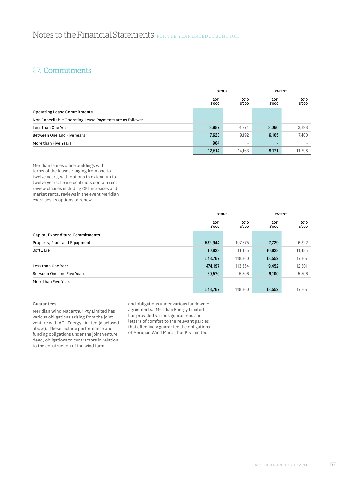# 27. Commitments

|                                                          | <b>GROUP</b>   |                | <b>PARENT</b>  |                |
|----------------------------------------------------------|----------------|----------------|----------------|----------------|
|                                                          | 2011<br>\$'000 | 2010<br>\$'000 | 2011<br>\$'000 | 2010<br>\$'000 |
| <b>Operating Lease Commitments</b>                       |                |                |                |                |
| Non Cancellable Operating Lease Payments are as follows: |                |                |                |                |
| Less than One Year                                       | 3,987          | 4.971          | 3,066          | 3,898          |
| Between One and Five Years                               | 7,623          | 9,192          | 6,105          | 7,400          |
| More than Five Years                                     | 904            |                |                |                |
|                                                          | 12,514         | 14.163         | 9,171          | 11.298         |

Meridian leases office buildings with terms of the leases ranging from one to twelve years, with options to extend up to twelve years. Lease contracts contain rent review clauses including CPI increases and market rental reviews in the event Meridian exercises its options to renew.

|                                        | <b>GROUP</b>   |                          | <b>PARENT</b>  |                |
|----------------------------------------|----------------|--------------------------|----------------|----------------|
|                                        | 2011<br>\$'000 | 2010<br>\$'000           | 2011<br>\$'000 | 2010<br>\$'000 |
| <b>Capital Expenditure Commitments</b> |                |                          |                |                |
| Property, Plant and Equipment          | 532,944        | 107,375                  | 7,729          | 6,322          |
| Software                               | 10,823         | 11,485                   | 10,823         | 11,485         |
|                                        | 543,767        | 118,860                  | 18,552         | 17,807         |
| Less than One Year                     | 474,197        | 113,354                  | 9,452          | 12,301         |
| Between One and Five Years             | 69,570         | 5,506                    | 9,100          | 5,506          |
| More than Five Years                   |                | $\overline{\phantom{a}}$ |                |                |
|                                        | 543,767        | 118,860                  | 18,552         | 17,807         |

## Guarantees

Meridian Wind Macarthur Pty Limited has various obligations arising from the joint venture with AGL Energy Limited (disclosed above). These include performance and funding obligations under the joint venture deed, obligations to contractors in relation to the construction of the wind farm,

and obligations under various landowner agreements. Meridian Energy Limited has provided various guarantees and letters of comfort to the relevant parties that effectively guarantee the obligations of Meridian Wind Macarthur Pty Limited.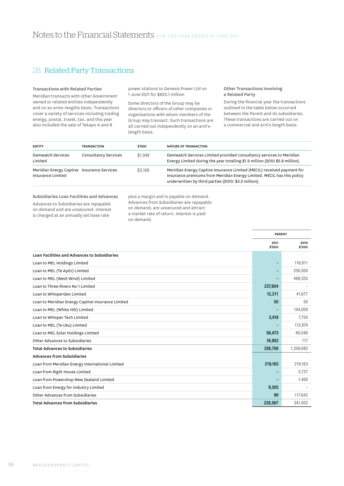# 28. Related Party Transactions

#### Transactions with Related Parties

Meridian transacts with other Government owned or related entities independently and on an arms-lengths basis. Transactions cover a variety of services including trading energy, postal, travel, tax, and this year also included the sale of Tekapo A and B

power stations to Genesis Power Ltd on 1 June 2011 for \$820.1 million

Some directors of the Group may be directors or officers of other companies or organisations with whom members of the Group may transact. Such transactions are all carried out independently on an arm'slength basis.

#### Other Transactions involving a Related Party

During the financial year the transactions outlined in the table below occurred between the Parent and its subsidiaries. These transactions are carried out on a commercial and arm's length basis.

| <b>ENTITY</b>                                                   | <b>TRANSACTION</b>   | \$'000  | <b>NATURE OF TRANSACTION</b>                                                                                                                                                                             |
|-----------------------------------------------------------------|----------------------|---------|----------------------------------------------------------------------------------------------------------------------------------------------------------------------------------------------------------|
| Damwatch Services<br>Limited                                    | Consultancy Services | \$1.949 | Damwatch Services Limited provided consultancy services to Meridian<br>Energy Limited during the year totalling \$1.9 million (2010 \$2.8 million).                                                      |
| Meridian Energy Captive Insurance Services<br>Insurance Limited |                      | \$3.169 | Meridian Energy Captive Insurance Limited (MECIL) received payment for<br>insurance premiums from Meridian Energy Limited. MECIL has this policy<br>underwritten by third parties (2010: \$3.2 million). |

#### Subsidiaries Loan Facilities and Advances

Advances to Subsidiaries are repayable on demand and are unsecured. Interest is charged at an annually set base rate

plus a margin and is payable on demand. Advances from Subsidiaries are repayable on demand, are unsecured and attract a market rate of return. Interest is paid on demand.

|                                                     | <b>PARENT</b>  |                |
|-----------------------------------------------------|----------------|----------------|
|                                                     | 2011<br>\$'000 | 2010<br>\$'000 |
| <b>Loan Facilities and Advances to Subsidiaries</b> |                |                |
| Loan to MEL Holdings Limited                        |                | 116,811        |
| Loan to MEL (Te Apiti) Limited                      |                | 256,000        |
| Loan to MEL (West Wind) Limited                     |                | 469,355        |
| Loan to Three Rivers No 1 Limited                   | 237,604        |                |
| Loan to WhisperGen Limited                          | 12,211         | 41,677         |
| Loan to Meridian Energy Captive Insurance Limited   | 50             | 50             |
| Loan to MEL (White Hill) Limited                    |                | 144,000        |
| Loan to Whisper Tech Limited                        | 3,418          | 7.750          |
| Loan to MEL (Te Uku) Limited                        |                | 113,874        |
| Loan to MEL Solar Holdings Limited                  | 56,473         | 60,048         |
| Other Advances to Subsidiaries                      | 16,952         | 117            |
| <b>Total Advances to Subsidiaries</b>               | 326,708        | 1,209,682      |
| <b>Advances from Subsidiaries</b>                   |                |                |
| Loan from Meridian Energy International Limited     | 219,163        | 219,163        |
| Loan from Right House Limited                       |                | 3,727          |
| Loan from Powershop New Zealand Limited             |                | 1,400          |
| Loan from Energy for Industry Limited               | 9,305          |                |
| Other Advances from Subsidiaries                    | 99             | 117,643        |
| <b>Total Advances from Subsidiaries</b>             | 228,567        | 341,933        |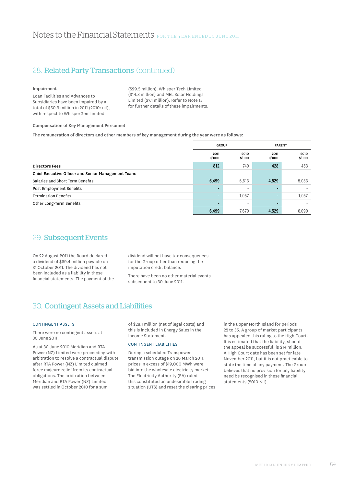# 28. Related Party Transactions (continued)

#### Impairment

Loan Facilities and Advances to Subsidiaries have been impaired by a total of \$50.9 million in 2011 (2010: nil), with respect to WhisperGen Limited

(\$29.5 million), Whisper Tech Limited (\$14.3 million) and MEL Solar Holdings Limited (\$7.1 million). Refer to Note 15 for further details of these impairments.

### Compensation of Key Management Personnel

The remuneration of directors and other members of key management during the year were as follows:

|                                                     | <b>GROUP</b>   |                | <b>PARENT</b>  |                |
|-----------------------------------------------------|----------------|----------------|----------------|----------------|
|                                                     | 2011<br>\$'000 | 2010<br>\$'000 | 2011<br>\$'000 | 2010<br>\$'000 |
| <b>Directors Fees</b>                               | 812            | 740            | 428            | 453            |
| Chief Executive Officer and Senior Management Team: |                |                |                |                |
| Salaries and Short Term Benefits                    | 6,499          | 6,613          | 4,529          | 5,033          |
| Post Employment Benefits                            |                |                |                |                |
| <b>Termination Benefits</b>                         | $\blacksquare$ | 1,057          | $\blacksquare$ | 1,057          |
| Other Long-Term Benefits                            |                | -              |                |                |
|                                                     | 6,499          | 7,670          | 4,529          | 6,090          |

# 29. Subsequent Events

On 22 August 2011 the Board declared a dividend of \$69.4 million payable on 31 October 2011. The dividend has not been included as a liability in these financial statements. The payment of the dividend will not have tax consequences for the Group other than reducing the imputation credit balance.

There have been no other material events subsequent to 30 June 2011.

# 30. Contingent Assets and Liabilities

### CONTINGENT ASSETS

There were no contingent assets at 30 June 2011.

As at 30 June 2010 Meridian and RTA Power (NZ) Limited were proceeding with arbitration to resolve a contractual dispute after RTA Power (NZ) Limited claimed force majeure relief from its contractual obligations. The arbitration between Meridian and RTA Power (NZ) Limited was settled in October 2010 for a sum

of \$28.1 million (net of legal costs) and this is included in Energy Sales in the Income Statement.

# Contingent Liabilities

During a scheduled Transpower transmission outage on 26 March 2011, prices in excess of \$19,000 MWh were bid into the wholesale electricity market. The Electricity Authority (EA) ruled this constituted an undesirable trading situation (UTS) and reset the clearing prices in the upper North Island for periods 22 to 35. A group of market participants has appealed this ruling to the High Court. It is estimated that the liability, should the appeal be successful, is \$14 million. A High Court date has been set for late November 2011, but it is not practicable to state the time of any payment. The Group believes that no provision for any liability need be recognised in these financial statements (2010 Nil).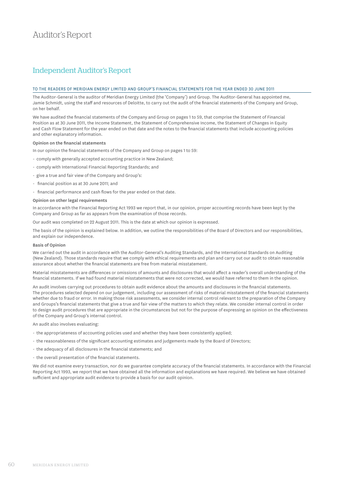# Independent Auditor's Report

### TO THE READERS OF MERIDIAN ENERGY LIMITED AND GROUP'S FINANCIAL STATEMENTS FOR THE YEAR ENDED 30 JUNE 2011

The Auditor-General is the auditor of Meridian Energy Limited (the 'Company') and Group. The Auditor-General has appointed me, Jamie Schmidt, using the staff and resources of Deloitte, to carry out the audit of the financial statements of the Company and Group, on her behalf.

We have audited the financial statements of the Company and Group on pages 1 to 59, that comprise the Statement of Financial Position as at 30 June 2011, the Income Statement, the Statement of Comprehensive Income, the Statement of Changes in Equity and Cash Flow Statement for the year ended on that date and the notes to the financial statements that include accounting policies and other explanatory information.

### Opinion on the financial statements

In our opinion the financial statements of the Company and Group on pages 1 to 59:

- comply with generally accepted accounting practice in New Zealand;
- comply with International Financial Reporting Standards; and
- give a true and fair view of the Company and Group's:
- financial position as at 30 June 2011; and
- financial performance and cash flows for the year ended on that date.

### Opinion on other legal requirements

In accordance with the Financial Reporting Act 1993 we report that, in our opinion, proper accounting records have been kept by the Company and Group as far as appears from the examination of those records.

Our audit was completed on 22 August 2011. This is the date at which our opinion is expressed.

The basis of the opinion is explained below. In addition, we outline the responsibilities of the Board of Directors and our responsibilities, and explain our independence.

#### Basis of Opinion

We carried out the audit in accordance with the Auditor-General's Auditing Standards, and the International Standards on Auditing (New Zealand). Those standards require that we comply with ethical requirements and plan and carry out our audit to obtain reasonable assurance about whether the financial statements are free from material misstatement.

Material misstatements are differences or omissions of amounts and disclosures that would affect a reader's overall understanding of the financial statements. If we had found material misstatements that were not corrected, we would have referred to them in the opinion.

An audit involves carrying out procedures to obtain audit evidence about the amounts and disclosures in the financial statements. The procedures selected depend on our judgement, including our assessment of risks of material misstatement of the financial statements whether due to fraud or error. In making those risk assessments, we consider internal control relevant to the preparation of the Company and Groups's financial statements that give a true and fair view of the matters to which they relate. We consider internal control in order to design audit procedures that are appropriate in the circumstances but not for the purpose of expressing an opinion on the effectiveness of the Company and Group's internal control.

An audit also involves evaluating:

- the appropriateness of accounting policies used and whether they have been consistently applied;
- the reasonableness of the significant accounting estimates and judgements made by the Board of Directors;
- the adequacy of all disclosures in the financial statements; and
- the overall presentation of the financial statements.

We did not examine every transaction, nor do we guarantee complete accuracy of the financial statements. In accordance with the Financial Reporting Act 1993, we report that we have obtained all the information and explanations we have required. We believe we have obtained sufficient and appropriate audit evidence to provide a basis for our audit opinion.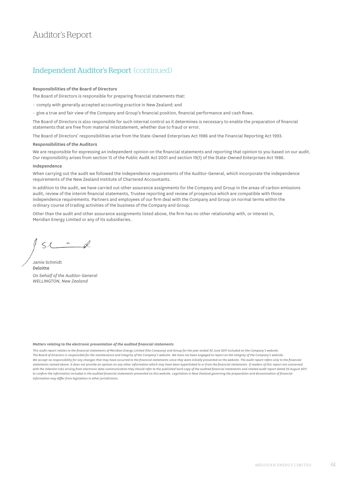# Auditor's Report

# Independent Auditor's Report (continued)

### Responsibilities of the Board of Directors

The Board of Directors is responsible for preparing financial statements that:

- comply with generally accepted accounting practice in New Zealand; and

- give a true and fair view of the Company and Group's financial position, financial performance and cash flows.

The Board of Directors is also responsible for such internal control as it determines is necessary to enable the preparation of financial statements that are free from material misstatement, whether due to fraud or error.

The Board of Directors' responsibilities arise from the State-Owned Enterprises Act 1986 and the Financial Reporting Act 1993.

#### Responsibilities of the Auditors

We are responsible for expressing an independent opinion on the financial statements and reporting that opinion to you based on our audit. Our responsibility arises from section 15 of the Public Audit Act 2001 and section 19(1) of the State-Owned Enterprises Act 1986.

#### Independence

When carrying out the audit we followed the independence requirements of the Auditor-General, which incorporate the independence requirements of the New Zealand Institute of Chartered Accountants.

In addition to the audit, we have carried out other assurance assignments for the Company and Group in the areas of carbon emissions audit, review of the interim financial statements, Trustee reporting and review of prospectus which are compatible with those independence requirements. Partners and employees of our firm deal with the Company and Group on normal terms within the ordinary course of trading activities of the business of the Company and Group.

Other than the audit and other assurance assignments listed above, the firm has no other relationship with, or interest in, Meridian Energy Limited or any of its subsidiaries.

 $SL - d$ 

Jamie Schmidt Deloitte *On behalf of the Auditor-General WELLINGTON, New Zealand*

#### *Matters relating to the electronic presentation of the audited financial statements*

*This audit report relates to the financial statements of Meridian Energy Limited (the Company) and Group for the year ended 30 June 2011 included on the Company's website. The Board of Directors is responsible for the maintenance and integrity of the Company's website. We have not been engaged to report on the integrity of the Company's website. We accept no responsibility for any changes that may have occurred to the financial statements since they were initially presented on the website. The audit report refers only to the financial*  statements named above. It does not provide an opinion on any other information which may have been hyperlinked to or from the financial statements. If readers of this report are concerned *with the inherent risks arising from electronic data communication they should refer to the published hard copy of the audited financial statements and related audit report dated 22 August 2011 to confirm the information included in the audited financial statements presented on this website. Legislation in New Zealand governing the preparation and dissemination of financial information may differ from legislation in other jurisdictions.*